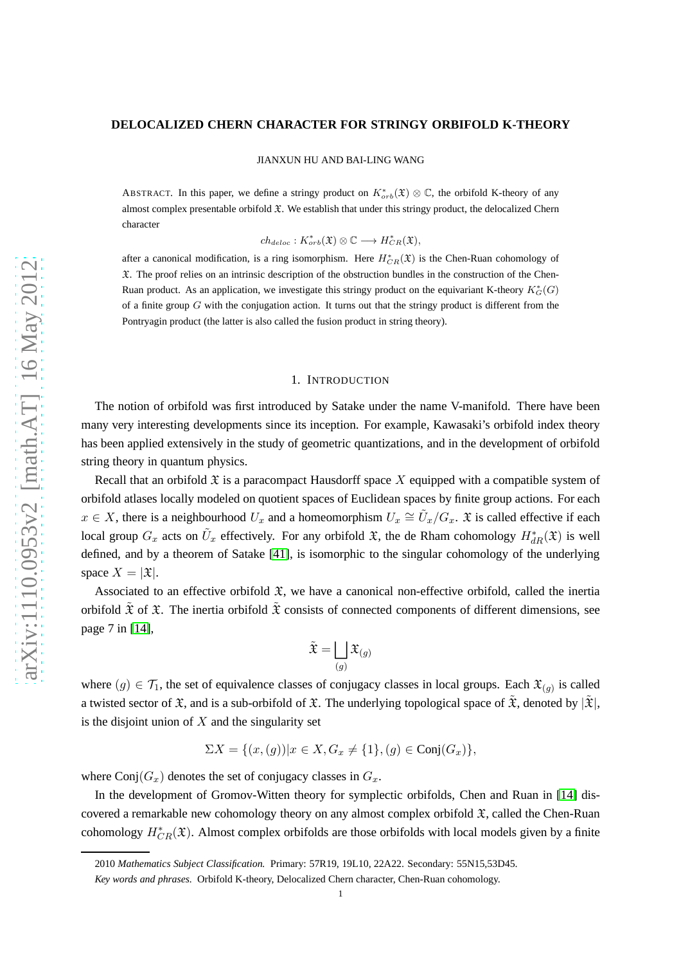### **DELOCALIZED CHERN CHARACTER FOR STRINGY ORBIFOLD K-THEORY**

JIANXUN HU AND BAI-LING WANG

ABSTRACT. In this paper, we define a stringy product on  $K^*_{orb}(\mathfrak{X}) \otimes \mathbb{C}$ , the orbifold K-theory of any almost complex presentable orbifold  $\mathfrak X$ . We establish that under this stringy product, the delocalized Chern character

 $ch_{deloc}: K^*_{orb}(\mathfrak{X}) \otimes \mathbb{C} \longrightarrow H^*_{CR}(\mathfrak{X}),$ 

after a canonical modification, is a ring isomorphism. Here  $H^*_{CR}(\mathfrak{X})$  is the Chen-Ruan cohomology of  $\mathfrak X$ . The proof relies on an intrinsic description of the obstruction bundles in the construction of the Chen-Ruan product. As an application, we investigate this stringy product on the equivariant K-theory  $K_G^*(G)$ of a finite group  $G$  with the conjugation action. It turns out that the stringy product is different from the Pontryagin product (the latter is also called the fusion product in string theory).

## 1. INTRODUCTION

The notion of orbifold was first introduced by Satake under the name V-manifold. There have been many very interesting developments since its inception. For example, Kawasaki's orbifold index theory has been applied extensively in the study of geometric quantizations, and in the development of orbifold string theory in quantum physics.

Recall that an orbifold  $\mathfrak X$  is a paracompact Hausdorff space X equipped with a compatible system of orbifold atlases locally modeled on quotient spaces of Euclidean spaces by finite group actions. For each  $x \in X$ , there is a neighbourhood  $U_x$  and a homeomorphism  $U_x \cong \tilde{U}_x/G_x$ .  $\mathfrak X$  is called effective if each local group  $G_x$  acts on  $\tilde{U}_x$  effectively. For any orbifold  $\mathfrak{X}$ , the de Rham cohomology  $H^*_{dR}(\mathfrak{X})$  is well defined, and by a theorem of Satake [\[41\]](#page-30-0), is isomorphic to the singular cohomology of the underlying space  $X = |\mathfrak{X}|$ .

Associated to an effective orbifold  $\mathfrak X$ , we have a canonical non-effective orbifold, called the inertia orbifold  $\tilde{\mathfrak{X}}$  of  $\mathfrak{X}$ . The inertia orbifold  $\tilde{\mathfrak{X}}$  consists of connected components of different dimensions, see page 7 in [\[14\]](#page-29-0),

$$
\tilde{\mathfrak{X}} = \bigsqcup_{(g)} \mathfrak{X}_{(g)}
$$

where  $(g) \in \mathcal{T}_1$ , the set of equivalence classes of conjugacy classes in local groups. Each  $\mathfrak{X}_{(g)}$  is called a twisted sector of  $\mathfrak X$ , and is a sub-orbifold of  $\mathfrak X$ . The underlying topological space of  $\mathfrak X$ , denoted by  $|\mathfrak X|$ , is the disjoint union of  $X$  and the singularity set

$$
\Sigma X = \{(x, (g)) | x \in X, G_x \neq \{1\}, (g) \in \text{Conj}(G_x)\},
$$

where  $Conj(G_x)$  denotes the set of conjugacy classes in  $G_x$ .

In the development of Gromov-Witten theory for symplectic orbifolds, Chen and Ruan in [\[14\]](#page-29-0) discovered a remarkable new cohomology theory on any almost complex orbifold  $\mathfrak{X}$ , called the Chen-Ruan cohomology  $H^*_{CR}(\mathfrak{X})$ . Almost complex orbifolds are those orbifolds with local models given by a finite

<sup>2010</sup> *Mathematics Subject Classification.* Primary: 57R19, 19L10, 22A22. Secondary: 55N15,53D45.

*Key words and phrases.* Orbifold K-theory, Delocalized Chern character, Chen-Ruan cohomology.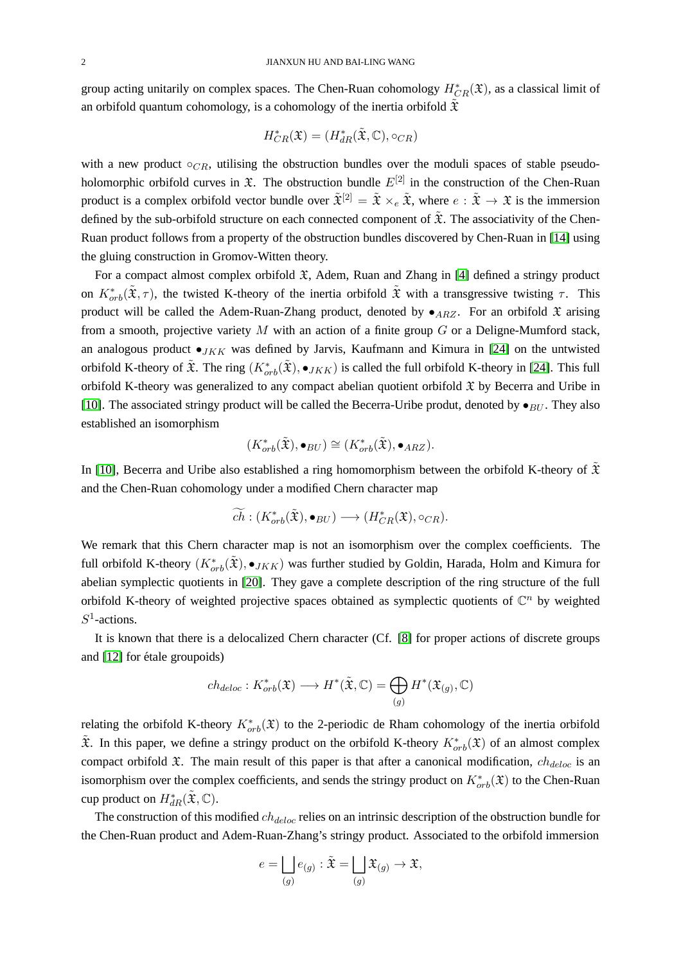group acting unitarily on complex spaces. The Chen-Ruan cohomology  $H^*_{CR}(\mathfrak{X})$ , as a classical limit of an orbifold quantum cohomology, is a cohomology of the inertia orbifold  $\tilde{\mathfrak{X}}$ 

$$
H^*_{CR}(\mathfrak{X})=(H^*_{dR}(\tilde{\mathfrak{X}},\mathbb{C}),\circ_{CR})
$$

with a new product  $\circ_{CR}$ , utilising the obstruction bundles over the moduli spaces of stable pseudoholomorphic orbifold curves in  $\mathfrak{X}$ . The obstruction bundle  $E^{[2]}$  in the construction of the Chen-Ruan product is a complex orbifold vector bundle over  $\tilde{\mathfrak{X}}^{[2]} = \tilde{\mathfrak{X}} \times_e \tilde{\mathfrak{X}}$ , where  $e : \tilde{\mathfrak{X}} \to \mathfrak{X}$  is the immersion defined by the sub-orbifold structure on each connected component of  $\tilde{\mathfrak{X}}$ . The associativity of the Chen-Ruan product follows from a property of the obstruction bundles discovered by Chen-Ruan in [\[14\]](#page-29-0) using the gluing construction in Gromov-Witten theory.

For a compact almost complex orbifold  $\mathfrak{X}$ , Adem, Ruan and Zhang in [\[4\]](#page-28-0) defined a stringy product on  $K^*_{orb}(\tilde{\mathfrak{X}}, \tau)$ , the twisted K-theory of the inertia orbifold  $\tilde{\mathfrak{X}}$  with a transgressive twisting  $\tau$ . This product will be called the Adem-Ruan-Zhang product, denoted by  $\bullet$ <sub>ARZ</sub>. For an orbifold  $\mathfrak X$  arising from a smooth, projective variety  $M$  with an action of a finite group  $G$  or a Deligne-Mumford stack, an analogous product  $\bullet$ <sub>JKK</sub> was defined by Jarvis, Kaufmann and Kimura in [\[24\]](#page-29-1) on the untwisted orbifold K-theory of  $\tilde{\mathfrak{X}}$ . The ring  $(K^*_{orb}(\tilde{\mathfrak{X}}), \bullet_{JKK})$  is called the full orbifold K-theory in [\[24\]](#page-29-1). This full orbifold K-theory was generalized to any compact abelian quotient orbifold  $\mathfrak X$  by Becerra and Uribe in [\[10\]](#page-29-2). The associated stringy product will be called the Becerra-Uribe produt, denoted by  $\bullet_{BU}$ . They also established an isomorphism

$$
(K^*_{orb}(\tilde{\mathfrak{X}}), \bullet_{BU}) \cong (K^*_{orb}(\tilde{\mathfrak{X}}), \bullet_{ARZ}).
$$

In [\[10\]](#page-29-2), Becerra and Uribe also established a ring homomorphism between the orbifold K-theory of  $\tilde{\mathfrak{X}}$ and the Chen-Ruan cohomology under a modified Chern character map

$$
\widetilde{ch} : (K^*_{orb}(\tilde{\mathfrak{X}}), \bullet_{BU}) \longrightarrow (H^*_{CR}(\mathfrak{X}), \circ_{CR}).
$$

We remark that this Chern character map is not an isomorphism over the complex coefficients. The full orbifold K-theory  $(K^*_{orb}(\tilde{\mathfrak{X}}), \bullet_{JKK})$  was further studied by Goldin, Harada, Holm and Kimura for abelian symplectic quotients in [\[20\]](#page-29-3). They gave a complete description of the ring structure of the full orbifold K-theory of weighted projective spaces obtained as symplectic quotients of  $\mathbb{C}^n$  by weighted  $S^1$ -actions.

It is known that there is a delocalized Chern character (Cf. [\[8\]](#page-28-1) for proper actions of discrete groups and [\[12\]](#page-29-4) for étale groupoids)

$$
ch_{deloc}: K^*_{orb}(\mathfrak{X}) \longrightarrow H^*(\tilde{\mathfrak{X}}, \mathbb{C}) = \bigoplus_{(g)} H^*(\mathfrak{X}_{(g)}, \mathbb{C})
$$

relating the orbifold K-theory  $K^*_{orb}(\mathfrak{X})$  to the 2-periodic de Rham cohomology of the inertia orbifold  $\tilde{\mathfrak{X}}$ . In this paper, we define a stringy product on the orbifold K-theory  $K^*_{orb}(\mathfrak{X})$  of an almost complex compact orbifold  $\mathfrak X$ . The main result of this paper is that after a canonical modification,  $ch_{deloc}$  is an isomorphism over the complex coefficients, and sends the stringy product on  $K^*_{orb}(\mathfrak{X})$  to the Chen-Ruan cup product on  $H^*_{dR}(\tilde{\mathfrak{X}}, \mathbb{C})$ .

The construction of this modified  $ch_{deloc}$  relies on an intrinsic description of the obstruction bundle for the Chen-Ruan product and Adem-Ruan-Zhang's stringy product. Associated to the orbifold immersion

$$
e = \bigsqcup_{(g)} e_{(g)} : \tilde{\mathfrak{X}} = \bigsqcup_{(g)} \mathfrak{X}_{(g)} \to \mathfrak{X},
$$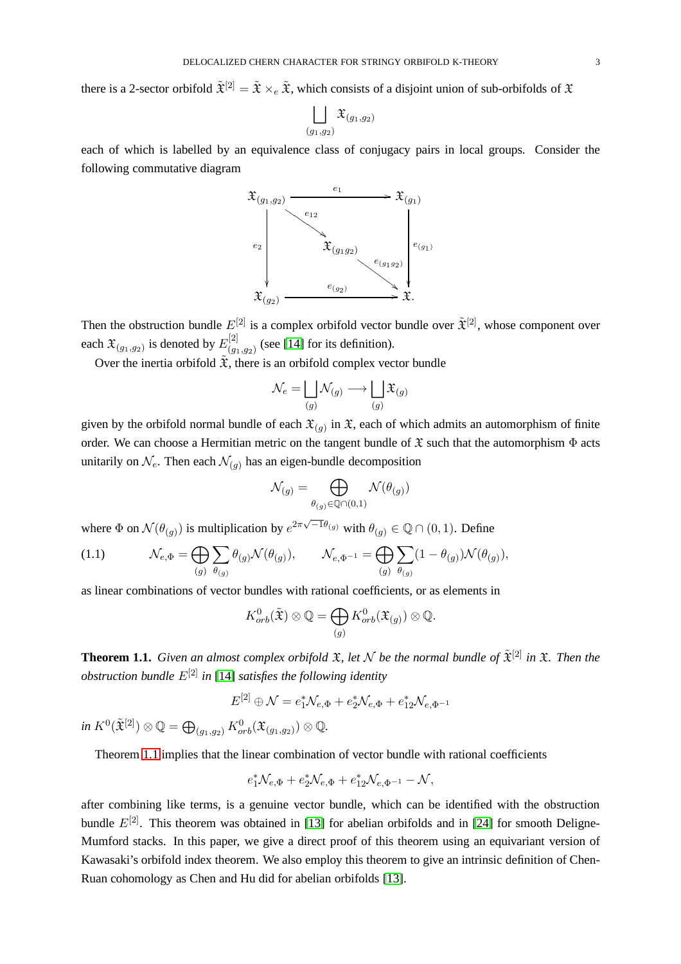there is a 2-sector orbifold  $\tilde{\mathfrak{X}}^{[2]} = \tilde{\mathfrak{X}} \times_e \tilde{\mathfrak{X}}$ , which consists of a disjoint union of sub-orbifolds of  $\mathfrak{X}$ 

$$
\bigsqcup_{(g_1, g_2)} \mathfrak{X}_{(g_1, g_2)}
$$

each of which is labelled by an equivalence class of conjugacy pairs in local groups. Consider the following commutative diagram



Then the obstruction bundle  $E^{[2]}$  is a complex orbifold vector bundle over  $\tilde{\mathfrak{X}}^{[2]}$ , whose component over each  $\mathfrak{X}_{(g_1,g_2)}$  is denoted by  $E_{(g_1,g_2)}^{[2]}$  $\binom{[2]}{(g_1,g_2)}$  (see [\[14\]](#page-29-0) for its definition).

Over the inertia orbifold  $\tilde{\mathfrak{X}}$ , there is an orbifold complex vector bundle

$$
\mathcal{N}_e = \bigsqcup_{(g)} \mathcal{N}_{(g)} \longrightarrow \bigsqcup_{(g)} \mathfrak{X}_{(g)}
$$

given by the orbifold normal bundle of each  $\mathfrak{X}_{(g)}$  in  $\mathfrak{X}$ , each of which admits an automorphism of finite order. We can choose a Hermitian metric on the tangent bundle of  $\mathfrak X$  such that the automorphism  $\Phi$  acts unitarily on  $\mathcal{N}_e$ . Then each  $\mathcal{N}_{(g)}$  has an eigen-bundle decomposition

$$
\mathcal{N}_{(g)} = \bigoplus_{\theta_{(g)} \in \mathbb{Q} \cap (0,1)} \mathcal{N}(\theta_{(g)})
$$

where  $\Phi$  on  $\mathcal{N}(\theta_{(g)})$  is multiplication by  $e^{2\pi\sqrt{-1}\theta_{(g)}}$  with  $\theta_{(g)} \in \mathbb{Q} \cap (0,1)$ . Define

<span id="page-2-1"></span>(1.1) 
$$
\mathcal{N}_{e,\Phi} = \bigoplus_{(g)} \sum_{\theta(g)} \theta_{(g)} \mathcal{N}(\theta_{(g)}), \qquad \mathcal{N}_{e,\Phi^{-1}} = \bigoplus_{(g)} \sum_{\theta(g)} (1 - \theta_{(g)}) \mathcal{N}(\theta_{(g)}),
$$

as linear combinations of vector bundles with rational coefficients, or as elements in

$$
K^{0}_{orb}(\tilde{\mathfrak{X}}) \otimes \mathbb{Q} = \bigoplus_{(g)} K^{0}_{orb}(\mathfrak{X}_{(g)}) \otimes \mathbb{Q}.
$$

<span id="page-2-0"></span>**Theorem 1.1.** *Given an almost complex orbifold*  $\mathfrak{X}$ *, let*  $\mathcal{N}$  *be the normal bundle of*  $\tilde{\mathfrak{X}}^{[2]}$  *in*  $\mathfrak{X}$ *. Then the obstruction bundle* E[2] *in* [\[14\]](#page-29-0) *satisfies the following identity*

$$
E^{[2]} \oplus \mathcal{N} = e_1^* \mathcal{N}_{e, \Phi} + e_2^* \mathcal{N}_{e, \Phi} + e_{12}^* \mathcal{N}_{e, \Phi^{-1}}
$$

 $\mathop{in} K^0(\tilde{\mathfrak{X}}^{[2]}) \otimes \mathbb{Q} = \bigoplus_{(g_1, g_2)} K^0_{orb}(\mathfrak{X}_{(g_1, g_2)}) \otimes \mathbb{Q}.$ 

Theorem [1.1](#page-2-0) implies that the linear combination of vector bundle with rational coefficients

$$
e_1^* \mathcal{N}_{e,\Phi} + e_2^* \mathcal{N}_{e,\Phi} + e_{12}^* \mathcal{N}_{e,\Phi^{-1}} - \mathcal{N},
$$

after combining like terms, is a genuine vector bundle, which can be identified with the obstruction bundle  $E^{[2]}$ . This theorem was obtained in [\[13\]](#page-29-5) for abelian orbifolds and in [\[24\]](#page-29-1) for smooth Deligne-Mumford stacks. In this paper, we give a direct proof of this theorem using an equivariant version of Kawasaki's orbifold index theorem. We also employ this theorem to give an intrinsic definition of Chen-Ruan cohomology as Chen and Hu did for abelian orbifolds [\[13\]](#page-29-5).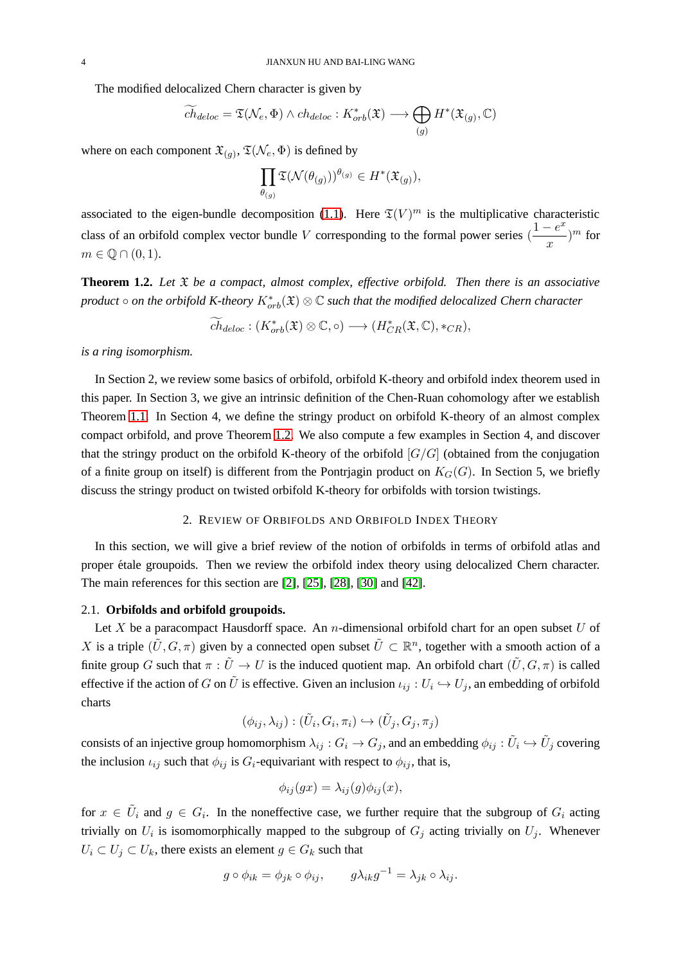The modified delocalized Chern character is given by

$$
\widetilde{ch}_{deloc} = \mathfrak{T}(\mathcal{N}_e, \Phi) \wedge ch_{deloc} : K^*_{orb}(\mathfrak{X}) \longrightarrow \bigoplus_{(g)} H^*(\mathfrak{X}_{(g)}, \mathbb{C})
$$

where on each component  $\mathfrak{X}_{(g)}$ ,  $\mathfrak{T}(\mathcal{N}_e, \Phi)$  is defined by

$$
\prod_{\theta(g)}\mathfrak{T}(\mathcal{N}(\theta(g)))^{\theta(g)}\in H^*(\mathfrak{X}_{(g)}),
$$

associated to the eigen-bundle decomposition [\(1.1\)](#page-2-1). Here  $\mathfrak{T}(V)^m$  is the multiplicative characteristic class of an orbifold complex vector bundle V corresponding to the formal power series  $\left( \frac{1 - e^x}{\sqrt{1 - e^x}} \right)$  $\frac{-e}{x}$ )<sup>*m*</sup> for  $m \in \mathbb{Q} \cap (0,1).$ 

<span id="page-3-0"></span>**Theorem 1.2.** *Let* X *be a compact, almost complex, effective orbifold. Then there is an associative*  $p$ roduct  $\circ$  *on the orbifold K-theory*  $K^*_{orb}(\mathfrak{X})\otimes \mathbb{C}$  *such that the modified delocalized Chern character* 

$$
ch_{deloc}: (K^*_{orb}(\mathfrak{X}) \otimes \mathbb{C}, \circ) \longrightarrow (H^*_{CR}(\mathfrak{X}, \mathbb{C}), *_{CR}),
$$

*is a ring isomorphism.*

In Section 2, we review some basics of orbifold, orbifold K-theory and orbifold index theorem used in this paper. In Section 3, we give an intrinsic definition of the Chen-Ruan cohomology after we establish Theorem [1.1.](#page-2-0) In Section 4, we define the stringy product on orbifold K-theory of an almost complex compact orbifold, and prove Theorem [1.2.](#page-3-0) We also compute a few examples in Section 4, and discover that the stringy product on the orbifold K-theory of the orbifold  $[G/G]$  (obtained from the conjugation of a finite group on itself) is different from the Pontrjagin product on  $K_G(G)$ . In Section 5, we briefly discuss the stringy product on twisted orbifold K-theory for orbifolds with torsion twistings.

# 2. REVIEW OF ORBIFOLDS AND ORBIFOLD INDEX THEORY

In this section, we will give a brief review of the notion of orbifolds in terms of orbifold atlas and proper ´etale groupoids. Then we review the orbifold index theory using delocalized Chern character. The main references for this section are [\[2\]](#page-28-2), [\[25\]](#page-29-6), [\[28\]](#page-29-7), [\[30\]](#page-29-8) and [\[42\]](#page-30-1).

### 2.1. **Orbifolds and orbifold groupoids.**

Let X be a paracompact Hausdorff space. An n-dimensional orbifold chart for an open subset  $U$  of X is a triple  $(\tilde{U}, G, \pi)$  given by a connected open subset  $\tilde{U} \subset \mathbb{R}^n$ , together with a smooth action of a finite group G such that  $\pi : \tilde{U} \to U$  is the induced quotient map. An orbifold chart  $(\tilde{U}, G, \pi)$  is called effective if the action of G on  $\tilde{U}$  is effective. Given an inclusion  $\iota_{ij}: U_i \hookrightarrow U_j$ , an embedding of orbifold charts

$$
(\phi_{ij}, \lambda_{ij}) : (\tilde{U}_i, G_i, \pi_i) \hookrightarrow (\tilde{U}_j, G_j, \pi_j)
$$

consists of an injective group homomorphism  $\lambda_{ij}:G_i\to G_j,$  and an embedding  $\phi_{ij}:\tilde U_i\hookrightarrow \tilde U_j$  covering the inclusion  $\iota_{ij}$  such that  $\phi_{ij}$  is  $G_i$ -equivariant with respect to  $\phi_{ij}$ , that is,

$$
\phi_{ij}(gx) = \lambda_{ij}(g)\phi_{ij}(x),
$$

for  $x \in \tilde{U}_i$  and  $g \in G_i$ . In the noneffective case, we further require that the subgroup of  $G_i$  acting trivially on  $U_i$  is isomomorphically mapped to the subgroup of  $G_j$  acting trivially on  $U_j$ . Whenever  $U_i \subset U_j \subset U_k$ , there exists an element  $g \in G_k$  such that

$$
g \circ \phi_{ik} = \phi_{jk} \circ \phi_{ij}, \qquad g\lambda_{ik}g^{-1} = \lambda_{jk} \circ \lambda_{ij}.
$$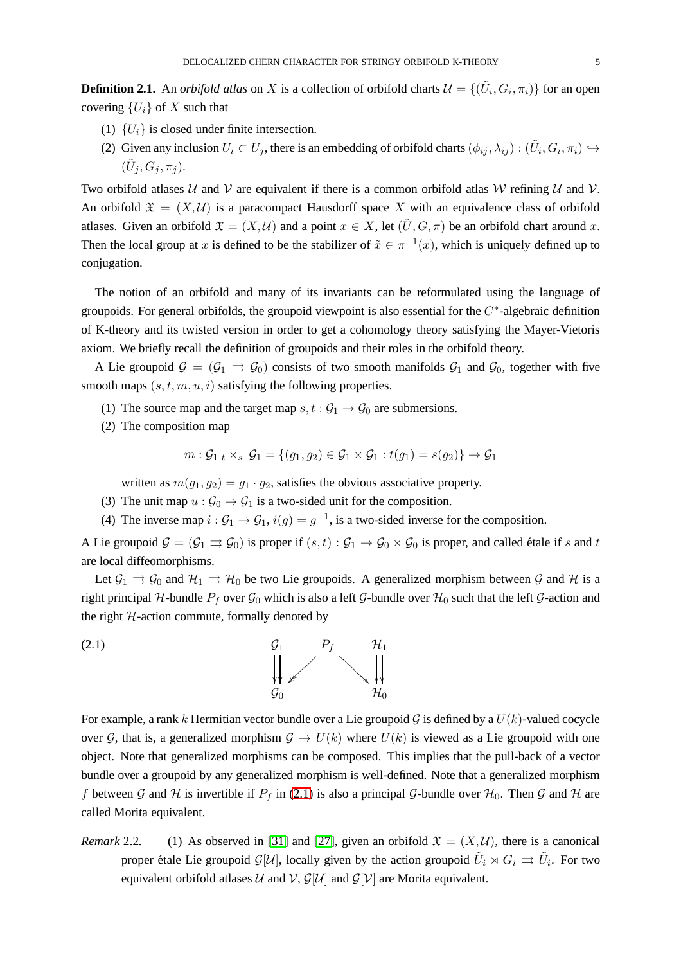**Definition 2.1.** An *orbifold atlas* on X is a collection of orbifold charts  $\mathcal{U} = \{(\tilde{U}_i, G_i, \pi_i)\}\$ for an open covering  $\{U_i\}$  of X such that

- (1)  $\{U_i\}$  is closed under finite intersection.
- (2) Given any inclusion  $U_i\subset U_j$ , there is an embedding of orbifold charts  $(\phi_{ij},\lambda_{ij}):(\tilde U_i,G_i,\pi_i)\hookrightarrow$  $(\tilde U_j, G_j, \pi_j).$

Two orbifold atlases U and V are equivalent if there is a common orbifold atlas W refining U and V. An orbifold  $\mathfrak{X} = (X, \mathcal{U})$  is a paracompact Hausdorff space X with an equivalence class of orbifold atlases. Given an orbifold  $\mathfrak{X} = (X, \mathcal{U})$  and a point  $x \in X$ , let  $(\tilde{U}, G, \pi)$  be an orbifold chart around x. Then the local group at x is defined to be the stabilizer of  $\tilde{x} \in \pi^{-1}(x)$ , which is uniquely defined up to conjugation.

The notion of an orbifold and many of its invariants can be reformulated using the language of groupoids. For general orbifolds, the groupoid viewpoint is also essential for the  $C^*$ -algebraic definition of K-theory and its twisted version in order to get a cohomology theory satisfying the Mayer-Vietoris axiom. We briefly recall the definition of groupoids and their roles in the orbifold theory.

A Lie groupoid  $\mathcal{G} = (\mathcal{G}_1 \implies \mathcal{G}_0)$  consists of two smooth manifolds  $\mathcal{G}_1$  and  $\mathcal{G}_0$ , together with five smooth maps  $(s, t, m, u, i)$  satisfying the following properties.

- (1) The source map and the target map  $s, t : \mathcal{G}_1 \to \mathcal{G}_0$  are submersions.
- (2) The composition map

$$
m: \mathcal{G}_{1\ t} \times_{s} \mathcal{G}_{1} = \{(g_{1}, g_{2}) \in \mathcal{G}_{1} \times \mathcal{G}_{1}: t(g_{1}) = s(g_{2})\} \rightarrow \mathcal{G}_{1}
$$

written as  $m(g_1, g_2) = g_1 \cdot g_2$ , satisfies the obvious associative property.

- (3) The unit map  $u : \mathcal{G}_0 \to \mathcal{G}_1$  is a two-sided unit for the composition.
- (4) The inverse map  $i: \mathcal{G}_1 \to \mathcal{G}_1$ ,  $i(g) = g^{-1}$ , is a two-sided inverse for the composition.

A Lie groupoid  $\mathcal{G} = (\mathcal{G}_1 \rightrightarrows \mathcal{G}_0)$  is proper if  $(s, t) : \mathcal{G}_1 \rightarrow \mathcal{G}_0 \times \mathcal{G}_0$  is proper, and called étale if s and t are local diffeomorphisms.

Let  $\mathcal{G}_1 \rightrightarrows \mathcal{G}_0$  and  $\mathcal{H}_1 \rightrightarrows \mathcal{H}_0$  be two Lie groupoids. A generalized morphism between  $\mathcal{G}$  and  $\mathcal{H}$  is a right principal H-bundle  $P_f$  over  $\mathcal{G}_0$  which is also a left  $\mathcal{G}$ -bundle over  $\mathcal{H}_0$  such that the left  $\mathcal{G}$ -action and the right  $H$ -action commute, formally denoted by

<span id="page-4-0"></span>
$$
\begin{array}{ccc}\n\mathbf{G}_1 & P_f & \mathcal{H}_1 \\
\parallel & \parallel & \parallel & \parallel \\
\mathcal{G}_0 & & \mathcal{H}_0\n\end{array}
$$

For example, a rank k Hermitian vector bundle over a Lie groupoid G is defined by a  $U(k)$ -valued cocycle over G, that is, a generalized morphism  $G \to U(k)$  where  $U(k)$  is viewed as a Lie groupoid with one object. Note that generalized morphisms can be composed. This implies that the pull-back of a vector bundle over a groupoid by any generalized morphism is well-defined. Note that a generalized morphism f between G and H is invertible if  $P_f$  in [\(2.1\)](#page-4-0) is also a principal G-bundle over  $H_0$ . Then G and H are called Morita equivalent.

*Remark* 2.2. (1) As observed in [\[31\]](#page-29-9) and [\[27\]](#page-29-10), given an orbifold  $\mathfrak{X} = (X, \mathcal{U})$ , there is a canonical proper étale Lie groupoid  ${\cal G}[{\cal U}]$ , locally given by the action groupoid  $\tilde{U}_i\rtimes G_i\rightrightarrows \tilde{U}_i.$  For two equivalent orbifold atlases  $U$  and  $V$ ,  $G[U]$  and  $G[V]$  are Morita equivalent.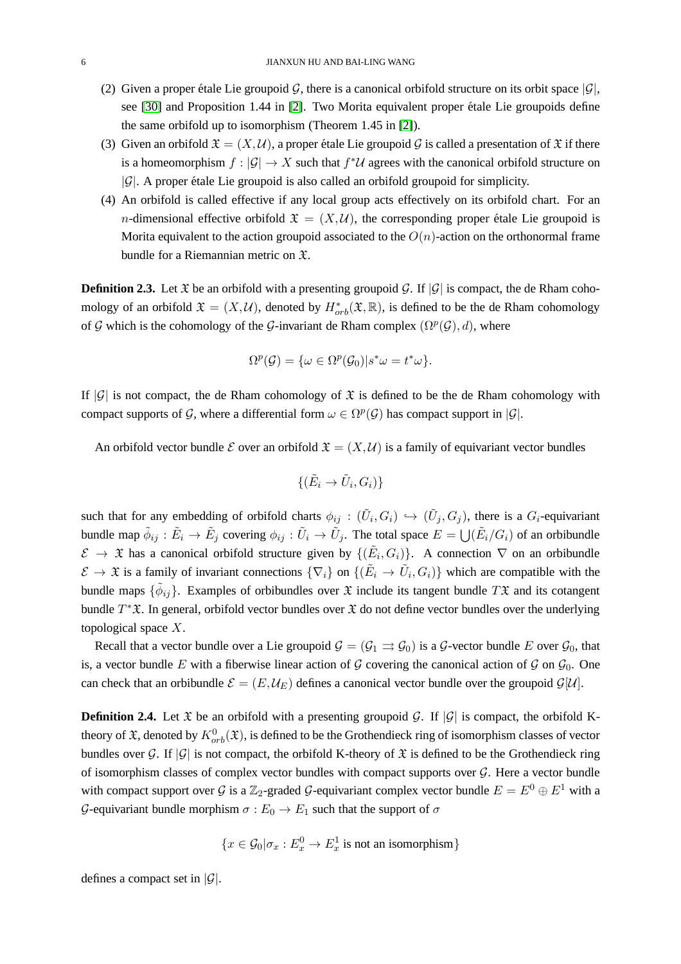- (2) Given a proper étale Lie groupoid G, there is a canonical orbifold structure on its orbit space  $|\mathcal{G}|$ , see  $[30]$  and Proposition 1.44 in  $[2]$ . Two Morita equivalent proper étale Lie groupoids define the same orbifold up to isomorphism (Theorem 1.45 in [\[2\]](#page-28-2)).
- (3) Given an orbifold  $\mathfrak{X} = (X, \mathcal{U})$ , a proper étale Lie groupoid G is called a presentation of  $\mathfrak X$  if there is a homeomorphism  $f: |\mathcal{G}| \to X$  such that  $f^*\mathcal{U}$  agrees with the canonical orbifold structure on  $|\mathcal{G}|$ . A proper étale Lie groupoid is also called an orbifold groupoid for simplicity.
- (4) An orbifold is called effective if any local group acts effectively on its orbifold chart. For an *n*-dimensional effective orbifold  $\mathfrak{X} = (X, \mathcal{U})$ , the corresponding proper étale Lie groupoid is Morita equivalent to the action groupoid associated to the  $O(n)$ -action on the orthonormal frame bundle for a Riemannian metric on X.

<span id="page-5-0"></span>**Definition 2.3.** Let  $\mathfrak{X}$  be an orbifold with a presenting groupoid  $\mathcal{G}$ . If  $|\mathcal{G}|$  is compact, the de Rham cohomology of an orbifold  $\mathfrak{X} = (X, \mathcal{U})$ , denoted by  $H^*_{orb}(\mathfrak{X}, \mathbb{R})$ , is defined to be the de Rham cohomology of G which is the cohomology of the G-invariant de Rham complex  $(\Omega^p(G), d)$ , where

$$
\Omega^p(\mathcal{G}) = \{ \omega \in \Omega^p(\mathcal{G}_0) | s^* \omega = t^* \omega \}.
$$

If  $|G|$  is not compact, the de Rham cohomology of  $\mathfrak X$  is defined to be the de Rham cohomology with compact supports of G, where a differential form  $\omega \in \Omega^p(G)$  has compact support in  $|\mathcal{G}|$ .

An orbifold vector bundle E over an orbifold  $\mathfrak{X} = (X, \mathcal{U})$  is a family of equivariant vector bundles

$$
\{(\tilde{E}_i \to \tilde{U}_i, G_i)\}
$$

such that for any embedding of orbifold charts  $\phi_{ij} : (\tilde{U}_i, G_i) \hookrightarrow (\tilde{U}_j, G_j)$ , there is a  $G_i$ -equivariant bundle map  $\tilde{\phi}_{ij} : \tilde{E}_i \to \tilde{E}_j$  covering  $\phi_{ij} : \tilde{U}_i \to \tilde{U}_j$ . The total space  $E = \bigcup (\tilde{E}_i/G_i)$  of an orbibundle  $\mathcal{E} \to \mathfrak{X}$  has a canonical orbifold structure given by  $\{(\tilde{E}_i, G_i)\}\$ . A connection  $\nabla$  on an orbibundle  $\mathcal{E} \to \mathfrak{X}$  is a family of invariant connections  $\{\nabla_i\}$  on  $\{(\tilde{E}_i \to \tilde{U}_i, G_i)\}\$  which are compatible with the bundle maps  $\{\tilde{\phi}_{ij}\}$ . Examples of orbibundles over  $\mathfrak X$  include its tangent bundle  $T\mathfrak X$  and its cotangent bundle  $T^*\mathfrak{X}$ . In general, orbifold vector bundles over  $\mathfrak{X}$  do not define vector bundles over the underlying topological space X.

Recall that a vector bundle over a Lie groupoid  $\mathcal{G} = (\mathcal{G}_1 \rightrightarrows \mathcal{G}_0)$  is a  $\mathcal{G}$ -vector bundle E over  $\mathcal{G}_0$ , that is, a vector bundle E with a fiberwise linear action of G covering the canonical action of G on  $\mathcal{G}_0$ . One can check that an orbibundle  $\mathcal{E} = (E, \mathcal{U}_E)$  defines a canonical vector bundle over the groupoid  $\mathcal{G}[\mathcal{U}]$ .

**Definition 2.4.** Let  $\mathfrak{X}$  be an orbifold with a presenting groupoid  $\mathcal{G}$ . If  $|\mathcal{G}|$  is compact, the orbifold Ktheory of  $\mathfrak X$ , denoted by  $K^0_{orb}(\mathfrak X)$ , is defined to be the Grothendieck ring of isomorphism classes of vector bundles over G. If  $|\mathcal{G}|$  is not compact, the orbifold K-theory of  $\mathfrak X$  is defined to be the Grothendieck ring of isomorphism classes of complex vector bundles with compact supports over  $\mathcal G$ . Here a vector bundle with compact support over G is a  $\mathbb{Z}_2$ -graded G-equivariant complex vector bundle  $E = E^0 \oplus E^1$  with a G-equivariant bundle morphism  $\sigma : E_0 \to E_1$  such that the support of  $\sigma$ 

$$
\{x \in \mathcal{G}_0 | \sigma_x : E_x^0 \to E_x^1 \text{ is not an isomorphism}\}
$$

defines a compact set in  $|\mathcal{G}|$ .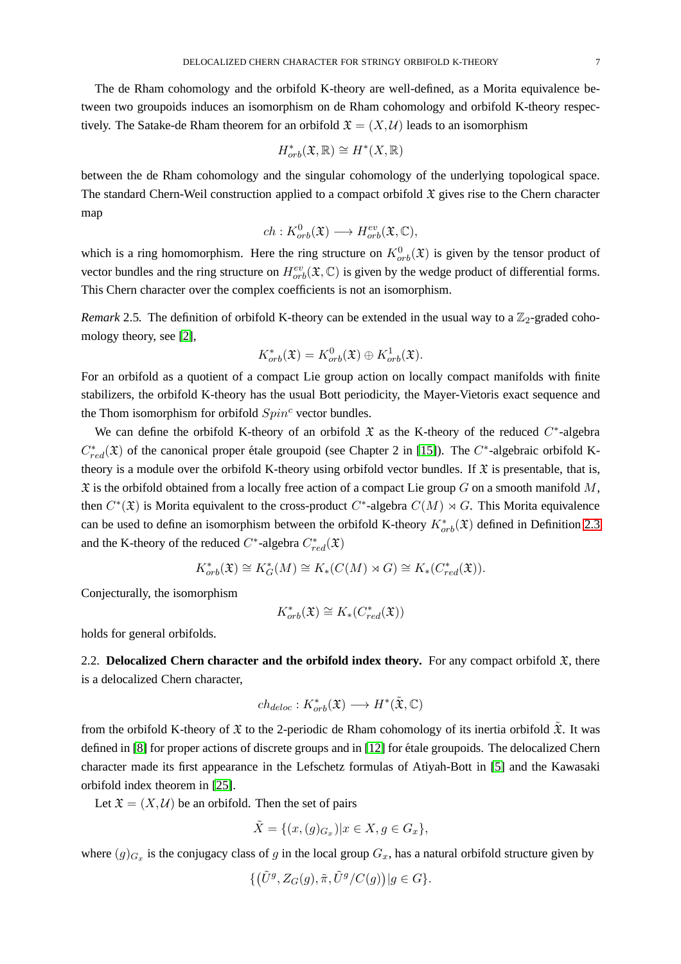The de Rham cohomology and the orbifold K-theory are well-defined, as a Morita equivalence between two groupoids induces an isomorphism on de Rham cohomology and orbifold K-theory respectively. The Satake-de Rham theorem for an orbifold  $\mathfrak{X} = (X, \mathcal{U})$  leads to an isomorphism

$$
H^*_{orb}(\mathfrak{X}, \mathbb{R}) \cong H^*(X, \mathbb{R})
$$

between the de Rham cohomology and the singular cohomology of the underlying topological space. The standard Chern-Weil construction applied to a compact orbifold  $\mathfrak X$  gives rise to the Chern character map

$$
ch: K^0_{orb}(\mathfrak{X}) \longrightarrow H^{ev}_{orb}(\mathfrak{X}, \mathbb{C}),
$$

which is a ring homomorphism. Here the ring structure on  $K_{orb}^0(\mathfrak{X})$  is given by the tensor product of vector bundles and the ring structure on  $H^{ev}_{orb}(\mathfrak{X}, \mathbb{C})$  is given by the wedge product of differential forms. This Chern character over the complex coefficients is not an isomorphism.

*Remark* 2.5. The definition of orbifold K-theory can be extended in the usual way to a  $\mathbb{Z}_2$ -graded cohomology theory, see [\[2\]](#page-28-2),

$$
K^*_{orb}(\mathfrak{X})=K^0_{orb}(\mathfrak{X})\oplus K^1_{orb}(\mathfrak{X}).
$$

For an orbifold as a quotient of a compact Lie group action on locally compact manifolds with finite stabilizers, the orbifold K-theory has the usual Bott periodicity, the Mayer-Vietoris exact sequence and the Thom isomorphism for orbifold  $Spin<sup>c</sup>$  vector bundles.

We can define the orbifold K-theory of an orbifold  $\mathfrak X$  as the K-theory of the reduced  $C^*$ -algebra  $C_{red}^*(\mathfrak{X})$  of the canonical proper étale groupoid (see Chapter 2 in [\[15\]](#page-29-11)). The  $C^*$ -algebraic orbifold Ktheory is a module over the orbifold K-theory using orbifold vector bundles. If  $\mathfrak X$  is presentable, that is,  $\mathfrak X$  is the orbifold obtained from a locally free action of a compact Lie group G on a smooth manifold M, then  $C^*(\mathfrak{X})$  is Morita equivalent to the cross-product  $C^*$ -algebra  $C(M) \rtimes G$ . This Morita equivalence can be used to define an isomorphism between the orbifold K-theory  $K^*_{orb}(\mathfrak{X})$  defined in Definition [2.3](#page-5-0) and the K-theory of the reduced  $C^*$ -algebra  $C^*_{red}(\mathfrak{X})$ 

$$
K_{orb}^*(\mathfrak{X}) \cong K_G^*(M) \cong K_*(C(M) \rtimes G) \cong K_*(C_{red}^*(\mathfrak{X})).
$$

Conjecturally, the isomorphism

$$
K^*_{orb}(\mathfrak{X}) \cong K_*(C^*_{red}(\mathfrak{X}))
$$

holds for general orbifolds.

2.2. **Delocalized Chern character and the orbifold index theory.** For any compact orbifold  $\mathfrak{X}$ , there is a delocalized Chern character,

$$
ch_{deloc}: K^*_{orb}(\mathfrak{X}) \longrightarrow H^*(\tilde{\mathfrak{X}}, \mathbb{C})
$$

from the orbifold K-theory of  $\mathfrak X$  to the 2-periodic de Rham cohomology of its inertia orbifold  $\tilde{\mathfrak X}$ . It was defined in [\[8\]](#page-28-1) for proper actions of discrete groups and in [\[12\]](#page-29-4) for étale groupoids. The delocalized Chern character made its first appearance in the Lefschetz formulas of Atiyah-Bott in [\[5\]](#page-28-3) and the Kawasaki orbifold index theorem in [\[25\]](#page-29-6).

Let  $\mathfrak{X} = (X, \mathcal{U})$  be an orbifold. Then the set of pairs

$$
\tilde{X} = \{(x, (g)_{G_x}) | x \in X, g \in G_x\},\
$$

where  $(g)_{G_x}$  is the conjugacy class of g in the local group  $G_x$ , has a natural orbifold structure given by

$$
\{(\tilde{U}^g, Z_G(g), \tilde{\pi}, \tilde{U}^g/C(g))|g \in G\}.
$$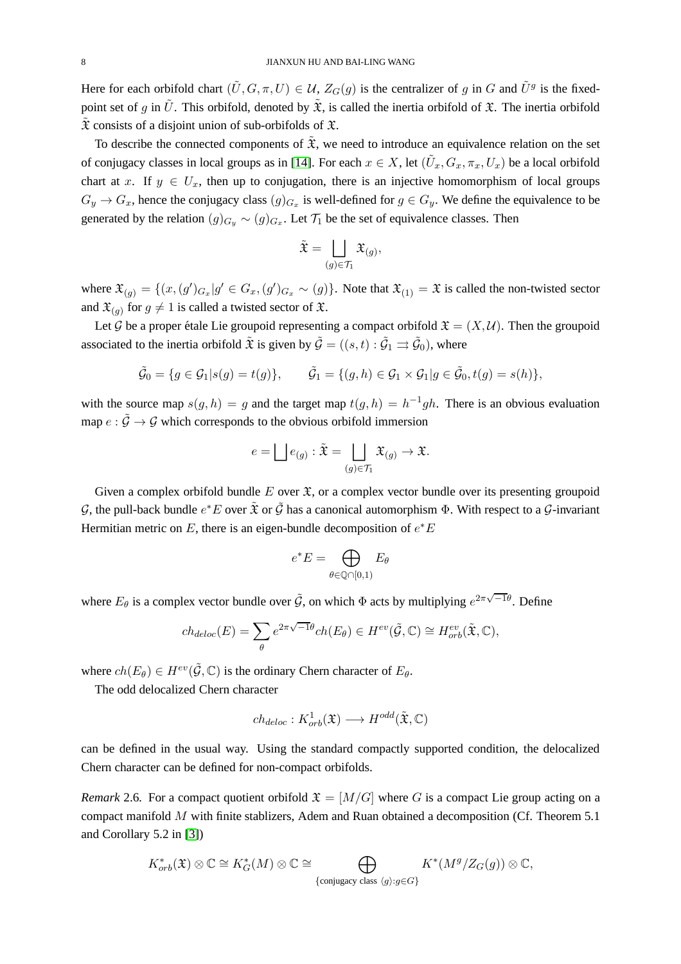Here for each orbifold chart  $(\tilde{U}, G, \pi, U) \in \mathcal{U}$ ,  $Z_G(g)$  is the centralizer of g in G and  $\tilde{U}^g$  is the fixedpoint set of g in  $\tilde{U}$ . This orbifold, denoted by  $\tilde{\mathfrak{X}}$ , is called the inertia orbifold of  $\mathfrak{X}$ . The inertia orbifold  $\tilde{\mathfrak{X}}$  consists of a disjoint union of sub-orbifolds of  $\mathfrak{X}$ .

To describe the connected components of  $\tilde{\mathfrak{X}}$ , we need to introduce an equivalence relation on the set of conjugacy classes in local groups as in [\[14\]](#page-29-0). For each  $x \in X$ , let  $(\tilde{U}_x, G_x, \pi_x, U_x)$  be a local orbifold chart at x. If  $y \in U_x$ , then up to conjugation, there is an injective homomorphism of local groups  $G_y \to G_x$ , hence the conjugacy class  $(g)_{G_x}$  is well-defined for  $g \in G_y$ . We define the equivalence to be generated by the relation  $(g)_{G_y} \sim (g)_{G_x}$ . Let  $\mathcal{T}_1$  be the set of equivalence classes. Then

$$
\tilde{\mathfrak{X}}=\bigsqcup_{(g)\in \mathcal{T}_1}\mathfrak{X}_{(g)},
$$

where  $\mathfrak{X}_{(g)} = \{(x, (g')_{G_x} | g' \in G_x, (g')_{G_x} \sim (g)\}\)$ . Note that  $\mathfrak{X}_{(1)} = \mathfrak{X}$  is called the non-twisted sector and  $\mathfrak{X}_{(g)}$  for  $g \neq 1$  is called a twisted sector of  $\mathfrak{X}$ .

Let G be a proper étale Lie groupoid representing a compact orbifold  $\mathfrak{X} = (X, \mathcal{U})$ . Then the groupoid associated to the inertia orbifold  $\tilde{\mathfrak X}$  is given by  $\tilde{\mathcal G}=((s,t):\tilde{\mathcal G}_1\rightrightarrows \tilde{\mathcal G}_0),$  where

$$
\tilde{\mathcal{G}}_0 = \{ g \in \mathcal{G}_1 | s(g) = t(g) \}, \qquad \tilde{\mathcal{G}}_1 = \{ (g, h) \in \mathcal{G}_1 \times \mathcal{G}_1 | g \in \tilde{\mathcal{G}}_0, t(g) = s(h) \},
$$

with the source map  $s(g, h) = g$  and the target map  $t(g, h) = h^{-1}gh$ . There is an obvious evaluation map  $e : \tilde{\mathcal{G}} \to \mathcal{G}$  which corresponds to the obvious orbifold immersion

$$
e = \bigsqcup e_{(g)} : \tilde{\mathfrak{X}} = \bigsqcup_{(g) \in \mathcal{T}_1} \mathfrak{X}_{(g)} \to \mathfrak{X}.
$$

Given a complex orbifold bundle  $E$  over  $\mathfrak{X}$ , or a complex vector bundle over its presenting groupoid G, the pull-back bundle  $e^*E$  over  $\tilde{\mathfrak X}$  or  $\tilde{\mathcal G}$  has a canonical automorphism  $\Phi$ . With respect to a G-invariant Hermitian metric on E, there is an eigen-bundle decomposition of  $e^*E$ 

$$
e^*E = \bigoplus_{\theta \in \mathbb{Q} \cap [0,1)} E_{\theta}
$$

where  $E_{\theta}$  is a complex vector bundle over  $\tilde{G}$ , on which  $\Phi$  acts by multiplying  $e^{2\pi\sqrt{-1}\theta}$ . Define

$$
ch_{deloc}(E) = \sum_{\theta} e^{2\pi\sqrt{-1}\theta} ch(E_{\theta}) \in H^{ev}(\tilde{\mathcal{G}}, \mathbb{C}) \cong H^{ev}_{orb}(\tilde{\mathfrak{X}}, \mathbb{C}),
$$

where  $ch(E_{\theta}) \in H^{ev}(\tilde{\mathcal{G}}, \mathbb{C})$  is the ordinary Chern character of  $E_{\theta}$ .

The odd delocalized Chern character

$$
ch_{deloc}: K^1_{orb}(\mathfrak{X}) \longrightarrow H^{odd}(\tilde{\mathfrak{X}}, \mathbb{C})
$$

can be defined in the usual way. Using the standard compactly supported condition, the delocalized Chern character can be defined for non-compact orbifolds.

*Remark* 2.6. For a compact quotient orbifold  $\mathfrak{X} = [M/G]$  where G is a compact Lie group acting on a compact manifold  $M$  with finite stablizers, Adem and Ruan obtained a decomposition (Cf. Theorem 5.1) and Corollary 5.2 in [\[3\]](#page-28-4))

$$
K_{orb}^*(\mathfrak{X}) \otimes \mathbb{C} \cong K_G^*(M) \otimes \mathbb{C} \cong \bigoplus_{\{\text{conjugacy class } \langle g \rangle : g \in G\}} K^*(M^g/Z_G(g)) \otimes \mathbb{C},
$$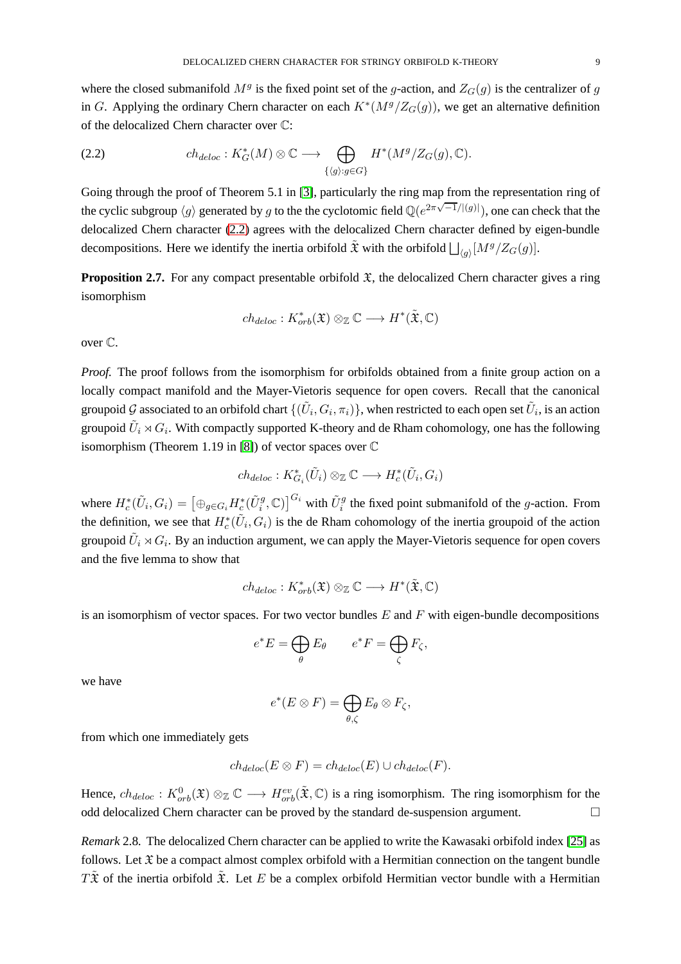where the closed submanifold  $M<sup>g</sup>$  is the fixed point set of the g-action, and  $Z<sub>G</sub>(g)$  is the centralizer of g in G. Applying the ordinary Chern character on each  $K^*(M^g/Z_G(g))$ , we get an alternative definition of the delocalized Chern character over C:

<span id="page-8-0"></span>(2.2) 
$$
ch_{deloc}: K^*_G(M) \otimes \mathbb{C} \longrightarrow \bigoplus_{\{\langle g\rangle : g \in G\}} H^*(M^g/Z_G(g), \mathbb{C}).
$$

Going through the proof of Theorem 5.1 in [\[3\]](#page-28-4), particularly the ring map from the representation ring of the cyclic subgroup  $\langle g \rangle$  generated by g to the the cyclotomic field  $\mathbb{Q}(e^{2\pi\sqrt{-1}/|(g)|})$ , one can check that the delocalized Chern character [\(2.2\)](#page-8-0) agrees with the delocalized Chern character defined by eigen-bundle decompositions. Here we identify the inertia orbifold  $\tilde{\mathfrak{X}}$  with the orbifold  $\bigsqcup_{\langle g \rangle}[M^g/Z_G(g)]$ .

<span id="page-8-2"></span>**Proposition 2.7.** For any compact presentable orbifold  $\mathfrak{X}$ , the delocalized Chern character gives a ring isomorphism

$$
\mathit{ch}_{deloc}: K^*_{orb}(\mathfrak{X}) \otimes_{\mathbb{Z}} \mathbb{C} \longrightarrow H^*(\tilde{\mathfrak{X}}, \mathbb{C})
$$

over C.

*Proof.* The proof follows from the isomorphism for orbifolds obtained from a finite group action on a locally compact manifold and the Mayer-Vietoris sequence for open covers. Recall that the canonical groupoid  $\cal G$  associated to an orbifold chart  $\{(\tilde U_i,G_i,\pi_i)\}$ , when restricted to each open set  $\tilde U_i$ , is an action groupoid  $\tilde{U}_i \rtimes G_i$ . With compactly supported K-theory and de Rham cohomology, one has the following isomorphism (Theorem 1.19 in [\[8\]](#page-28-1)) of vector spaces over C

$$
ch_{deloc}: K^*_{G_i}(\tilde{U}_i) \otimes_{\mathbb{Z}} \mathbb{C} \longrightarrow H^*_c(\tilde{U}_i, G_i)
$$

where  $H_c^*(\tilde{U}_i, G_i) = [\bigoplus_{g \in G_i} H_c^*(\tilde{U}_i^g, \mathbb{C})]^{G_i}$  with  $\tilde{U}_i^g$  the fixed point submanifold of the *g*-action. From the definition, we see that  $H_c^*(\tilde{U}_i, G_i)$  is the de Rham cohomology of the inertia groupoid of the action groupoid  $\tilde{U}_i \rtimes G_i$ . By an induction argument, we can apply the Mayer-Vietoris sequence for open covers and the five lemma to show that

$$
\mathit{ch}_{deloc}: K^*_{orb}(\mathfrak{X}) \otimes_{\mathbb{Z}} \mathbb{C} \longrightarrow H^*(\tilde{\mathfrak{X}}, \mathbb{C})
$$

is an isomorphism of vector spaces. For two vector bundles  $E$  and  $F$  with eigen-bundle decompositions

$$
e^*E = \bigoplus_{\theta} E_{\theta} \qquad e^*F = \bigoplus_{\zeta} F_{\zeta},
$$

we have

$$
e^*(E \otimes F) = \bigoplus_{\theta,\zeta} E_{\theta} \otimes F_{\zeta},
$$

from which one immediately gets

$$
ch_{deloc}(E \otimes F) = ch_{deloc}(E) \cup ch_{deloc}(F).
$$

Hence,  $ch_{deloc}: K^0_{orb}(\mathfrak{X}) \otimes_{\mathbb{Z}} \mathbb{C} \longrightarrow H^{ev}_{orb}(\tilde{\mathfrak{X}}, \mathbb{C})$  is a ring isomorphism. The ring isomorphism for the odd delocalized Chern character can be proved by the standard de-suspension argument.

<span id="page-8-1"></span>*Remark* 2.8*.* The delocalized Chern character can be applied to write the Kawasaki orbifold index [\[25\]](#page-29-6) as follows. Let  $\mathfrak X$  be a compact almost complex orbifold with a Hermitian connection on the tangent bundle  $T\tilde{\mathfrak{X}}$  of the inertia orbifold  $\tilde{\mathfrak{X}}$ . Let E be a complex orbifold Hermitian vector bundle with a Hermitian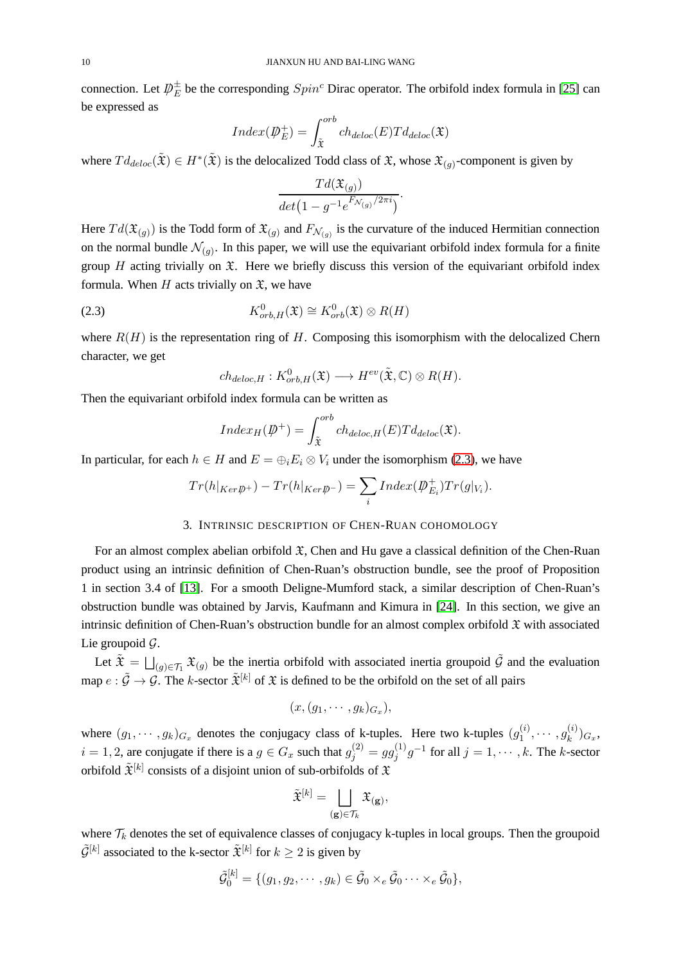connection. Let  $\psi_E^{\pm}$  be the corresponding  $Spin^c$  Dirac operator. The orbifold index formula in [\[25\]](#page-29-6) can be expressed as

$$
Index(\mathcal{D}_{E}^{+}) = \int_{\tilde{\mathfrak{X}}}^{orb} ch_{deloc}(E) T d_{deloc}(\mathfrak{X})
$$

where  $Td_{deloc}(\tilde{\mathfrak{X}}) \in H^*(\tilde{\mathfrak{X}})$  is the delocalized Todd class of  $\mathfrak{X}$ , whose  $\mathfrak{X}_{(g)}$ -component is given by

$$
\frac{Td(\mathfrak{X}_{(g)})}{det(1-g^{-1}e^{F_{\mathcal{N}_{(g)}}/2\pi i})}.
$$

Here  $Td(\mathfrak{X}_{(g)})$  is the Todd form of  $\mathfrak{X}_{(g)}$  and  $F_{\mathcal{N}_{(g)}}$  is the curvature of the induced Hermitian connection on the normal bundle  $\mathcal{N}_{(g)}$ . In this paper, we will use the equivariant orbifold index formula for a finite group  $H$  acting trivially on  $\mathfrak X$ . Here we briefly discuss this version of the equivariant orbifold index formula. When H acts trivially on  $\mathfrak{X}$ , we have

(2.3) 
$$
K_{orb,H}^0(\mathfrak{X}) \cong K_{orb}^0(\mathfrak{X}) \otimes R(H)
$$

where  $R(H)$  is the representation ring of H. Composing this isomorphism with the delocalized Chern character, we get

<span id="page-9-0"></span>
$$
ch_{deloc,H}: K^0_{orb,H}(\mathfrak{X}) \longrightarrow H^{ev}(\tilde{\mathfrak{X}}, \mathbb{C}) \otimes R(H).
$$

Then the equivariant orbifold index formula can be written as

$$
Index_H(\psi^+) = \int_{\tilde{\mathfrak{X}}}^{orb} ch_{deloc,H}(E) T d_{deloc}(\mathfrak{X}).
$$

In particular, for each  $h \in H$  and  $E = \bigoplus_i E_i \otimes V_i$  under the isomorphism [\(2.3\)](#page-9-0), we have

$$
Tr(h|_{Ker\mathcal{P}^+}) - Tr(h|_{Ker\mathcal{P}^-}) = \sum_i Index(\mathcal{P}^+_{E_i}) Tr(g|_{V_i}).
$$

# 3. INTRINSIC DESCRIPTION OF CHEN-RUAN COHOMOLOGY

For an almost complex abelian orbifold  $\mathfrak{X}$ , Chen and Hu gave a classical definition of the Chen-Ruan product using an intrinsic definition of Chen-Ruan's obstruction bundle, see the proof of Proposition 1 in section 3.4 of [\[13\]](#page-29-5). For a smooth Deligne-Mumford stack, a similar description of Chen-Ruan's obstruction bundle was obtained by Jarvis, Kaufmann and Kimura in [\[24\]](#page-29-1). In this section, we give an intrinsic definition of Chen-Ruan's obstruction bundle for an almost complex orbifold  $\mathfrak X$  with associated Lie groupoid  $\mathcal{G}$ .

Let  $\tilde{\mathfrak{X}} = \bigsqcup_{(g) \in \mathcal{T}_1} \mathfrak{X}_{(g)}$  be the inertia orbifold with associated inertia groupoid  $\tilde{\mathcal{G}}$  and the evaluation map  $e : \tilde{\mathcal{G}} \to \mathcal{G}$ . The k-sector  $\tilde{\mathfrak{X}}^{[k]}$  of  $\mathfrak{X}$  is defined to be the orbifold on the set of all pairs

$$
(x,(g_1,\cdots,g_k)_{G_x}),
$$

where  $(g_1, \dots, g_k)_{G_x}$  denotes the conjugacy class of k-tuples. Here two k-tuples  $(g_1^{(i)})$  $g_k^{(i)},\cdots,g_k^{(i)}$  $\binom{[i]}{k}G_x,$  $i = 1, 2$ , are conjugate if there is a  $g \in G_x$  such that  $g_j^{(2)} = gg_j^{(1)}$  $j^{(1)}g^{-1}$  for all  $j = 1, \cdots, k$ . The k-sector orbifold  $\tilde{\mathfrak{X}}^{[k]}$  consists of a disjoint union of sub-orbifolds of  $\mathfrak X$ 

$$
\tilde{\mathfrak{X}}^{[k]} = \bigsqcup_{(\mathbf{g}) \in \mathcal{T}_k} \mathfrak{X}_{(\mathbf{g})},
$$

where  $\mathcal{T}_k$  denotes the set of equivalence classes of conjugacy k-tuples in local groups. Then the groupoid  $\tilde{\mathcal{G}}^{[k]}$  associated to the k-sector  $\tilde{\mathfrak{X}}^{[k]}$  for  $k \geq 2$  is given by

$$
\tilde{\mathcal{G}}_0^{[k]} = \{ (g_1, g_2, \cdots, g_k) \in \tilde{\mathcal{G}}_0 \times_e \tilde{\mathcal{G}}_0 \cdots \times_e \tilde{\mathcal{G}}_0 \},\
$$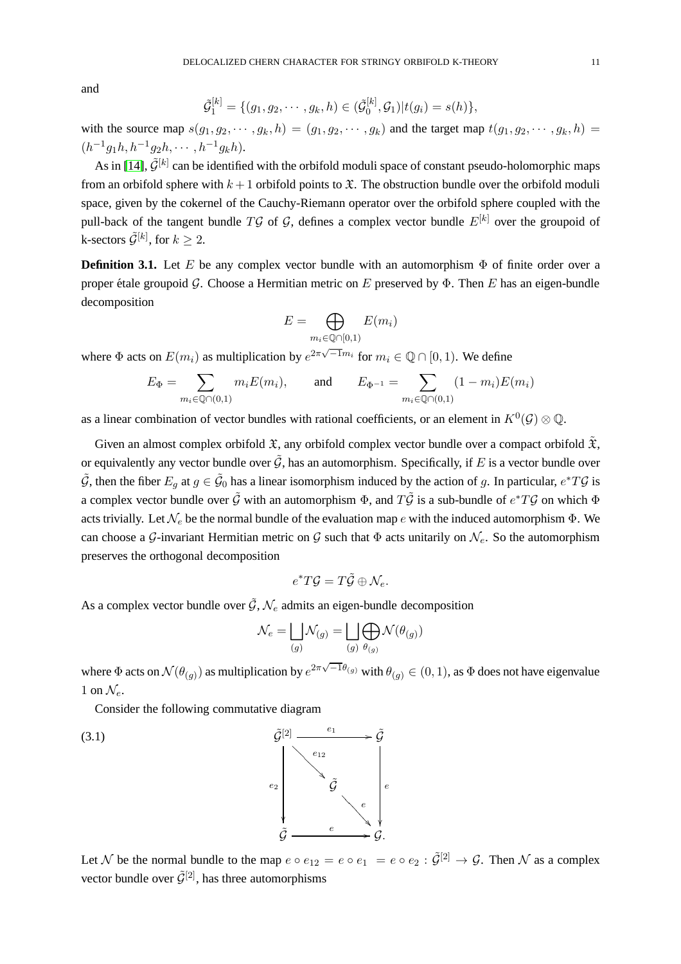and

$$
\tilde{\mathcal{G}}_1^{[k]} = \{ (g_1, g_2, \cdots, g_k, h) \in (\tilde{\mathcal{G}}_0^{[k]}, \mathcal{G}_1) | t(g_i) = s(h) \},\
$$

with the source map  $s(g_1, g_2, \dots, g_k, h) = (g_1, g_2, \dots, g_k)$  and the target map  $t(g_1, g_2, \dots, g_k, h) =$  $(h^{-1}g_1h, h^{-1}g_2h, \cdots, h^{-1}g_kh).$ 

As in [\[14\]](#page-29-0),  $\tilde{\mathcal{G}}^{[k]}$  can be identified with the orbifold moduli space of constant pseudo-holomorphic maps from an orbifold sphere with  $k + 1$  orbifold points to  $\mathfrak X$ . The obstruction bundle over the orbifold moduli space, given by the cokernel of the Cauchy-Riemann operator over the orbifold sphere coupled with the pull-back of the tangent bundle  $T\mathcal{G}$  of  $\mathcal{G}$ , defines a complex vector bundle  $E^{[k]}$  over the groupoid of k-sectors  $\tilde{\mathcal{G}}^{[k]}$ , for  $k\geq 2$ .

<span id="page-10-0"></span>**Definition 3.1.** Let E be any complex vector bundle with an automorphism  $\Phi$  of finite order over a proper étale groupoid G. Choose a Hermitian metric on E preserved by  $\Phi$ . Then E has an eigen-bundle decomposition

$$
E = \bigoplus_{m_i \in \mathbb{Q} \cap [0,1)} E(m_i)
$$

where  $\Phi$  acts on  $E(m_i)$  as multiplication by  $e^{2\pi\sqrt{-1}m_i}$  for  $m_i \in \mathbb{Q} \cap [0,1)$ . We define

$$
E_{\Phi} = \sum_{m_i \in \mathbb{Q} \cap (0,1)} m_i E(m_i),
$$
 and  $E_{\Phi^{-1}} = \sum_{m_i \in \mathbb{Q} \cap (0,1)} (1 - m_i) E(m_i)$ 

as a linear combination of vector bundles with rational coefficients, or an element in  $K^0(\mathcal{G})\otimes\mathbb{Q}$ .

Given an almost complex orbifold  $\mathfrak{X}$ , any orbifold complex vector bundle over a compact orbifold  $\mathfrak{X}$ , or equivalently any vector bundle over  $\tilde{G}$ , has an automorphism. Specifically, if E is a vector bundle over  $\tilde{G}$ , then the fiber  $E_g$  at  $g \in \tilde{G}_0$  has a linear isomorphism induced by the action of g. In particular,  $e^*T\mathcal{G}$  is a complex vector bundle over  $\tilde{G}$  with an automorphism  $\Phi$ , and  $T\tilde{\mathcal{G}}$  is a sub-bundle of  $e^*T\mathcal{G}$  on which  $\Phi$ acts trivially. Let  $\mathcal{N}_e$  be the normal bundle of the evaluation map e with the induced automorphism  $\Phi$ . We can choose a G-invariant Hermitian metric on G such that  $\Phi$  acts unitarily on  $\mathcal{N}_{e}$ . So the automorphism preserves the orthogonal decomposition

$$
e^*T\mathcal{G}=T\tilde{\mathcal{G}}\oplus \mathcal{N}_e.
$$

As a complex vector bundle over  $\tilde{G}$ ,  $\mathcal{N}_e$  admits an eigen-bundle decomposition

<span id="page-10-1"></span>
$$
\mathcal{N}_e = \bigsqcup_{(g)} \mathcal{N}_{(g)} = \bigsqcup_{(g)} \bigoplus_{\theta_{(g)}} \mathcal{N}(\theta_{(g)})
$$

where  $\Phi$  acts on  $\mathcal{N}(\theta_{(g)})$  as multiplication by  $e^{2\pi\sqrt{-1}\theta_{(g)}}$  with  $\theta_{(g)}\in(0,1)$ , as  $\Phi$  does not have eigenvalue 1 on  $\mathcal{N}_{e}$ .

Consider the following commutative diagram



Let N be the normal bundle to the map  $e \circ e_{12} = e \circ e_1 = e \circ e_2 : \tilde{\mathcal{G}}^{[2]} \to \mathcal{G}$ . Then N as a complex vector bundle over  $\tilde{G}^{[2]}$ , has three automorphisms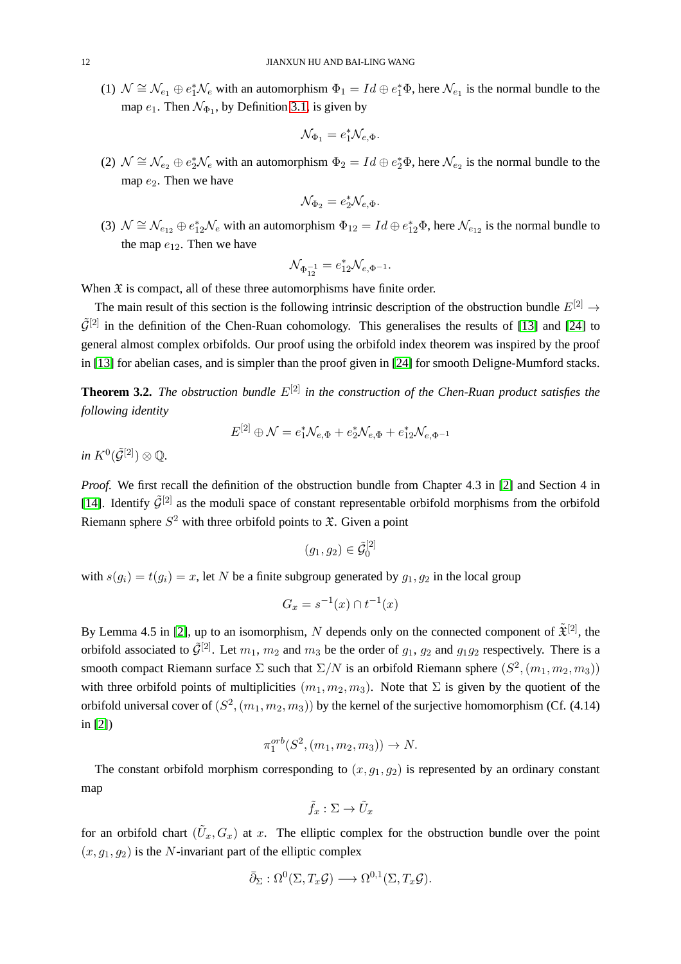(1)  $\mathcal{N} \cong \mathcal{N}_{e_1} \oplus e_1^* \mathcal{N}_e$  with an automorphism  $\Phi_1 = Id \oplus e_1^* \Phi$ , here  $\mathcal{N}_{e_1}$  is the normal bundle to the map  $e_1$ . Then  $\mathcal{N}_{\Phi_1}$ , by Definition [3.1,](#page-10-0) is given by

$$
\mathcal{N}_{\Phi_1} = e_1^* \mathcal{N}_{e, \Phi}.
$$

(2)  $\mathcal{N} \cong \mathcal{N}_{e_2} \oplus e_2^* \mathcal{N}_e$  with an automorphism  $\Phi_2 = Id \oplus e_2^* \Phi$ , here  $\mathcal{N}_{e_2}$  is the normal bundle to the map  $e_2$ . Then we have

$$
\mathcal{N}_{\Phi_2} = e_2^* \mathcal{N}_{e, \Phi}.
$$

(3)  $\mathcal{N} \cong \mathcal{N}_{e_{12}} \oplus e_{12}^* \mathcal{N}_e$  with an automorphism  $\Phi_{12} = Id \oplus e_{12}^* \Phi$ , here  $\mathcal{N}_{e_{12}}$  is the normal bundle to the map  $e_{12}$ . Then we have

$$
\mathcal{N}_{\Phi_{12}^{-1}} = e_{12}^* \mathcal{N}_{e, \Phi^{-1}}.
$$

When  $\mathfrak X$  is compact, all of these three automorphisms have finite order.

The main result of this section is the following intrinsic description of the obstruction bundle  $E^{[2]} \rightarrow$  $\tilde{\mathcal{G}}^{[2]}$  in the definition of the Chen-Ruan cohomology. This generalises the results of [\[13\]](#page-29-5) and [\[24\]](#page-29-1) to general almost complex orbifolds. Our proof using the orbifold index theorem was inspired by the proof in [\[13\]](#page-29-5) for abelian cases, and is simpler than the proof given in [\[24\]](#page-29-1) for smooth Deligne-Mumford stacks.

<span id="page-11-0"></span>**Theorem 3.2.** *The obstruction bundle*  $E^{[2]}$  *in the construction of the Chen-Ruan product satisfies the following identity*

$$
E^{[2]} \oplus \mathcal{N} = e_1^* \mathcal{N}_{e, \Phi} + e_2^* \mathcal{N}_{e, \Phi} + e_{12}^* \mathcal{N}_{e, \Phi^{-1}}
$$

 $in\ K^{0}(\tilde{\mathcal{G}}^{[2]})\otimes \mathbb{Q}.$ 

*Proof.* We first recall the definition of the obstruction bundle from Chapter 4.3 in [\[2\]](#page-28-2) and Section 4 in [\[14\]](#page-29-0). Identify  $\tilde{\mathcal{G}}^{[2]}$  as the moduli space of constant representable orbifold morphisms from the orbifold Riemann sphere  $S^2$  with three orbifold points to  $\mathfrak{X}$ . Given a point

$$
(g_1,g_2)\in\tilde{\mathcal{G}}_0^{[2]}
$$

with  $s(g_i) = t(g_i) = x$ , let N be a finite subgroup generated by  $g_1, g_2$  in the local group

$$
G_x = s^{-1}(x) \cap t^{-1}(x)
$$

By Lemma 4.5 in [\[2\]](#page-28-2), up to an isomorphism, N depends only on the connected component of  $\tilde{\mathfrak{X}}^{[2]}$ , the orbifold associated to  $\tilde{\mathcal{G}}^{[2]}$ . Let  $m_1, m_2$  and  $m_3$  be the order of  $g_1, g_2$  and  $g_1g_2$  respectively. There is a smooth compact Riemann surface  $\Sigma$  such that  $\Sigma/N$  is an orbifold Riemann sphere  $(S^2, (m_1, m_2, m_3))$ with three orbifold points of multiplicities  $(m_1, m_2, m_3)$ . Note that  $\Sigma$  is given by the quotient of the orbifold universal cover of  $(S^2,(m_1,m_2,m_3))$  by the kernel of the surjective homomorphism (Cf. (4.14) in [\[2\]](#page-28-2))

$$
\pi_1^{orb}(S^2, (m_1, m_2, m_3)) \to N.
$$

The constant orbifold morphism corresponding to  $(x, g_1, g_2)$  is represented by an ordinary constant map

$$
\tilde{f}_x:\Sigma\to \tilde{U}_x
$$

for an orbifold chart  $(\tilde{U}_x, G_x)$  at x. The elliptic complex for the obstruction bundle over the point  $(x, g_1, g_2)$  is the N-invariant part of the elliptic complex

$$
\bar{\partial}_{\Sigma} : \Omega^0(\Sigma, T_x \mathcal{G}) \longrightarrow \Omega^{0,1}(\Sigma, T_x \mathcal{G}).
$$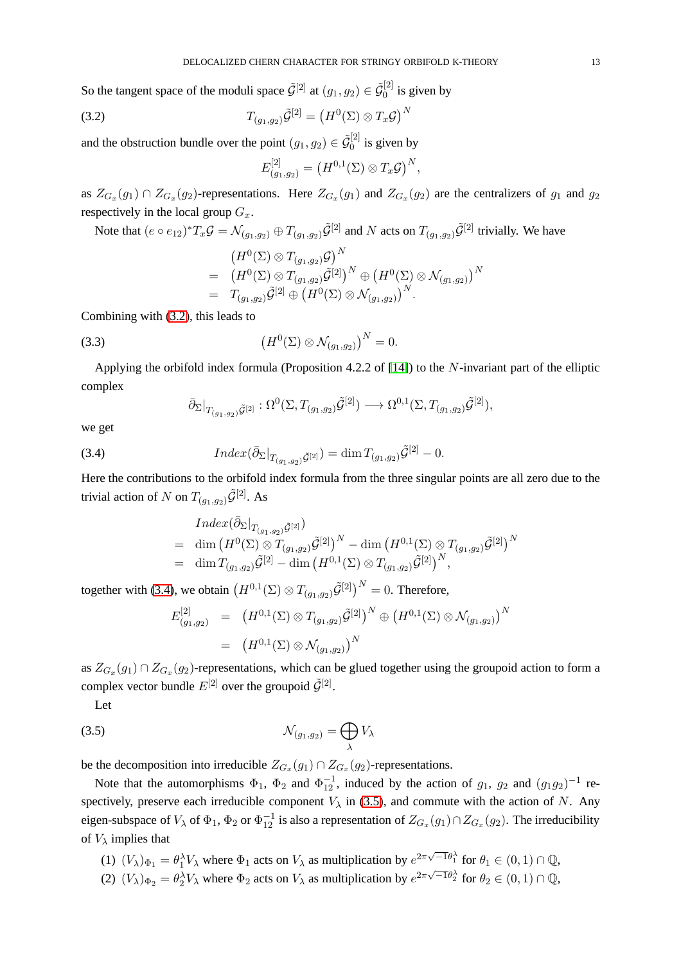So the tangent space of the moduli space  $\tilde{\mathcal{G}}^{[2]}$  at  $(g_1, g_2) \in \tilde{\mathcal{G}}_0^{[2]}$  $\int_0^{\lfloor 2 \rfloor}$  is given by

$$
(3.2) \t\t T_{(g_1,g_2)}\tilde{\mathcal{G}}^{[2]} = \left(H^0(\Sigma) \otimes T_x\mathcal{G}\right)^N
$$

and the obstruction bundle over the point  $(g_1, g_2) \in \tilde{\mathcal{G}}_0^{[2]}$  $\int_0^{\lfloor 2 \rfloor}$  is given by

<span id="page-12-0"></span>
$$
E^{[2]}_{(g_1,g_2)}=\big(H^{0,1}(\Sigma)\otimes T_x\mathcal{G}\big)^N,
$$

as  $Z_{G_x}(g_1) \cap Z_{G_x}(g_2)$ -representations. Here  $Z_{G_x}(g_1)$  and  $Z_{G_x}(g_2)$  are the centralizers of  $g_1$  and  $g_2$ respectively in the local group  $G_x$ .

Note that  $(e \circ e_{12})^*T_x \mathcal{G} = \mathcal{N}_{(g_1, g_2)} \oplus T_{(g_1, g_2)} \tilde{\mathcal{G}}^{[2]}$  and  $N$  acts on  $T_{(g_1, g_2)} \tilde{\mathcal{G}}^{[2]}$  trivially. We have

<span id="page-12-3"></span>
$$
(H^0(\Sigma)\otimes T_{(g_1,g_2)}\mathcal{G})^N = (H^0(\Sigma)\otimes T_{(g_1,g_2)}\tilde{\mathcal{G}}^{[2]})^N \oplus (H^0(\Sigma)\otimes \mathcal{N}_{(g_1,g_2)})^N = T_{(g_1,g_2)}\tilde{\mathcal{G}}^{[2]}\oplus (H^0(\Sigma)\otimes \mathcal{N}_{(g_1,g_2)})^N.
$$

Combining with [\(3.2\)](#page-12-0), this leads to

(3.3) 
$$
\left(H^0(\Sigma) \otimes \mathcal{N}_{(g_1,g_2)}\right)^N = 0.
$$

Applying the orbifold index formula (Proposition 4.2.2 of [\[14\]](#page-29-0)) to the N-invariant part of the elliptic complex

<span id="page-12-1"></span>
$$
\overline{\partial}_{\Sigma}|_{T_{(g_1,g_2)}\tilde{\mathcal{G}}^{[2]}}:\Omega^0(\Sigma,T_{(g_1,g_2)}\tilde{\mathcal{G}}^{[2]})\longrightarrow\Omega^{0,1}(\Sigma,T_{(g_1,g_2)}\tilde{\mathcal{G}}^{[2]}),
$$

we get

(3.4) 
$$
Index(\bar{\partial}_{\Sigma}|_{T_{(g_1,g_2)}\tilde{\mathcal{G}}^{[2]}})=\dim T_{(g_1,g_2)}\tilde{\mathcal{G}}^{[2]}-0.
$$

Here the contributions to the orbifold index formula from the three singular points are all zero due to the trivial action of N on  $T_{(q_1,q_2)}\tilde{\mathcal{G}}^{[2]}$ . As

$$
\begin{array}{lll} \quad Index(\bar{\partial}_{\Sigma}|_{T_{(g_1, g_2)}\tilde{\mathcal{G}}^{[2]}}) \\ = & \dim\big(H^0(\Sigma)\otimes T_{(g_1, g_2)}\tilde{\mathcal{G}}^{[2]}\big)^N - \dim\big(H^{0,1}(\Sigma)\otimes T_{(g_1, g_2)}\tilde{\mathcal{G}}^{[2]}\big)^N \\ = & \dim T_{(g_1, g_2)}\tilde{\mathcal{G}}^{[2]} - \dim\big(H^{0,1}(\Sigma)\otimes T_{(g_1, g_2)}\tilde{\mathcal{G}}^{[2]}\big)^N, \end{array}
$$

together with [\(3.4\)](#page-12-1), we obtain  $\left(H^{0,1}(\Sigma) \otimes T_{(g_1, g_2)} \tilde{\mathcal{G}}^{[2]}\right)^N = 0$ . Therefore,

<span id="page-12-2"></span>
$$
E_{(g_1,g_2)}^{[2]} = (H^{0,1}(\Sigma) \otimes T_{(g_1,g_2)} \tilde{\mathcal{G}}^{[2]})^N \oplus (H^{0,1}(\Sigma) \otimes \mathcal{N}_{(g_1,g_2)})^N
$$
  
= 
$$
(H^{0,1}(\Sigma) \otimes \mathcal{N}_{(g_1,g_2)})^N
$$

as  $Z_{G_x}(g_1) \cap Z_{G_x}(g_2)$ -representations, which can be glued together using the groupoid action to form a complex vector bundle  $E^{[2]}$  over the groupoid  $\tilde{\mathcal{G}}^{[2]}$ .

Let

$$
N_{(g_1,g_2)} = \bigoplus_{\lambda} V_{\lambda}
$$

be the decomposition into irreducible  $Z_{G_x}(g_1) \cap Z_{G_x}(g_2)$ -representations.

Note that the automorphisms  $\Phi_1$ ,  $\Phi_2$  and  $\Phi_{12}^{-1}$ , induced by the action of  $g_1$ ,  $g_2$  and  $(g_1g_2)^{-1}$  respectively, preserve each irreducible component  $V_{\lambda}$  in [\(3.5\)](#page-12-2), and commute with the action of N. Any eigen-subspace of  $V_\lambda$  of  $\Phi_1$ ,  $\Phi_2$  or  $\Phi_{12}^{-1}$  is also a representation of  $Z_{G_x}(g_1) \cap Z_{G_x}(g_2)$ . The irreducibility of  $V_{\lambda}$  implies that

- (1)  $(V_\lambda)_{\Phi_1} = \theta_1^{\lambda} V_\lambda$  where  $\Phi_1$  acts on  $V_\lambda$  as multiplication by  $e^{2\pi\sqrt{-1}\theta_1^{\lambda}}$  for  $\theta_1 \in (0,1) \cap \mathbb{Q}$ ,
- (2)  $(V_\lambda)_{\Phi_2} = \theta_2^{\lambda} V_\lambda$  where  $\Phi_2$  acts on  $V_\lambda$  as multiplication by  $e^{2\pi\sqrt{-1}\theta_2^{\lambda}}$  for  $\theta_2 \in (0,1) \cap \mathbb{Q}$ ,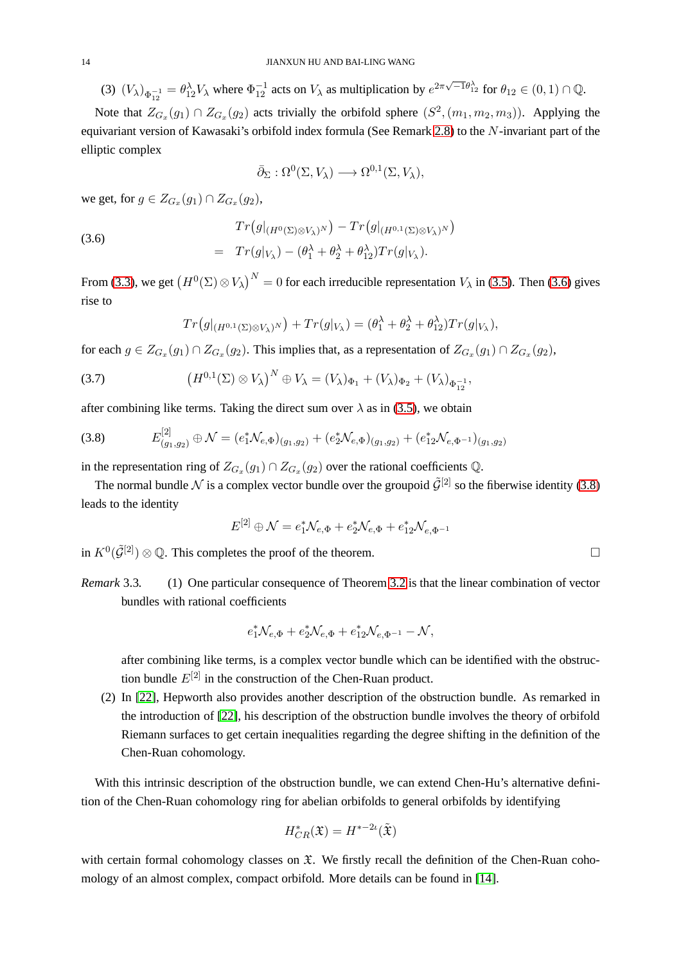(3)  $(V_\lambda)_{\Phi_{12}^{-1}} = \theta_{12}^{\lambda} V_\lambda$  where  $\Phi_{12}^{-1}$  acts on  $V_\lambda$  as multiplication by  $e^{2\pi\sqrt{-1}\theta_{12}^{\lambda}}$  for  $\theta_{12} \in (0,1) \cap \mathbb{Q}$ .

Note that  $Z_{G_x}(g_1) \cap Z_{G_x}(g_2)$  acts trivially the orbifold sphere  $(S^2, (m_1, m_2, m_3))$ . Applying the equivariant version of Kawasaki's orbifold index formula (See Remark [2.8\)](#page-8-1) to the N-invariant part of the elliptic complex

<span id="page-13-0"></span>
$$
\bar{\partial}_{\Sigma} : \Omega^{0}(\Sigma, V_{\lambda}) \longrightarrow \Omega^{0,1}(\Sigma, V_{\lambda}),
$$

we get, for  $g \in Z_{G_x}(g_1) \cap Z_{G_x}(g_2)$ ,

(3.6)  

$$
Tr(g|_{(H^0(\Sigma)\otimes V_\lambda)^N}) - Tr(g|_{(H^{0,1}(\Sigma)\otimes V_\lambda)^N})
$$

$$
= Tr(g|_{V_\lambda}) - (\theta_1^\lambda + \theta_2^\lambda + \theta_{12}^\lambda)Tr(g|_{V_\lambda}).
$$

From [\(3.3\)](#page-12-3), we get  $(H^0(\Sigma) \otimes V_\lambda)^N = 0$  for each irreducible representation  $V_\lambda$  in [\(3.5\)](#page-12-2). Then [\(3.6\)](#page-13-0) gives rise to

$$
Tr(g|_{(H^{0,1}(\Sigma)\otimes V_\lambda)^N}) + Tr(g|_{V_\lambda}) = (\theta_1^{\lambda} + \theta_2^{\lambda} + \theta_{12}^{\lambda}) Tr(g|_{V_\lambda}),
$$

for each  $g \in Z_{G_x}(g_1) \cap Z_{G_x}(g_2)$ . This implies that, as a representation of  $Z_{G_x}(g_1) \cap Z_{G_x}(g_2)$ ,

(3.7) 
$$
(H^{0,1}(\Sigma) \otimes V_{\lambda})^{N} \oplus V_{\lambda} = (V_{\lambda})_{\Phi_{1}} + (V_{\lambda})_{\Phi_{2}} + (V_{\lambda})_{\Phi_{12}^{-1}},
$$

after combining like terms. Taking the direct sum over  $\lambda$  as in [\(3.5\)](#page-12-2), we obtain

<span id="page-13-1"></span>
$$
(3.8) \qquad E_{(g_1,g_2)}^{[2]} \oplus \mathcal{N} = (e_1^* \mathcal{N}_{e,\Phi})_{(g_1,g_2)} + (e_2^* \mathcal{N}_{e,\Phi})_{(g_1,g_2)} + (e_1^* \mathcal{N}_{e,\Phi^{-1}})_{(g_1,g_2)}
$$

in the representation ring of  $Z_{G_x}(g_1) \cap Z_{G_x}(g_2)$  over the rational coefficients Q.

The normal bundle N is a complex vector bundle over the groupoid  $\tilde{\mathcal{G}}^{[2]}$  so the fiberwise identity [\(3.8\)](#page-13-1) leads to the identity

$$
E^{[2]} \oplus \mathcal{N} = e_1^* \mathcal{N}_{e, \Phi} + e_2^* \mathcal{N}_{e, \Phi} + e_{12}^* \mathcal{N}_{e, \Phi^{-1}}
$$

in  $K^0(\tilde{\mathcal{G}}^{[2]})\otimes\mathbb{Q}$ . This completes the proof of the theorem.

*Remark* 3.3*.* (1) One particular consequence of Theorem [3.2](#page-11-0) is that the linear combination of vector bundles with rational coefficients

$$
e_1^* \mathcal{N}_{e,\Phi} + e_2^* \mathcal{N}_{e,\Phi} + e_{12}^* \mathcal{N}_{e,\Phi^{-1}} - \mathcal{N},
$$

after combining like terms, is a complex vector bundle which can be identified with the obstruction bundle  $E^{[2]}$  in the construction of the Chen-Ruan product.

(2) In [\[22\]](#page-29-12), Hepworth also provides another description of the obstruction bundle. As remarked in the introduction of [\[22\]](#page-29-12), his description of the obstruction bundle involves the theory of orbifold Riemann surfaces to get certain inequalities regarding the degree shifting in the definition of the Chen-Ruan cohomology.

With this intrinsic description of the obstruction bundle, we can extend Chen-Hu's alternative definition of the Chen-Ruan cohomology ring for abelian orbifolds to general orbifolds by identifying

$$
H^*_{CR}(\mathfrak{X}) = H^{*-2\iota}(\tilde{\mathfrak{X}})
$$

with certain formal cohomology classes on  $\mathfrak{X}$ . We firstly recall the definition of the Chen-Ruan cohomology of an almost complex, compact orbifold. More details can be found in [\[14\]](#page-29-0).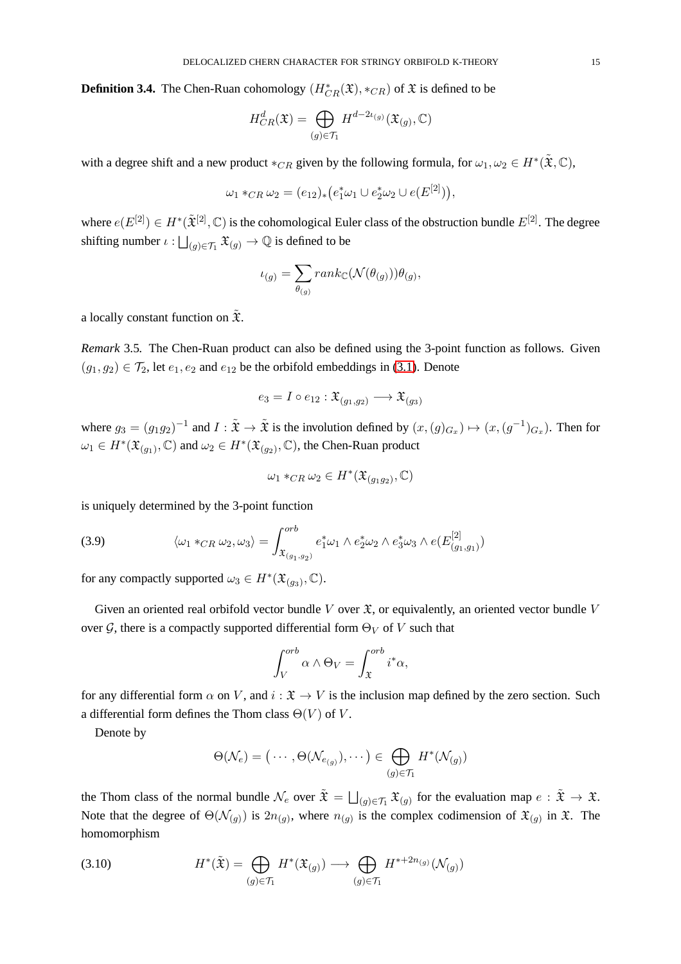<span id="page-14-2"></span>**Definition 3.4.** The Chen-Ruan cohomology  $(H^*_{CR}(\mathfrak{X}), *_{CR})$  of  $\mathfrak{X}$  is defined to be

$$
H_{CR}^d(\mathfrak{X}) = \bigoplus_{(g) \in \mathcal{T}_1} H^{d-2\iota_{(g)}}(\mathfrak{X}_{(g)}, \mathbb{C})
$$

with a degree shift and a new product  $*_{CR}$  given by the following formula, for  $\omega_1, \omega_2 \in H^*(\tilde{\mathfrak{X}}, \mathbb{C})$ ,

$$
\omega_1 *_{CR} \omega_2 = (e_{12})_* (e_1^* \omega_1 \cup e_2^* \omega_2 \cup e(E^{[2]})),
$$

where  $e(E^{[2]}) \in H^*(\tilde{\mathfrak{X}}^{[2]}, \mathbb{C})$  is the cohomological Euler class of the obstruction bundle  $E^{[2]}$ . The degree shifting number  $\iota : \bigsqcup_{(g) \in \mathcal{T}_1} \mathfrak{X}_{(g)} \to \mathbb{Q}$  is defined to be

$$
\iota_{(g)} = \sum_{\theta_{(g)}} rank_{\mathbb{C}}(\mathcal{N}(\theta_{(g)})) \theta_{(g)},
$$

a locally constant function on  $\mathfrak{X}$ .

*Remark* 3.5*.* The Chen-Ruan product can also be defined using the 3-point function as follows. Given  $(g_1, g_2) \in \mathcal{T}_2$ , let  $e_1, e_2$  and  $e_{12}$  be the orbifold embeddings in [\(3.1\)](#page-10-1). Denote

$$
e_3 = I \circ e_{12} : \mathfrak{X}_{(g_1, g_2)} \longrightarrow \mathfrak{X}_{(g_3)}
$$

where  $g_3 = (g_1g_2)^{-1}$  and  $I : \tilde{\mathfrak{X}} \to \tilde{\mathfrak{X}}$  is the involution defined by  $(x, (g)_{G_x}) \mapsto (x, (g^{-1})_{G_x})$ . Then for  $\omega_1 \in H^*(\mathfrak{X}_{(g_1)}, \mathbb{C})$  and  $\omega_2 \in H^*(\mathfrak{X}_{(g_2)}, \mathbb{C})$ , the Chen-Ruan product

$$
\omega_1 *_{CR} \omega_2 \in H^*(\mathfrak{X}_{(g_1g_2)}, \mathbb{C})
$$

is uniquely determined by the 3-point function

<span id="page-14-1"></span>(3.9) 
$$
\langle \omega_1 *_{CR} \omega_2, \omega_3 \rangle = \int_{\mathfrak{X}_{(g_1, g_2)}}^{orb} e_1^* \omega_1 \wedge e_2^* \omega_2 \wedge e_3^* \omega_3 \wedge e(E_{(g_1, g_1)}^{[2]})
$$

for any compactly supported  $\omega_3 \in H^*(\mathfrak{X}_{(g_3)}, \mathbb{C}).$ 

Given an oriented real orbifold vector bundle V over  $\mathfrak{X}$ , or equivalently, an oriented vector bundle V over G, there is a compactly supported differential form  $\Theta_V$  of V such that

$$
\int_{V}^{orb} \alpha \wedge \Theta_V = \int_{\mathfrak{X}}^{orb} i^* \alpha,
$$

for any differential form  $\alpha$  on V, and  $i : \mathfrak{X} \to V$  is the inclusion map defined by the zero section. Such a differential form defines the Thom class  $\Theta(V)$  of V.

Denote by

<span id="page-14-0"></span>
$$
\Theta(\mathcal{N}_e) = (\cdots, \Theta(\mathcal{N}_{e_{(g)}}), \cdots) \in \bigoplus_{(g)\in \mathcal{T}_1} H^*(\mathcal{N}_{(g)})
$$

the Thom class of the normal bundle  $\mathcal{N}_e$  over  $\tilde{\mathfrak{X}} = \bigsqcup_{(g) \in \mathcal{T}_1} \mathfrak{X}_{(g)}$  for the evaluation map  $e : \tilde{\mathfrak{X}} \to \mathfrak{X}$ . Note that the degree of  $\Theta(N_{(g)})$  is  $2n_{(g)}$ , where  $n_{(g)}$  is the complex codimension of  $\mathfrak{X}_{(g)}$  in  $\mathfrak{X}$ . The homomorphism

(3.10) 
$$
H^*(\tilde{\mathfrak{X}}) = \bigoplus_{(g) \in \mathcal{T}_1} H^*(\mathfrak{X}_{(g)}) \longrightarrow \bigoplus_{(g) \in \mathcal{T}_1} H^{*+2n_{(g)}}(\mathcal{N}_{(g)})
$$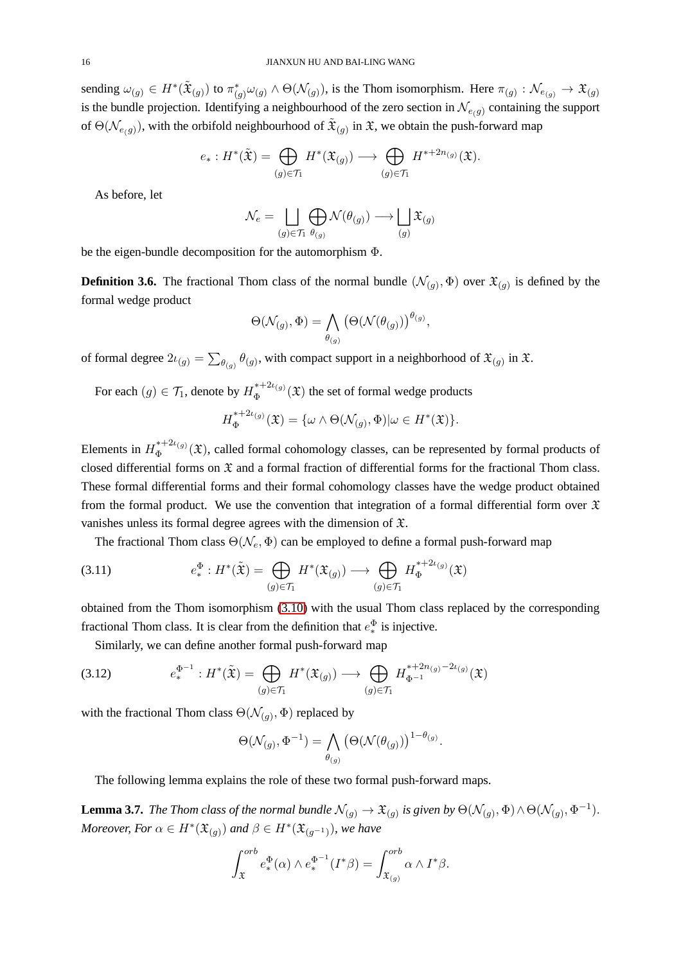sending  $\omega_{(g)} \in H^*(\tilde{\mathfrak{X}}_{(g)})$  to  $\pi_{(g)}^* \omega_{(g)} \wedge \Theta(\mathcal{N}_{(g)})$ , is the Thom isomorphism. Here  $\pi_{(g)} : \mathcal{N}_{e_{(g)}} \to \mathfrak{X}_{(g)}$ is the bundle projection. Identifying a neighbourhood of the zero section in  $\mathcal{N}_{e(q)}$  containing the support of  $\Theta(\mathcal{N}_{e(g)})$ , with the orbifold neighbourhood of  $\tilde{\mathfrak{X}}_{(g)}$  in  $\mathfrak{X}$ , we obtain the push-forward map

$$
e_*: H^*(\tilde{\mathfrak{X}}) = \bigoplus_{(g) \in \mathcal{T}_1} H^*(\mathfrak{X}_{(g)}) \longrightarrow \bigoplus_{(g) \in \mathcal{T}_1} H^{*+2n_{(g)}}(\mathfrak{X}).
$$

As before, let

$$
\mathcal{N}_e = \bigsqcup_{(g) \in \mathcal{T}_1} \bigoplus_{\theta(g)} \mathcal{N}(\theta(g)) \longrightarrow \bigsqcup_{(g)} \mathfrak{X}_{(g)}
$$

be the eigen-bundle decomposition for the automorphism Φ.

**Definition 3.6.** The fractional Thom class of the normal bundle  $(\mathcal{N}_{(g)}, \Phi)$  over  $\mathfrak{X}_{(g)}$  is defined by the formal wedge product

$$
\Theta(\mathcal{N}_{(g)}, \Phi) = \bigwedge_{\theta_{(g)}} \left( \Theta(\mathcal{N}(\theta_{(g)}) \right)^{\theta_{(g)}},
$$

of formal degree  $2\iota_{(g)} = \sum_{\theta(g)} \theta_{(g)}$ , with compact support in a neighborhood of  $\mathfrak{X}_{(g)}$  in  $\mathfrak{X}$ .

For each  $(g) \in \mathcal{T}_1$ , denote by  $H_{\Phi}^{*+2\iota(g)}$  $\Phi_{\Phi}^{*+2\iota_{(g)}}(\mathfrak{X})$  the set of formal wedge products

$$
H_{\Phi}^{*+2\iota_{(g)}}(\mathfrak{X}) = \{ \omega \wedge \Theta(\mathcal{N}_{(g)}, \Phi) | \omega \in H^*(\mathfrak{X}) \}.
$$

Elements in  $H_{\Phi}^{*+2\iota_{(g)}}$  $\Phi_{\Phi}^{*+2\ell(g)}(\mathfrak{X})$ , called formal cohomology classes, can be represented by formal products of closed differential forms on  $\mathfrak X$  and a formal fraction of differential forms for the fractional Thom class. These formal differential forms and their formal cohomology classes have the wedge product obtained from the formal product. We use the convention that integration of a formal differential form over  $\mathfrak X$ vanishes unless its formal degree agrees with the dimension of X.

The fractional Thom class  $\Theta(\mathcal{N}_e, \Phi)$  can be employed to define a formal push-forward map

(3.11) 
$$
e^{\Phi}_*: H^*(\tilde{\mathfrak{X}}) = \bigoplus_{(g) \in \mathcal{T}_1} H^*(\mathfrak{X}_{(g)}) \longrightarrow \bigoplus_{(g) \in \mathcal{T}_1} H_{\Phi}^{*+2\iota_{(g)}}(\mathfrak{X})
$$

obtained from the Thom isomorphism [\(3.10\)](#page-14-0) with the usual Thom class replaced by the corresponding fractional Thom class. It is clear from the definition that  $e_*^{\Phi}$ ∗ is injective.

Similarly, we can define another formal push-forward map

$$
(3.12) \qquad e_*^{\Phi^{-1}} : H^*(\tilde{\mathfrak{X}}) = \bigoplus_{(g) \in \mathcal{T}_1} H^*(\mathfrak{X}_{(g)}) \longrightarrow \bigoplus_{(g) \in \mathcal{T}_1} H_{\Phi^{-1}}^{*+2n_{(g)}-2\iota_{(g)}}(\mathfrak{X})
$$

with the fractional Thom class  $\Theta(\mathcal{N}_{(g)}, \Phi)$  replaced by

$$
\Theta(\mathcal{N}_{(g)}, \Phi^{-1}) = \bigwedge_{\theta_{(g)}} (\Theta(\mathcal{N}(\theta_{(g)}))^{1-\theta_{(g)}}).
$$

The following lemma explains the role of these two formal push-forward maps.

**Lemma 3.7.** *The Thom class of the normal bundle*  $\mathcal{N}_{(g)} \to \mathfrak{X}_{(g)}$  *is given by*  $\Theta(\mathcal{N}_{(g)}, \Phi) \wedge \Theta(\mathcal{N}_{(g)}, \Phi^{-1})$ . *Moreover, For*  $\alpha \in H^*(\mathfrak{X}_{(g)})$  and  $\beta \in H^*(\mathfrak{X}_{(g^{-1})})$ , we have

$$
\int_{\mathfrak{X}}^{orb} e_*^{\Phi}(\alpha) \wedge e_*^{\Phi^{-1}}(I^*\beta) = \int_{\mathfrak{X}_{(g)}}^{orb} \alpha \wedge I^*\beta.
$$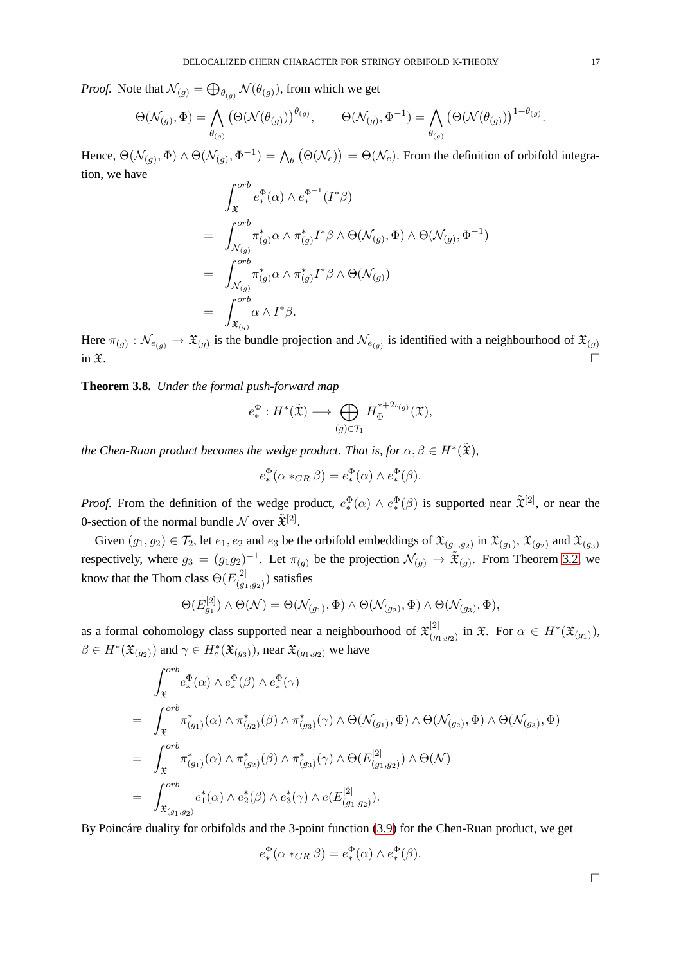*Proof.* Note that  $\mathcal{N}_{(g)} = \bigoplus_{\theta_{(g)}} \mathcal{N}(\theta_{(g)})$ , from which we get

$$
\Theta(\mathcal{N}_{(g)}, \Phi) = \bigwedge_{\theta_{(g)}} (\Theta(\mathcal{N}(\theta_{(g)}))^{(\theta_{(g)})}, \qquad \Theta(\mathcal{N}_{(g)}, \Phi^{-1}) = \bigwedge_{\theta_{(g)}} (\Theta(\mathcal{N}(\theta_{(g)}))^{1-\theta_{(g)}}).
$$

Hence,  $\Theta(\mathcal{N}_{(g)}, \Phi) \wedge \Theta(\mathcal{N}_{(g)}, \Phi^{-1}) = \bigwedge_{\theta} (\Theta(\mathcal{N}_{e})) = \Theta(\mathcal{N}_{e})$ . From the definition of orbifold integration, we have

$$
\int_{\mathfrak{X}}^{orb} e^{\Phi}_{*}(\alpha) \wedge e^{ \Phi^{-1} }_{*} (I^{*} \beta)
$$
\n
$$
= \int_{\mathcal{N}_{(g)}}^{orb} \pi_{(g)}^{*} \alpha \wedge \pi_{(g)}^{*} I^{*} \beta \wedge \Theta(\mathcal{N}_{(g)}, \Phi) \wedge \Theta(\mathcal{N}_{(g)}, \Phi^{-1})
$$
\n
$$
= \int_{\mathcal{N}_{(g)}}^{orb} \pi_{(g)}^{*} \alpha \wedge \pi_{(g)}^{*} I^{*} \beta \wedge \Theta(\mathcal{N}_{(g)})
$$
\n
$$
= \int_{\mathfrak{X}_{(g)}}^{orb} \alpha \wedge I^{*} \beta.
$$

Here  $\pi_{(g)} : \mathcal{N}_{e_{(g)}} \to \mathfrak{X}_{(g)}$  is the bundle projection and  $\mathcal{N}_{e_{(g)}}$  is identified with a neighbourhood of  $\mathfrak{X}_{(g)}$ in  $\mathfrak{X}.$ 

**Theorem 3.8.** *Under the formal push-forward map*

$$
e^{\Phi}_{*} : H^{*}(\tilde{\mathfrak{X}}) \longrightarrow \bigoplus_{(g) \in \mathcal{T}_{1}} H_{\Phi}^{*+2\iota_{(g)}}(\mathfrak{X}),
$$

the Chen-Ruan product becomes the wedge product. That is, for  $\alpha, \beta \in H^*(\tilde{\mathfrak{X}})$ ,

$$
e_*^{\Phi}(\alpha *_{CR} \beta) = e_*^{\Phi}(\alpha) \wedge e_*^{\Phi}(\beta).
$$

*Proof.* From the definition of the wedge product,  $e^{\Phi}_{*}$  $_{*}^{\Phi}(\alpha) \wedge e_{*}^{\Phi}$  $(\mathcal{B})$  is supported near  $\tilde{\mathfrak{X}}^{[2]}$ , or near the 0-section of the normal bundle  $\mathcal N$  over  $\tilde{\mathfrak X}^{[2]}$ .

Given  $(g_1, g_2) \in \mathcal{T}_2$ , let  $e_1, e_2$  and  $e_3$  be the orbifold embeddings of  $\mathfrak{X}_{(g_1,g_2)}$  in  $\mathfrak{X}_{(g_1)}$ ,  $\mathfrak{X}_{(g_2)}$  and  $\mathfrak{X}_{(g_3)}$ respectively, where  $g_3 = (g_1g_2)^{-1}$ . Let  $\pi_{(g)}$  be the projection  $\mathcal{N}_{(g)} \to \tilde{\mathfrak{X}}_{(g)}$ . From Theorem [3.2,](#page-11-0) we know that the Thom class  $\Theta(E_{\alpha}^{[2]})$  $\binom{q_1}{g_1,g_2}$  satisfies

$$
\Theta(E_{g_1}^{[2]}) \wedge \Theta(\mathcal{N}) = \Theta(\mathcal{N}_{(g_1)}, \Phi) \wedge \Theta(\mathcal{N}_{(g_2)}, \Phi) \wedge \Theta(\mathcal{N}_{(g_3)}, \Phi),
$$

as a formal cohomology class supported near a neighbourhood of  $\mathfrak{X}_{(a)}^{[2]}$  $\lim_{(g_1,g_2)}$  in  $\mathfrak{X}$ . For  $\alpha \in H^*(\mathfrak{X}_{(g_1)}),$  $\beta \in H^*(\mathfrak{X}_{(g_2)})$  and  $\gamma \in H^*_c(\mathfrak{X}_{(g_3)})$ , near  $\mathfrak{X}_{(g_1,g_2)}$  we have

$$
\int_{\mathfrak{X}}^{orb} e_*^{\Phi}(\alpha) \wedge e_*^{\Phi}(\beta) \wedge e_*^{\Phi}(\gamma)
$$
\n
$$
= \int_{\mathfrak{X}}^{orb} \pi_{(g_1)}^*(\alpha) \wedge \pi_{(g_2)}^*(\beta) \wedge \pi_{(g_3)}^*(\gamma) \wedge \Theta(\mathcal{N}_{(g_1)}, \Phi) \wedge \Theta(\mathcal{N}_{(g_2)}, \Phi) \wedge \Theta(\mathcal{N}_{(g_3)}, \Phi)
$$
\n
$$
= \int_{\mathfrak{X}}^{orb} \pi_{(g_1)}^*(\alpha) \wedge \pi_{(g_2)}^*(\beta) \wedge \pi_{(g_3)}^*(\gamma) \wedge \Theta(E_{(g_1, g_2)}^{[2]}) \wedge \Theta(\mathcal{N})
$$
\n
$$
= \int_{\mathfrak{X}_{(g_1, g_2)}}^{orb} e_1^*(\alpha) \wedge e_2^*(\beta) \wedge e_3^*(\gamma) \wedge e(E_{(g_1, g_2)}^{[2]}).
$$

By Poincáre duality for orbifolds and the 3-point function [\(3.9\)](#page-14-1) for the Chen-Ruan product, we get

$$
e^{\Phi}_*(\alpha *_{CR} \beta) = e^{\Phi}_*(\alpha) \wedge e^{\Phi}_*(\beta).
$$

 $\Box$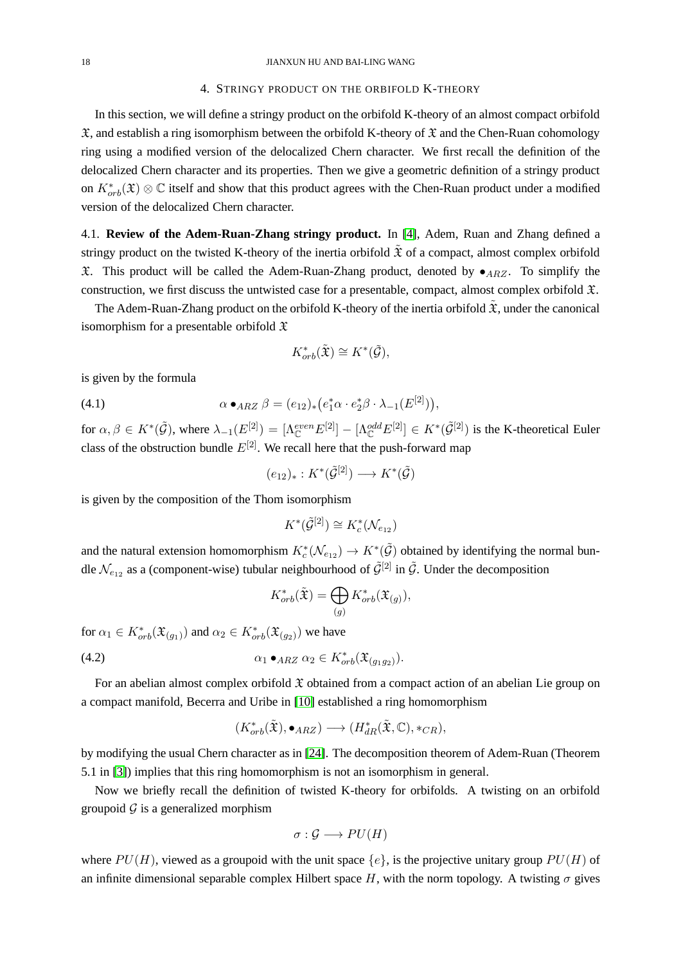### 4. STRINGY PRODUCT ON THE ORBIFOLD K-THEORY

In this section, we will define a stringy product on the orbifold K-theory of an almost compact orbifold  $\mathfrak{X}$ , and establish a ring isomorphism between the orbifold K-theory of  $\mathfrak{X}$  and the Chen-Ruan cohomology ring using a modified version of the delocalized Chern character. We first recall the definition of the delocalized Chern character and its properties. Then we give a geometric definition of a stringy product on  $K^*_{orb}(\mathfrak{X})\otimes\mathbb{C}$  itself and show that this product agrees with the Chen-Ruan product under a modified version of the delocalized Chern character.

<span id="page-17-0"></span>4.1. **Review of the Adem-Ruan-Zhang stringy product.** In [\[4\]](#page-28-0), Adem, Ruan and Zhang defined a stringy product on the twisted K-theory of the inertia orbifold  $\mathfrak X$  of a compact, almost complex orbifold  $\mathfrak X$ . This product will be called the Adem-Ruan-Zhang product, denoted by  $\bullet$ <sub>ARZ</sub>. To simplify the construction, we first discuss the untwisted case for a presentable, compact, almost complex orbifold  $\mathfrak{X}$ .

The Adem-Ruan-Zhang product on the orbifold K-theory of the inertia orbifold  $\tilde{\mathfrak{X}}$ , under the canonical isomorphism for a presentable orbifold  $\mathfrak X$ 

$$
K^*_{orb}(\tilde{\mathfrak{X}}) \cong K^*(\tilde{\mathcal{G}}),
$$

is given by the formula

(4.1) 
$$
\alpha \bullet_{ARZ} \beta = (e_{12})_* (e_1^* \alpha \cdot e_2^* \beta \cdot \lambda_{-1}(E^{[2]})),
$$

for  $\alpha, \beta \in K^*(\tilde{\mathcal{G}})$ , where  $\lambda_{-1}(E^{[2]}) = [\Lambda_{\mathbb{C}}^{even} E^{[2]}] - [\Lambda_{\mathbb{C}}^{odd} E^{[2]}] \in K^*(\tilde{\mathcal{G}}^{[2]})$  is the K-theoretical Euler class of the obstruction bundle  $E^{[2]}$ . We recall here that the push-forward map

$$
(e_{12})_*: K^*(\tilde{\mathcal{G}}^{[2]}) \longrightarrow K^*(\tilde{\mathcal{G}})
$$

is given by the composition of the Thom isomorphism

$$
K^*(\tilde{\mathcal{G}}^{[2]}) \cong K_c^*(\mathcal{N}_{e_{12}})
$$

and the natural extension homomorphism  $K_c^*(\mathcal{N}_{e_{12}}) \to K^*(\tilde{\mathcal{G}})$  obtained by identifying the normal bundle  $\mathcal{N}_{e_{12}}$  as a (component-wise) tubular neighbourhood of  $\tilde{\mathcal{G}}^{[2]}$  in  $\tilde{\mathcal{G}}$ . Under the decomposition

$$
K_{orb}^*(\tilde{\mathfrak{X}}) = \bigoplus_{(g)} K_{orb}^*(\mathfrak{X}_{(g)}),
$$

for  $\alpha_1 \in K^*_{orb}(\mathfrak{X}_{(g_1)})$  and  $\alpha_2 \in K^*_{orb}(\mathfrak{X}_{(g_2)})$  we have

$$
\alpha_1 \bullet_{ARZ} \alpha_2 \in K^*_{orb}(\mathfrak{X}_{(g_1g_2)}).
$$

For an abelian almost complex orbifold  $\mathfrak X$  obtained from a compact action of an abelian Lie group on a compact manifold, Becerra and Uribe in [\[10\]](#page-29-2) established a ring homomorphism

$$
(K^*_{orb}(\tilde{\mathfrak{X}}), \bullet_{ARZ}) \longrightarrow (H^*_{dR}(\tilde{\mathfrak{X}}, \mathbb{C}), *_{CR}),
$$

by modifying the usual Chern character as in [\[24\]](#page-29-1). The decomposition theorem of Adem-Ruan (Theorem 5.1 in [\[3\]](#page-28-4)) implies that this ring homomorphism is not an isomorphism in general.

Now we briefly recall the definition of twisted K-theory for orbifolds. A twisting on an orbifold groupoid  $\mathcal G$  is a generalized morphism

$$
\sigma : \mathcal{G} \longrightarrow PU(H)
$$

where  $PU(H)$ , viewed as a groupoid with the unit space  $\{e\}$ , is the projective unitary group  $PU(H)$  of an infinite dimensional separable complex Hilbert space H, with the norm topology. A twisting  $\sigma$  gives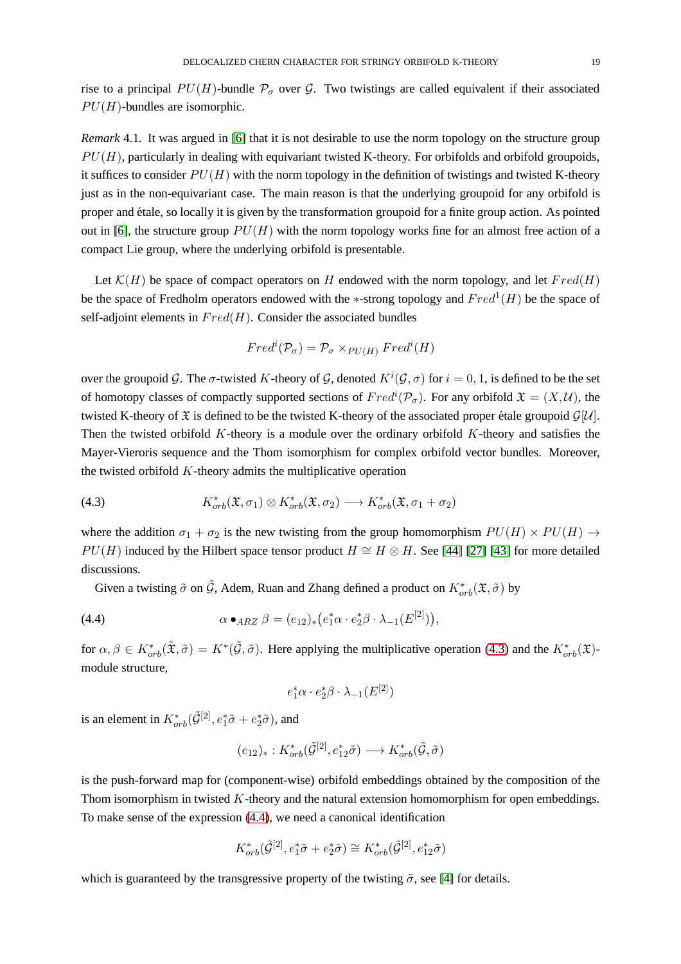rise to a principal  $PU(H)$ -bundle  $\mathcal{P}_{\sigma}$  over  $\mathcal{G}$ . Two twistings are called equivalent if their associated  $PU(H)$ -bundles are isomorphic.

*Remark* 4.1*.* It was argued in [\[6\]](#page-28-5) that it is not desirable to use the norm topology on the structure group  $PU(H)$ , particularly in dealing with equivariant twisted K-theory. For orbifolds and orbifold groupoids, it suffices to consider  $PU(H)$  with the norm topology in the definition of twistings and twisted K-theory just as in the non-equivariant case. The main reason is that the underlying groupoid for any orbifold is proper and ´etale, so locally it is given by the transformation groupoid for a finite group action. As pointed out in [\[6\]](#page-28-5), the structure group  $PU(H)$  with the norm topology works fine for an almost free action of a compact Lie group, where the underlying orbifold is presentable.

Let  $\mathcal{K}(H)$  be space of compact operators on H endowed with the norm topology, and let  $Fred(H)$ be the space of Fredholm operators endowed with the  $*$ -strong topology and  $Fred<sup>1</sup>(H)$  be the space of self-adjoint elements in  $Fred(H)$ . Consider the associated bundles

$$
Fredi(\mathcal{P}_{\sigma}) = \mathcal{P}_{\sigma} \times_{PU(H)} Fredi(H)
$$

over the groupoid G. The  $\sigma$ -twisted K-theory of G, denoted  $K^i(G, \sigma)$  for  $i = 0, 1$ , is defined to be the set of homotopy classes of compactly supported sections of  $Fred<sup>i</sup>(P<sub>\sigma</sub>)$ . For any orbifold  $\mathfrak{X} = (X, \mathcal{U})$ , the twisted K-theory of  $\mathfrak X$  is defined to be the twisted K-theory of the associated proper étale groupoid  $\mathcal G[\mathcal U]$ . Then the twisted orbifold  $K$ -theory is a module over the ordinary orbifold  $K$ -theory and satisfies the Mayer-Vieroris sequence and the Thom isomorphism for complex orbifold vector bundles. Moreover, the twisted orbifold  $K$ -theory admits the multiplicative operation

<span id="page-18-0"></span>(4.3) 
$$
K_{orb}^*(\mathfrak{X}, \sigma_1) \otimes K_{orb}^*(\mathfrak{X}, \sigma_2) \longrightarrow K_{orb}^*(\mathfrak{X}, \sigma_1 + \sigma_2)
$$

where the addition  $\sigma_1 + \sigma_2$  is the new twisting from the group homomorphism  $PU(H) \times PU(H) \rightarrow$  $PU(H)$  induced by the Hilbert space tensor product  $H \cong H \otimes H$ . See [\[44\]](#page-30-2) [\[27\]](#page-29-10) [\[43\]](#page-30-3) for more detailed discussions.

Given a twisting  $\tilde{\sigma}$  on  $\tilde{\mathcal{G}}$ , Adem, Ruan and Zhang defined a product on  $K^*_{orb}(\mathfrak{X}, \tilde{\sigma})$  by

(4.4) 
$$
\alpha \bullet_{ARZ} \beta = (e_{12})_* (e_1^* \alpha \cdot e_2^* \beta \cdot \lambda_{-1}(E^{[2]})),
$$

for  $\alpha, \beta \in K^*_{orb}(\tilde{\mathfrak{X}}, \tilde{\sigma}) = K^*(\tilde{\mathcal{G}}, \tilde{\sigma})$ . Here applying the multiplicative operation [\(4.3\)](#page-18-0) and the  $K^*_{orb}(\tilde{\mathfrak{X}})$ module structure,

<span id="page-18-1"></span>
$$
e_1^*\alpha \cdot e_2^*\beta \cdot \lambda_{-1}(E^{[2]})
$$

is an element in  $K^*_{orb}(\tilde{\mathcal{G}}^{[2]}, e_1^*\tilde{\sigma} + e_2^*\tilde{\sigma})$ , and

$$
(e_{12})_*: K^*_{orb}(\tilde{\mathcal{G}}^{[2]}, e_{12}^*\tilde{\sigma}) \longrightarrow K^*_{orb}(\tilde{\mathcal{G}}, \tilde{\sigma})
$$

is the push-forward map for (component-wise) orbifold embeddings obtained by the composition of the Thom isomorphism in twisted  $K$ -theory and the natural extension homomorphism for open embeddings. To make sense of the expression [\(4.4\)](#page-18-1), we need a canonical identification

$$
K^*_{orb}(\tilde{\mathcal{G}}^{[2]}, e_1^*\tilde{\sigma}+e_2^*\tilde{\sigma})\cong K^*_{orb}(\tilde{\mathcal{G}}^{[2]}, e_{12}^*\tilde{\sigma})
$$

which is guaranteed by the transgressive property of the twisting  $\tilde{\sigma}$ , see [\[4\]](#page-28-0) for details.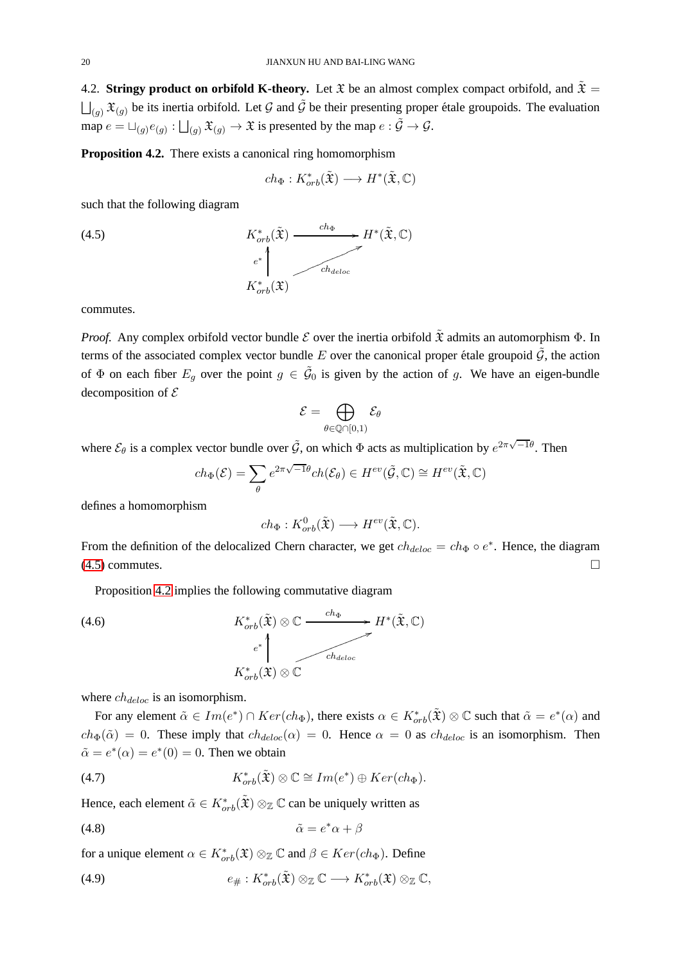<span id="page-19-5"></span>4.2. **Stringy product on orbifold K-theory.** Let  $\mathfrak{X}$  be an almost complex compact orbifold, and  $\tilde{\mathfrak{X}} =$  $\bigcup_{(g)} \mathfrak{X}_{(g)}$  be its inertia orbifold. Let G and  $\tilde{\mathcal{G}}$  be their presenting proper étale groupoids. The evaluation map  $e = \sqcup_{(g)} e_{(g)} : \bigsqcup_{(g)} \mathfrak{X}_{(g)} \to \mathfrak{X}$  is presented by the map  $e : \tilde{\mathcal{G}} \to \mathcal{G}$ .

<span id="page-19-1"></span>**Proposition 4.2.** There exists a canonical ring homomorphism

<span id="page-19-0"></span>
$$
ch_{\Phi}: K^*_{orb}(\tilde{\mathfrak{X}}) \longrightarrow H^*(\tilde{\mathfrak{X}}, \mathbb{C})
$$

such that the following diagram

(4.5) 
$$
K_{orb}^{*}(\tilde{\mathfrak{X}}) \xrightarrow{ch_{\Phi}} H^{*}(\tilde{\mathfrak{X}}, \mathbb{C})
$$

$$
e^{*} \downarrow \qquad \qquad ch_{deloc}
$$

$$
K_{orb}^{*}(\mathfrak{X})
$$

commutes.

*Proof.* Any complex orbifold vector bundle  $\mathcal E$  over the inertia orbifold  $\tilde{\mathfrak X}$  admits an automorphism  $\Phi$ . In terms of the associated complex vector bundle E over the canonical proper étale groupoid  $\tilde{G}$ , the action of  $\Phi$  on each fiber  $E_g$  over the point  $g \in \tilde{G}_0$  is given by the action of g. We have an eigen-bundle decomposition of  $\mathcal E$ 

$$
\mathcal{E}=\bigoplus_{\theta\in\mathbb{Q}\cap[0,1)}\mathcal{E}_{\theta}
$$

where  $\mathcal{E}_{\theta}$  is a complex vector bundle over  $\tilde{\mathcal{G}}$ , on which  $\Phi$  acts as multiplication by  $e^{2\pi\sqrt{-1}\theta}$ . Then

$$
ch_{\Phi}(\mathcal{E}) = \sum_{\theta} e^{2\pi\sqrt{-1}\theta} ch(\mathcal{E}_{\theta}) \in H^{ev}(\tilde{\mathcal{G}}, \mathbb{C}) \cong H^{ev}(\tilde{\mathfrak{X}}, \mathbb{C})
$$

defines a homomorphism

<span id="page-19-4"></span>
$$
ch_{\Phi}: K^0_{orb}(\tilde{\mathfrak{X}}) \longrightarrow H^{ev}(\tilde{\mathfrak{X}}, \mathbb{C}).
$$

From the definition of the delocalized Chern character, we get  $ch_{deloc} = ch_{\Phi} \circ e^*$ . Hence, the diagram  $(4.5)$  commutes.

Proposition [4.2](#page-19-1) implies the following commutative diagram

(4.6)  
\n
$$
K_{orb}^*(\tilde{\mathfrak{X}}) \otimes \mathbb{C} \xrightarrow{ch_{\Phi}} H^*(\tilde{\mathfrak{X}}, \mathbb{C})
$$
  
\n $e^*\Bigg|_{K_{orb}^*(\tilde{\mathfrak{X}}) \otimes \mathbb{C}}$ 

where  $ch_{deloc}$  is an isomorphism.

For any element  $\tilde{\alpha} \in Im(e^*) \cap Ker(ch_{\Phi})$ , there exists  $\alpha \in K^*_{orb}(\tilde{\mathfrak{X}}) \otimes \mathbb{C}$  such that  $\tilde{\alpha} = e^*(\alpha)$  and  $ch_{\Phi}(\tilde{\alpha}) = 0$ . These imply that  $ch_{deloc}(\alpha) = 0$ . Hence  $\alpha = 0$  as  $ch_{deloc}$  is an isomorphism. Then  $\tilde{\alpha} = e^*(\alpha) = e^*(0) = 0$ . Then we obtain

<span id="page-19-3"></span>(4.7) 
$$
K_{orb}^*(\tilde{\mathfrak{X}}) \otimes \mathbb{C} \cong Im(e^*) \oplus Ker(ch_{\Phi}).
$$

Hence, each element  $\tilde{\alpha} \in K^*_{orb}(\tilde{\mathfrak{X}}) \otimes_{\mathbb{Z}} \mathbb{C}$  can be uniquely written as

<span id="page-19-2"></span>
$$
\tilde{\alpha} = e^* \alpha + \beta
$$

for a unique element  $\alpha \in K^*_{orb}(\mathfrak{X}) \otimes_{\mathbb{Z}} \mathbb{C}$  and  $\beta \in Ker(ch_{\Phi})$ . Define

(4.9) 
$$
e_{\#}: K^*_{orb}(\tilde{\mathfrak{X}}) \otimes_{\mathbb{Z}} \mathbb{C} \longrightarrow K^*_{orb}(\mathfrak{X}) \otimes_{\mathbb{Z}} \mathbb{C},
$$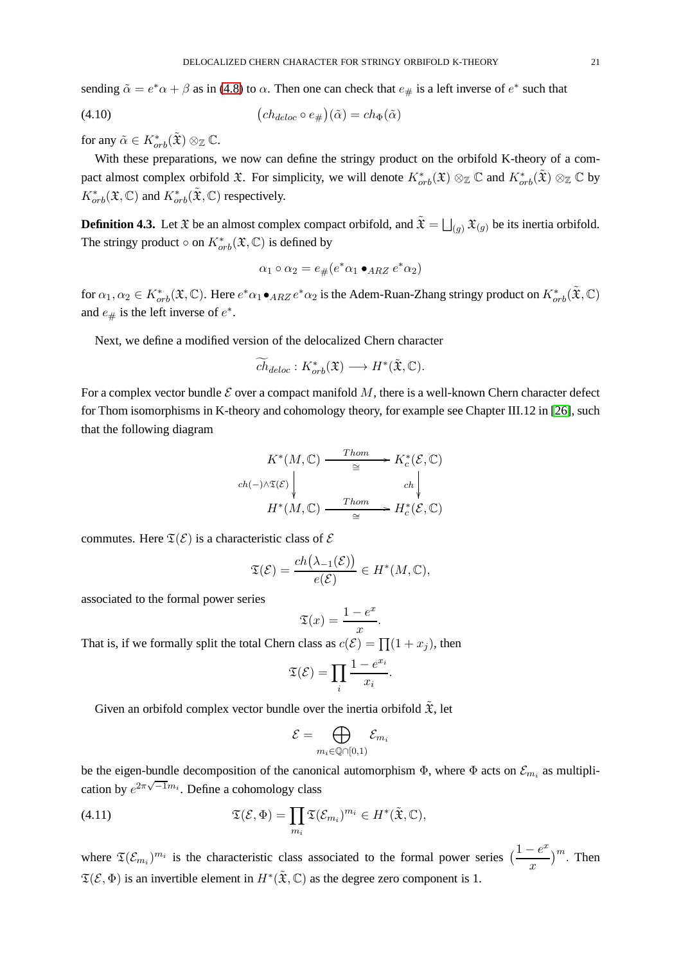sending  $\tilde{\alpha} = e^* \alpha + \beta$  as in [\(4.8\)](#page-19-2) to  $\alpha$ . Then one can check that  $e_{\#}$  is a left inverse of  $e^*$  such that

(4.10) 
$$
(ch_{deloc} \circ e_{\#})(\tilde{\alpha}) = ch_{\Phi}(\tilde{\alpha})
$$

for any  $\tilde{\alpha} \in K^*_{orb}(\tilde{\mathfrak{X}}) \otimes_{\mathbb{Z}} \mathbb{C}$ .

With these preparations, we now can define the stringy product on the orbifold K-theory of a compact almost complex orbifold  $\mathfrak{X}$ . For simplicity, we will denote  $K^*_{orb}(\mathfrak{X}) \otimes_{\mathbb{Z}} \mathbb{C}$  and  $K^*_{orb}(\tilde{\mathfrak{X}}) \otimes_{\mathbb{Z}} \mathbb{C}$  by  $K^*_{orb}(\mathfrak{X}, \mathbb{C})$  and  $K^*_{orb}(\tilde{\mathfrak{X}}, \mathbb{C})$  respectively.

<span id="page-20-0"></span>**Definition 4.3.** Let  $\mathfrak X$  be an almost complex compact orbifold, and  $\tilde{\mathfrak X} = \bigsqcup_{(g)} \mathfrak X_{(g)}$  be its inertia orbifold. The stringy product  $\circ$  on  $K^*_{orb}(\mathfrak{X}, \mathbb{C})$  is defined by

<span id="page-20-1"></span>
$$
\alpha_1 \circ \alpha_2 = e_{\#}(e^* \alpha_1 \bullet_{ARZ} e^* \alpha_2)
$$

for  $\alpha_1, \alpha_2 \in K^*_{orb}(\mathfrak{X}, \mathbb{C})$ . Here  $e^* \alpha_1 \bullet_{ARZ} e^* \alpha_2$  is the Adem-Ruan-Zhang stringy product on  $K^*_{orb}(\tilde{\mathfrak{X}}, \mathbb{C})$ and  $e_{\#}$  is the left inverse of  $e^*$ .

Next, we define a modified version of the delocalized Chern character

$$
\widetilde{ch}_{deloc}: K^*_{orb}(\mathfrak{X}) \longrightarrow H^*(\tilde{\mathfrak{X}}, \mathbb{C}).
$$

For a complex vector bundle  $\mathcal E$  over a compact manifold  $M$ , there is a well-known Chern character defect for Thom isomorphisms in K-theory and cohomology theory, for example see Chapter III.12 in [\[26\]](#page-29-13), such that the following diagram

$$
K^*(M, \mathbb{C}) \xrightarrow{\text{Thom}} K_c^*(\mathcal{E}, \mathbb{C})
$$
\n
$$
ch(-) \wedge \mathfrak{T}(\mathcal{E}) \downarrow \qquad ch \downarrow
$$
\n
$$
H^*(M, \mathbb{C}) \xrightarrow{\text{Thom}} H_c^*(\mathcal{E}, \mathbb{C})
$$

commutes. Here  $\mathfrak{T}(\mathcal{E})$  is a characteristic class of  $\mathcal E$ 

$$
\mathfrak{T}(\mathcal{E}) = \frac{ch(\lambda_{-1}(\mathcal{E}))}{e(\mathcal{E})} \in H^*(M, \mathbb{C}),
$$

associated to the formal power series

$$
\mathfrak{T}(x) = \frac{1 - e^x}{x}
$$

.

That is, if we formally split the total Chern class as  $c(\mathcal{E}) = \prod_{i=1}^{n} (1 + x_i)$ , then

$$
\mathfrak{T}(\mathcal{E}) = \prod_i \frac{1 - e^{x_i}}{x_i}.
$$

Given an orbifold complex vector bundle over the inertia orbifold  $\tilde{\mathfrak{X}}$ , let

$$
\mathcal{E}=\bigoplus_{m_i\in \mathbb{Q}\cap[0,1)}\mathcal{E}_{m_i}
$$

be the eigen-bundle decomposition of the canonical automorphism  $\Phi$ , where  $\Phi$  acts on  $\mathcal{E}_{m_i}$  as multiplication by  $e^{2\pi\sqrt{-1}m_i}$ . Define a cohomology class

(4.11) 
$$
\mathfrak{T}(\mathcal{E},\Phi)=\prod_{m_i}\mathfrak{T}(\mathcal{E}_{m_i})^{m_i}\in H^*(\tilde{\mathfrak{X}},\mathbb{C}),
$$

where  $\mathfrak{T}(\mathcal{E}_{m_i})^{m_i}$  is the characteristic class associated to the formal power series  $\left(\frac{1-e^{x_i}}{x_i}\right)$  $\boldsymbol{x}$  $\binom{m}{k}$ . Then  $\mathfrak{T}(\mathcal{E}, \Phi)$  is an invertible element in  $H^*(\tilde{\mathfrak{X}}, \mathbb{C})$  as the degree zero component is 1.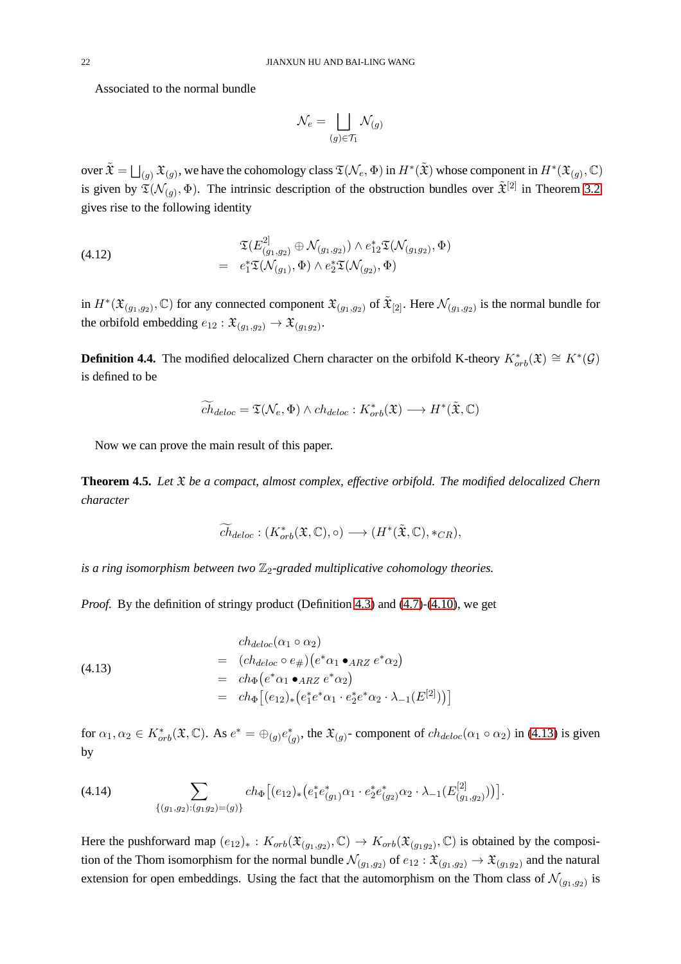Associated to the normal bundle

$$
\mathcal{N}_e = \bigsqcup_{(g) \in \mathcal{T}_1} \mathcal{N}_{(g)}
$$

over  $\tilde{\mathfrak{X}}=\bigsqcup_{(g)}\mathfrak{X}_{(g)},$  we have the cohomology class  $\mathfrak{T}(\mathcal{N}_e,\Phi)$  in  $H^*(\tilde{\mathfrak{X}})$  whose component in  $H^*(\mathfrak{X}_{(g)},\mathbb{C})$ is given by  $\mathfrak{T}(\mathcal{N}_{(g)},\Phi)$ . The intrinsic description of the obstruction bundles over  $\tilde{\mathfrak{X}}^{[2]}$  in Theorem [3.2](#page-11-0) gives rise to the following identity

<span id="page-21-1"></span>(4.12) 
$$
\mathfrak{I}(E_{(g_1,g_2)}^{2]} \oplus \mathcal{N}_{(g_1,g_2)}) \wedge e_{12}^* \mathfrak{I}(\mathcal{N}_{(g_1g_2)},\Phi) = e_1^* \mathfrak{I}(\mathcal{N}_{(g_1)},\Phi) \wedge e_2^* \mathfrak{I}(\mathcal{N}_{(g_2)},\Phi)
$$

in  $H^*(\mathfrak{X}_{(g_1,g_2)},\mathbb{C})$  for any connected component  $\mathfrak{X}_{(g_1,g_2)}$  of  $\tilde{\mathfrak{X}}_{[2]}$ . Here  $\mathcal{N}_{(g_1,g_2)}$  is the normal bundle for the orbifold embedding  $e_{12} : \mathfrak{X}_{(g_1,g_2)} \to \mathfrak{X}_{(g_1g_2)}$ .

<span id="page-21-3"></span>**Definition 4.4.** The modified delocalized Chern character on the orbifold K-theory  $K^*_{orb}(\mathfrak{X}) \cong K^*(\mathcal{G})$ is defined to be

$$
\widetilde{ch}_{deloc} = \mathfrak{T}(\mathcal{N}_e, \Phi) \wedge ch_{deloc} : K^*_{orb}(\mathfrak{X}) \longrightarrow H^*(\tilde{\mathfrak{X}}, \mathbb{C})
$$

Now we can prove the main result of this paper.

<span id="page-21-2"></span>**Theorem 4.5.** *Let* X *be a compact, almost complex, effective orbifold. The modified delocalized Chern character*

$$
\widetilde{ch}_{deloc}: (K^*_{orb}(\mathfrak{X}, \mathbb{C}), \circ) \longrightarrow (H^*(\tilde{\mathfrak{X}}, \mathbb{C}), *_{CR}),
$$

*is a ring isomorphism between two*  $\mathbb{Z}_2$ -graded multiplicative cohomology theories.

*Proof.* By the definition of stringy product (Definition [4.3\)](#page-20-0) and [\(4.7\)](#page-19-3)-[\(4.10\)](#page-20-1), we get

<span id="page-21-0"></span>(4.13)  
\n
$$
\begin{aligned}\n&= (ch_{deloc}(\alpha_1 \circ \alpha_2)) \\
&= (ch_{deloc} \circ e_{\#}) \left( e^* \alpha_1 \bullet_{ARZ} e^* \alpha_2 \right) \\
&= ch_{\Phi} \left( e^* \alpha_1 \bullet_{ARZ} e^* \alpha_2 \right) \\
&= ch_{\Phi} \left[ (e_{12})_* \left( e_1^* e^* \alpha_1 \cdot e_2^* e^* \alpha_2 \cdot \lambda_{-1}(E^{[2]}) \right) \right]\n\end{aligned}
$$

for  $\alpha_1, \alpha_2 \in K^*_{orb}(\mathfrak{X}, \mathbb{C})$ . As  $e^* = \bigoplus_{(g)} e^*_{(g)}$ , the  $\mathfrak{X}_{(g)}$ - component of  $ch_{deloc}(\alpha_1 \circ \alpha_2)$  in [\(4.13\)](#page-21-0) is given by

$$
(4.14) \qquad \qquad \sum_{\{(g_1,g_2):(g_1g_2)=(g)\}} ch_{\Phi}\big[(e_{12})_{*}\big(e_1^{*}e_{(g_1)}^{*}\alpha_1 \cdot e_2^{*}e_{(g_2)}^{*}\alpha_2 \cdot \lambda_{-1}(E_{(g_1,g_2)}^{[2]})\big)\big].
$$

Here the pushforward map  $(e_{12})_* : K_{orb}(\mathfrak{X}_{(g_1,g_2)}, \mathbb{C}) \to K_{orb}(\mathfrak{X}_{(g_1,g_2)}, \mathbb{C})$  is obtained by the composition of the Thom isomorphism for the normal bundle  $\mathcal{N}_{(g_1,g_2)}$  of  $e_{12} : \mathfrak{X}_{(g_1,g_2)} \to \mathfrak{X}_{(g_1,g_2)}$  and the natural extension for open embeddings. Using the fact that the automorphism on the Thom class of  $\mathcal{N}_{(g_1, g_2)}$  is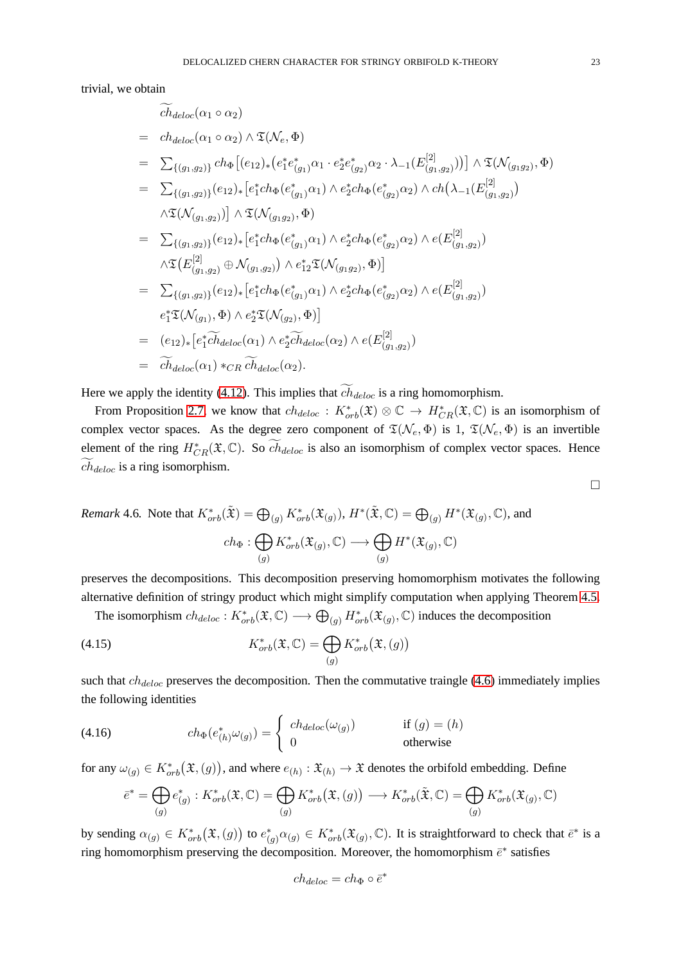trivial, we obtain

$$
\tilde{ch}_{deloc}(\alpha_{1} \circ \alpha_{2})
$$
\n=  $ch_{deloc}(\alpha_{1} \circ \alpha_{2}) \wedge \mathfrak{T}(\mathcal{N}_{e}, \Phi)$   
\n=  $\sum_{\{(g_{1},g_{2})\}} ch_{\Phi} [(e_{12})_{*} (e_{1}^{*} e_{(g_{1})}^{*} \alpha_{1} \cdot e_{2}^{*} e_{(g_{2})}^{*} \alpha_{2} \cdot \lambda_{-1} (E_{(g_{1},g_{2})}^{[2]}))] \wedge \mathfrak{T}(\mathcal{N}_{(g_{1}g_{2})}, \Phi)$   
\n=  $\sum_{\{(g_{1},g_{2})\}} (e_{12})_{*} [e_{1}^{*} ch_{\Phi} (e_{(g_{1})}^{*} \alpha_{1}) \wedge e_{2}^{*} ch_{\Phi} (e_{(g_{2})}^{*} \alpha_{2}) \wedge ch(\lambda_{-1} (E_{(g_{1},g_{2})}^{[2]})$   
\n $\wedge \mathfrak{T}(\mathcal{N}_{(g_{1},g_{2})})] \wedge \mathfrak{T}(\mathcal{N}_{(g_{1}g_{2})}, \Phi)$   
\n=  $\sum_{\{(g_{1},g_{2})\}} (e_{12})_{*} [e_{1}^{*} ch_{\Phi} (e_{(g_{1})}^{*} \alpha_{1}) \wedge e_{2}^{*} ch_{\Phi} (e_{(g_{2})}^{*} \alpha_{2}) \wedge e(E_{(g_{1},g_{2})}^{[2]})$   
\n $\wedge \mathfrak{T} (E_{(g_{1},g_{2})}^{[2]} \oplus \mathcal{N}_{(g_{1},g_{2})}) \wedge e_{12}^{*} \mathfrak{T}(\mathcal{N}_{(g_{1}g_{2})}, \Phi)]$   
\n=  $\sum_{\{(g_{1},g_{2})\}} (e_{12})_{*} [e_{1}^{*} ch_{\Phi} (e_{(g_{1})}^{*} \alpha_{1}) \wedge e_{2}^{*} ch_{\Phi} (e_{(g_{2})}^{*} \alpha_{2}) \wedge e(E_{(g_{1},g_{2})}^{[2]})$   
\n $e_{1}^{*} \mathfrak{T}(\mathcal{N}_{(g_{1})}, \Phi) \wedge e_{2}^{*} \mathfrak$ 

Here we apply the identity [\(4.12\)](#page-21-1). This implies that  $ch_{deloc}$  is a ring homomorphism.

From Proposition [2.7,](#page-8-2) we know that  $ch_{deloc}$ :  $K^*_{orb}(\mathfrak{X}) \otimes \mathbb{C} \to H^*_{CR}(\mathfrak{X}, \mathbb{C})$  is an isomorphism of complex vector spaces. As the degree zero component of  $\mathfrak{T}(\mathcal{N}_e, \Phi)$  is 1,  $\mathfrak{T}(\mathcal{N}_e, \Phi)$  is an invertible element of the ring  $H^*_{CR}(\mathfrak{X}, \mathbb{C})$ . So  $\widetilde{ch}_{deloc}$  is also an isomorphism of complex vector spaces. Hence  $ch_{deloc}$  is a ring isomorphism.

<span id="page-22-0"></span>*Remark* 4.6. Note that  $K^*_{orb}(\tilde{\mathfrak{X}}) = \bigoplus_{(g)} K^*_{orb}(\mathfrak{X}_{(g)}), H^*(\tilde{\mathfrak{X}}, \mathbb{C}) = \bigoplus_{(g)} H^*(\mathfrak{X}_{(g)}, \mathbb{C})$ , and

$$
ch_{\Phi}: \bigoplus_{(g)} K_{orb}^*(\mathfrak{X}_{(g)}, \mathbb{C}) \longrightarrow \bigoplus_{(g)} H^*(\mathfrak{X}_{(g)}, \mathbb{C})
$$

preserves the decompositions. This decomposition preserving homomorphism motivates the following alternative definition of stringy product which might simplify computation when applying Theorem [4.5.](#page-21-2)

The isomorphism  $ch_{deloc}: K^*_{orb}(\mathfrak{X}, \mathbb{C}) \longrightarrow \bigoplus_{(g)} H^*_{orb}(\mathfrak{X}_{(g)}, \mathbb{C})$  induces the decomposition

(4.15) 
$$
K_{orb}^*(\mathfrak{X}, \mathbb{C}) = \bigoplus_{(g)} K_{orb}^*(\mathfrak{X}, (g))
$$

such that  $ch_{deloc}$  preserves the decomposition. Then the commutative traingle [\(4.6\)](#page-19-4) immediately implies the following identities

(4.16) 
$$
ch_{\Phi}(e_{(h)}^{*}\omega_{(g)}) = \begin{cases} ch_{deloc}(\omega_{(g)}) & \text{if } (g) = (h) \\ 0 & \text{otherwise} \end{cases}
$$

for any  $\omega_{(g)} \in K^*_{orb}(\mathfrak{X}, (g))$ , and where  $e_{(h)} : \mathfrak{X}_{(h)} \to \mathfrak{X}$  denotes the orbifold embedding. Define

$$
\overline{e}^* = \bigoplus_{(g)} e^*_{(g)} : K^*_{orb}(\mathfrak{X}, \mathbb{C}) = \bigoplus_{(g)} K^*_{orb}(\mathfrak{X}, (g)) \longrightarrow K^*_{orb}(\widetilde{\mathfrak{X}}, \mathbb{C}) = \bigoplus_{(g)} K^*_{orb}(\mathfrak{X}_{(g)}, \mathbb{C})
$$

by sending  $\alpha_{(g)} \in K^*_{orb}(\mathfrak{X}, (g))$  to  $e^*_{(g)}\alpha_{(g)} \in K^*_{orb}(\mathfrak{X}_{(g)}, \mathbb{C})$ . It is straightforward to check that  $\bar{e}^*$  is a ring homomorphism preserving the decomposition. Moreover, the homomorphism  $\bar{e}^*$  satisfies

$$
ch_{deloc} = ch_{\Phi} \circ \bar{e}^*
$$

 $\Box$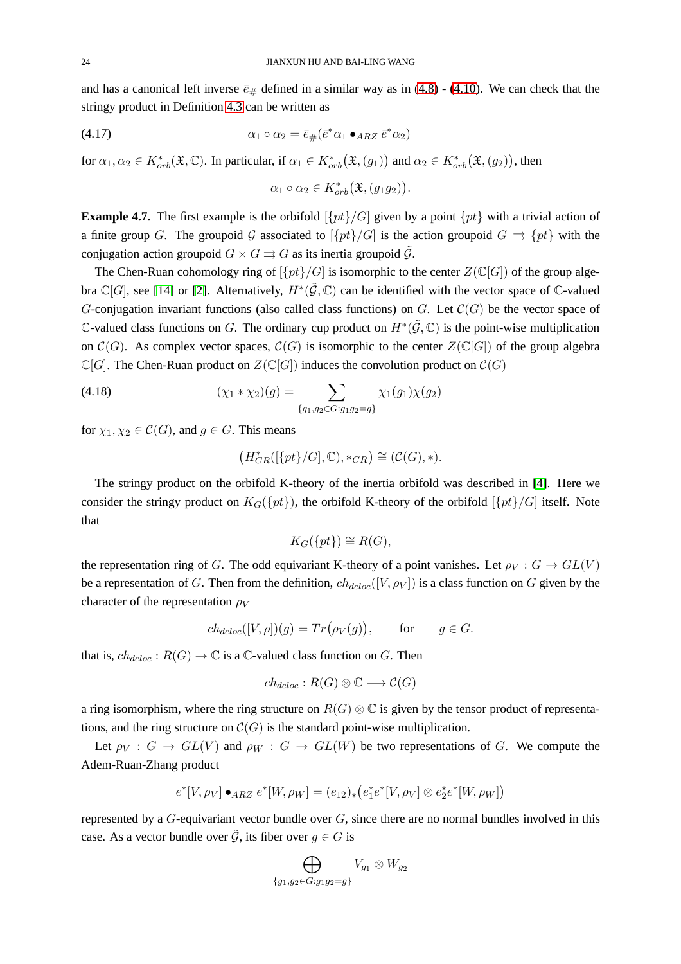and has a canonical left inverse  $\bar{e}_{\#}$  defined in a similar way as in [\(4.8\)](#page-19-2) - [\(4.10\)](#page-20-1). We can check that the stringy product in Definition [4.3](#page-20-0) can be written as

$$
\alpha_1 \circ \alpha_2 = \bar{e}_{\#}(\bar{e}^* \alpha_1 \bullet_{ARZ} \bar{e}^* \alpha_2)
$$

for  $\alpha_1, \alpha_2 \in K^*_{orb}(\mathfrak{X}, \mathbb{C})$ . In particular, if  $\alpha_1 \in K^*_{orb}(\mathfrak{X}, (g_1))$  and  $\alpha_2 \in K^*_{orb}(\mathfrak{X}, (g_2))$ , then

$$
\alpha_1 \circ \alpha_2 \in K^*_{orb}(\mathfrak{X}, (g_1g_2)).
$$

<span id="page-23-0"></span>**Example 4.7.** The first example is the orbifold  $[\{pt\}/G]$  given by a point  $\{pt\}$  with a trivial action of a finite group G. The groupoid G associated to  $[\{pt\}/G]$  is the action groupoid  $G \rightrightarrows \{pt\}$  with the conjugation action groupoid  $G \times G \rightrightarrows G$  as its inertia groupoid  $\mathcal{G}$ .

The Chen-Ruan cohomology ring of  $\{pt\}/G$  is isomorphic to the center  $Z(\mathbb{C}[G])$  of the group algebra  $\mathbb{C}[G]$ , see [\[14\]](#page-29-0) or [\[2\]](#page-28-2). Alternatively,  $H^*(\tilde{\mathcal{G}}, \mathbb{C})$  can be identified with the vector space of  $\mathbb{C}$ -valued G-conjugation invariant functions (also called class functions) on G. Let  $\mathcal{C}(G)$  be the vector space of C-valued class functions on G. The ordinary cup product on  $H^*(\tilde{\mathcal{G}}, \mathbb{C})$  is the point-wise multiplication on  $\mathcal{C}(G)$ . As complex vector spaces,  $\mathcal{C}(G)$  is isomorphic to the center  $Z(\mathbb{C}[G])$  of the group algebra  $\mathbb{C}[G]$ . The Chen-Ruan product on  $Z(\mathbb{C}[G])$  induces the convolution product on  $\mathcal{C}(G)$ 

(4.18) 
$$
(\chi_1 * \chi_2)(g) = \sum_{\{g_1, g_2 \in G : g_1 g_2 = g\}} \chi_1(g_1) \chi(g_2)
$$

for  $\chi_1, \chi_2 \in \mathcal{C}(G)$ , and  $g \in G$ . This means

$$
\big(H^*_{CR}([\{pt\}/G],\mathbb{C}),\ast_{CR}\big)\cong (\mathcal{C}(G),\ast).
$$

The stringy product on the orbifold K-theory of the inertia orbifold was described in [\[4\]](#page-28-0). Here we consider the stringy product on  $K_G({pt})$ , the orbifold K-theory of the orbifold  $[{pt}]/G$  itself. Note that

$$
K_G(\{pt\}) \cong R(G),
$$

the representation ring of G. The odd equivariant K-theory of a point vanishes. Let  $\rho_V : G \to GL(V)$ be a representation of G. Then from the definition,  $ch_{deloc}([V, \rho_V])$  is a class function on G given by the character of the representation  $\rho_V$ 

$$
ch_{deloc}([V, \rho])(g) = Tr(\rho_V(g)), \quad \text{for} \quad g \in G.
$$

that is,  $ch_{deloc}: R(G) \to \mathbb{C}$  is a  $\mathbb{C}$ -valued class function on G. Then

$$
ch_{deloc}: R(G) \otimes \mathbb{C} \longrightarrow \mathcal{C}(G)
$$

a ring isomorphism, where the ring structure on  $R(G) \otimes \mathbb{C}$  is given by the tensor product of representations, and the ring structure on  $\mathcal{C}(G)$  is the standard point-wise multiplication.

Let  $\rho_V : G \to GL(V)$  and  $\rho_W : G \to GL(W)$  be two representations of G. We compute the Adem-Ruan-Zhang product

$$
e^*[V,\rho_V] \bullet_{ARZ} e^*[W,\rho_W] = (e_{12})_* \big(e_1^* e^*[V,\rho_V] \otimes e_2^* e^*[W,\rho_W]\big)
$$

represented by a  $G$ -equivariant vector bundle over  $G$ , since there are no normal bundles involved in this case. As a vector bundle over  $\tilde{G}$ , its fiber over  $q \in G$  is

$$
\bigoplus_{\{g_1,g_2\in G: g_1g_2=g\}} V_{g_1}\otimes W_{g_2}
$$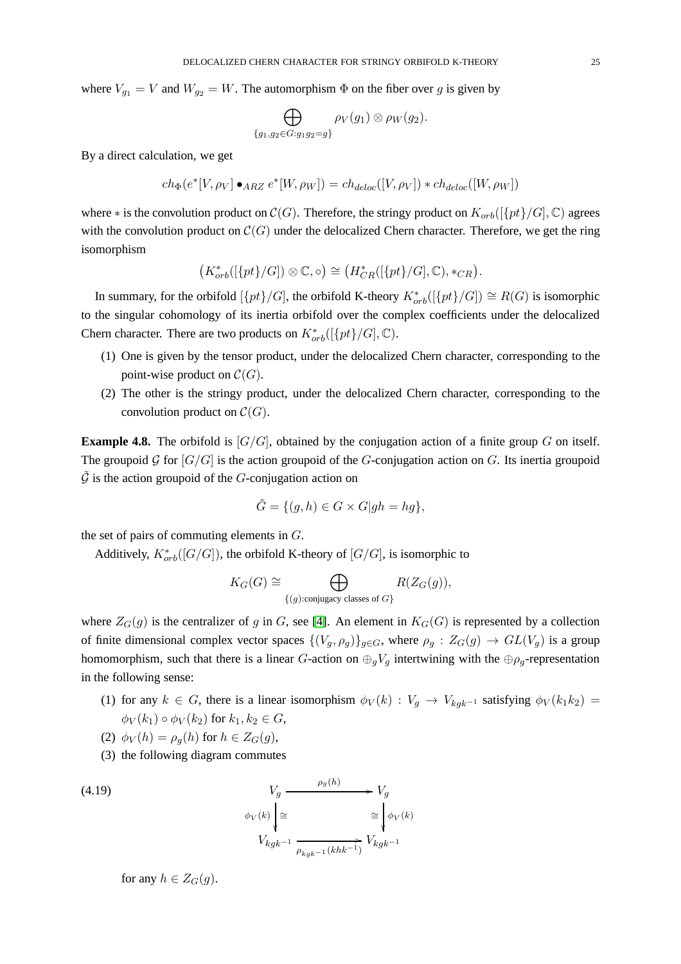where  $V_{g_1} = V$  and  $W_{g_2} = W$ . The automorphism  $\Phi$  on the fiber over g is given by

$$
\bigoplus_{\{g_1,g_2\in G: g_1g_2=g\}} \rho_V(g_1)\otimes \rho_W(g_2).
$$

By a direct calculation, we get

$$
ch_{\Phi}(e^*[V, \rho_V] \bullet_{ARZ} e^*[W, \rho_W]) = ch_{deloc}([V, \rho_V]) * ch_{deloc}([W, \rho_W])
$$

where  $*$  is the convolution product on  $C(G)$ . Therefore, the stringy product on  $K_{orb}(\lbrace pt \rbrace/G], \mathbb{C})$  agrees with the convolution product on  $C(G)$  under the delocalized Chern character. Therefore, we get the ring isomorphism

$$
(K^*_{orb}([\{pt\}/G]) \otimes \mathbb{C}, \circ) \cong (H^*_{CR}([\{pt\}/G], \mathbb{C}), *_{CR}).
$$

In summary, for the orbifold  $[\{pt\}/G]$ , the orbifold K-theory  $K^*_{orb}([\{pt\}/G]) \cong R(G)$  is isomorphic to the singular cohomology of its inertia orbifold over the complex coefficients under the delocalized Chern character. There are two products on  $K^*_{orb}([\{pt\}/G], \mathbb{C})$ .

- (1) One is given by the tensor product, under the delocalized Chern character, corresponding to the point-wise product on  $C(G)$ .
- (2) The other is the stringy product, under the delocalized Chern character, corresponding to the convolution product on  $\mathcal{C}(G)$ .

**Example 4.8.** The orbifold is  $[G/G]$ , obtained by the conjugation action of a finite group G on itself. The groupoid G for  $[G/G]$  is the action groupoid of the G-conjugation action on G. Its inertia groupoid  $\tilde{\mathcal{G}}$  is the action groupoid of the G-conjugation action on

$$
\tilde{G} = \{ (g, h) \in G \times G | gh = hg \},\
$$

the set of pairs of commuting elements in G.

Additively,  $K^*_{orb}([G/G])$ , the orbifold K-theory of  $[G/G]$ , is isomorphic to

$$
K_G(G) \cong \bigoplus_{\{(g): \text{conjugacy classes of } G\}} R(Z_G(g)),
$$

where  $Z_G(g)$  is the centralizer of g in G, see [\[4\]](#page-28-0). An element in  $K_G(G)$  is represented by a collection of finite dimensional complex vector spaces  $\{(V_g, \rho_g)\}_{g \in G}$ , where  $\rho_g : Z_G(g) \to GL(V_g)$  is a group homomorphism, such that there is a linear G-action on  $\bigoplus_g V_g$  intertwining with the  $\bigoplus \rho_g$ -representation in the following sense:

- (1) for any  $k \in G$ , there is a linear isomorphism  $\phi_V(k) : V_q \to V_{k_0k^{-1}}$  satisfying  $\phi_V(k_1k_2) =$  $\phi_V(k_1) \circ \phi_V(k_2)$  for  $k_1, k_2 \in G$ ,
- (2)  $\phi_V(h) = \rho_q(h)$  for  $h \in Z_G(g)$ ,
- <span id="page-24-0"></span>(3) the following diagram commutes

(4.19) 
$$
V_g \xrightarrow{\rho_g(h)} V_g
$$

$$
\phi_V(k) \downarrow \cong \qquad \cong \qquad \phi_V(k)
$$

$$
V_{kgk^{-1}} \xrightarrow{\rho_{kgk^{-1}}(khk^{-1})} V_{kgk^{-1}}
$$

for any 
$$
h \in Z_G(g)
$$
.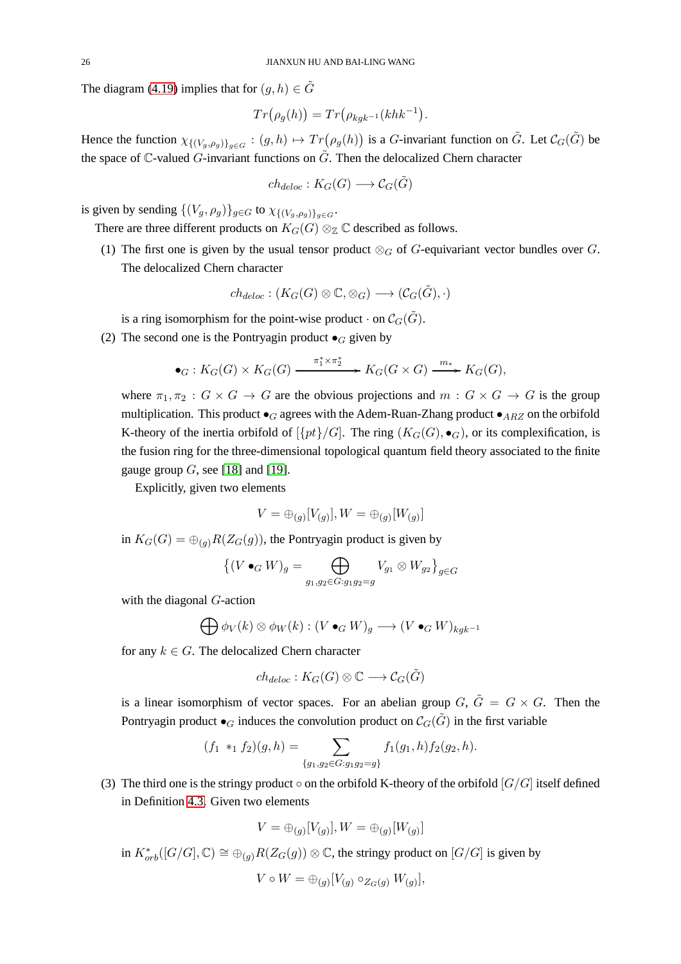The diagram [\(4.19\)](#page-24-0) implies that for  $(g, h) \in \tilde{G}$ 

$$
Tr(\rho_g(h)) = Tr(\rho_{kgk^{-1}}(khk^{-1}).
$$

Hence the function  $\chi_{\{(V_g,\rho_g)\}_{g\in G}: (g,h)\mapsto Tr(\rho_g(h))$  is a G-invariant function on  $\tilde{G}$ . Let  $\mathcal{C}_G(\tilde{G})$  be the space of  $\mathbb C$ -valued  $G$ -invariant functions on  $\tilde{G}$ . Then the delocalized Chern character

$$
ch_{deloc}: K_G(G) \longrightarrow \mathcal{C}_G(\tilde{G})
$$

is given by sending  $\{(V_g, \rho_g)\}_{g \in G}$  to  $\chi_{\{(V_g, \rho_g)\}_{g \in G}}$ .

There are three different products on  $K_G(G) \otimes_{\mathbb{Z}} \mathbb{C}$  described as follows.

(1) The first one is given by the usual tensor product  $\otimes_G$  of G-equivariant vector bundles over G. The delocalized Chern character

$$
ch_{deloc}: (K_G(G)\otimes \mathbb{C}, \otimes_G)\longrightarrow (\mathcal{C}_G(\tilde{G}), \cdot)
$$

is a ring isomorphism for the point-wise product  $\cdot$  on  $\mathcal{C}_G(\tilde{G})$ .

(2) The second one is the Pontryagin product  $\bullet$ <sub>G</sub> given by

$$
\bullet_G: K_G(G) \times K_G(G) \xrightarrow{\pi_1^* \times \pi_2^*} K_G(G \times G) \xrightarrow{m_*} K_G(G),
$$

where  $\pi_1, \pi_2 : G \times G \to G$  are the obvious projections and  $m : G \times G \to G$  is the group multiplication. This product  $\bullet_G$  agrees with the Adem-Ruan-Zhang product  $\bullet_{ARZ}$  on the orbifold K-theory of the inertia orbifold of  $[\{pt\}/G]$ . The ring  $(K_G(G), \bullet_G)$ , or its complexification, is the fusion ring for the three-dimensional topological quantum field theory associated to the finite gauge group  $G$ , see [\[18\]](#page-29-14) and [\[19\]](#page-29-15).

Explicitly, given two elements

$$
V = \bigoplus_{(g)} [V_{(g)}], W = \bigoplus_{(g)} [W_{(g)}]
$$

in  $K_G(G) = \bigoplus_{(g)} R(Z_G(g))$ , the Pontryagin product is given by

$$
\left\{(V \bullet_G W)_g = \bigoplus_{g_1, g_2 \in G: g_1 g_2 = g} V_{g_1} \otimes W_{g_2}\right\}_{g \in G}
$$

with the diagonal G-action

$$
\bigoplus \phi_V(k) \otimes \phi_W(k) : (V \bullet_G W)_g \longrightarrow (V \bullet_G W)_{kgk^{-1}}
$$

for any  $k \in G$ . The delocalized Chern character

$$
ch_{deloc}: K_G(G) \otimes {\Bbb C} \longrightarrow \mathcal{C}_G(\tilde{G})
$$

is a linear isomorphism of vector spaces. For an abelian group  $G, \tilde{G} = G \times G$ . Then the Pontryagin product  $\bullet_G$  induces the convolution product on  $\mathcal{C}_G(\tilde{G})$  in the first variable

$$
(f_1 *_1 f_2)(g, h) = \sum_{\{g_1, g_2 \in G : g_1 g_2 = g\}} f_1(g_1, h) f_2(g_2, h).
$$

(3) The third one is the stringy product  $\circ$  on the orbifold K-theory of the orbifold [ $G/G$ ] itself defined in Definition [4.3.](#page-20-0) Given two elements

$$
V=\oplus_{(g)}[V_{(g)}], W=\oplus_{(g)}[W_{(g)}]
$$

in  $K^*_{orb}([G/G], \mathbb{C}) \cong \bigoplus_{(g)} R(Z_G(g)) \otimes \mathbb{C}$ , the stringy product on  $[G/G]$  is given by

$$
V \circ W = \bigoplus_{(g)} [V_{(g)} \circ_{Z_G(g)} W_{(g)}],
$$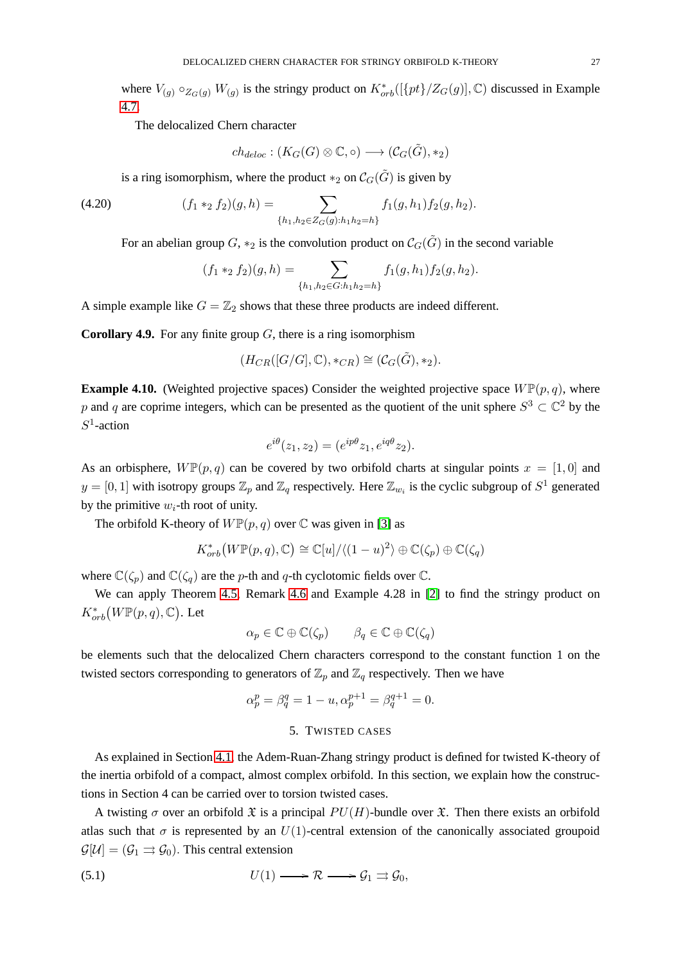where  $V_{(g)} \circ_{Z_G(g)} W_{(g)}$  is the stringy product on  $K^*_{orb}([\{pt\}/Z_G(g)], \mathbb{C})$  discussed in Example [4.7.](#page-23-0)

The delocalized Chern character

$$
\mathit{ch}_{\mathit{deloc}} : (\mathit{K}_G(G) \otimes \mathbb{C}, \circ) \longrightarrow (\mathcal{C}_G(\tilde{G}), *_2)
$$

is a ring isomorphism, where the product  $*_2$  on  $C_G(\tilde{G})$  is given by

(4.20) 
$$
(f_1 *_{2} f_2)(g, h) = \sum_{\{h_1, h_2 \in Z_G(g): h_1h_2 = h\}} f_1(g, h_1) f_2(g, h_2).
$$

For an abelian group G, \*2 is the convolution product on  $\mathcal{C}_G(\tilde{G})$  in the second variable

$$
(f_1 *_{2} f_2)(g, h) = \sum_{\{h_1, h_2 \in G: h_1 h_2 = h\}} f_1(g, h_1) f_2(g, h_2).
$$

A simple example like  $G = \mathbb{Z}_2$  shows that these three products are indeed different.

**Corollary 4.9.** For any finite group G, there is a ring isomorphism

$$
(H_{CR}([G/G], \mathbb{C}), *_{CR}) \cong (\mathcal{C}_G(\tilde{G}), *_{2}).
$$

**Example 4.10.** (Weighted projective spaces) Consider the weighted projective space  $W\mathbb{P}(p,q)$ , where p and q are coprime integers, which can be presented as the quotient of the unit sphere  $S^3 \subset \mathbb{C}^2$  by the  $S^1$ -action

$$
e^{i\theta}(z_1, z_2) = (e^{ip\theta}z_1, e^{iq\theta}z_2).
$$

As an orbisphere,  $W\mathbb{P}(p,q)$  can be covered by two orbifold charts at singular points  $x = [1,0]$  and  $y = [0, 1]$  with isotropy groups  $\mathbb{Z}_p$  and  $\mathbb{Z}_q$  respectively. Here  $\mathbb{Z}_{w_i}$  is the cyclic subgroup of  $S^1$  generated by the primitive  $w_i$ -th root of unity.

The orbifold K-theory of  $W\mathbb{P}(p,q)$  over  $\mathbb C$  was given in [\[3\]](#page-28-4) as

$$
K^*_{orb}(W\mathbb{P}(p,q),\mathbb{C})\cong \mathbb{C}[u]/\langle (1-u)^2\rangle \oplus \mathbb{C}(\zeta_p)\oplus \mathbb{C}(\zeta_q)
$$

where  $\mathbb{C}(\zeta_p)$  and  $\mathbb{C}(\zeta_q)$  are the p-th and q-th cyclotomic fields over  $\mathbb{C}$ .

We can apply Theorem [4.5,](#page-21-2) Remark [4.6](#page-22-0) and Example 4.28 in [\[2\]](#page-28-2) to find the stringy product on  $K^*_{orb}(W\mathbb{P}(p,q),\mathbb{C})$ . Let

$$
\alpha_p \in \mathbb{C} \oplus \mathbb{C}(\zeta_p) \qquad \beta_q \in \mathbb{C} \oplus \mathbb{C}(\zeta_q)
$$

be elements such that the delocalized Chern characters correspond to the constant function 1 on the twisted sectors corresponding to generators of  $\mathbb{Z}_p$  and  $\mathbb{Z}_q$  respectively. Then we have

$$
\alpha_p^p = \beta_q^q = 1 - u, \alpha_p^{p+1} = \beta_q^{q+1} = 0.
$$

## <span id="page-26-0"></span>5. TWISTED CASES

As explained in Section [4.1,](#page-17-0) the Adem-Ruan-Zhang stringy product is defined for twisted K-theory of the inertia orbifold of a compact, almost complex orbifold. In this section, we explain how the constructions in Section 4 can be carried over to torsion twisted cases.

A twisting  $\sigma$  over an orbifold  $\mathfrak X$  is a principal  $PU(H)$ -bundle over  $\mathfrak X$ . Then there exists an orbifold atlas such that  $\sigma$  is represented by an  $U(1)$ -central extension of the canonically associated groupoid  $\mathcal{G}[\mathcal{U}] = (\mathcal{G}_1 \rightrightarrows \mathcal{G}_0)$ . This central extension

$$
(5.1) \tU(1) \longrightarrow \mathcal{R} \longrightarrow \mathcal{G}_1 \rightrightarrows \mathcal{G}_0,
$$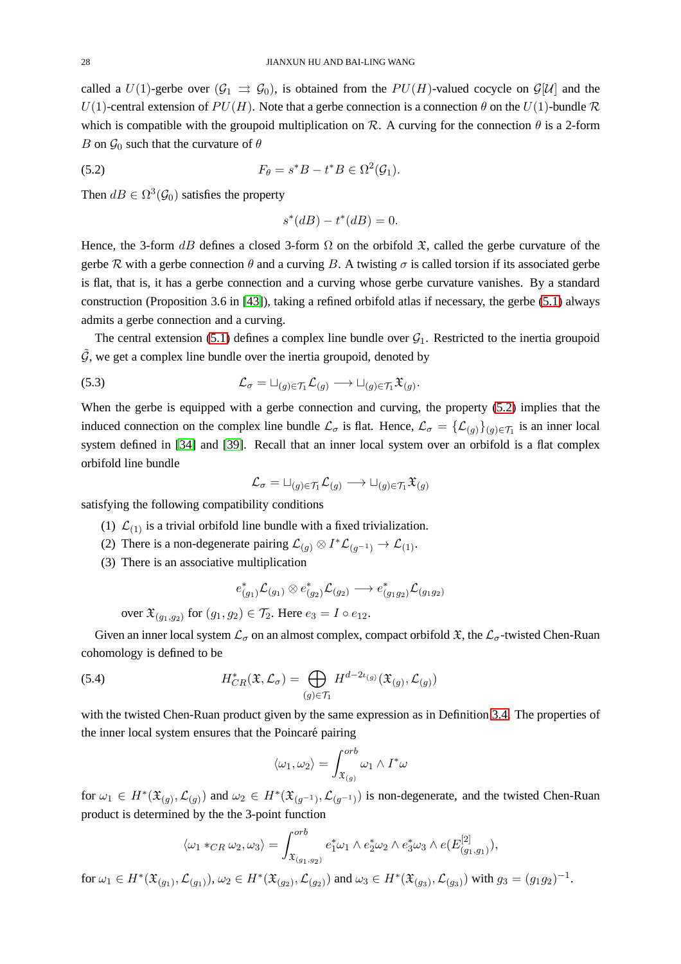called a  $U(1)$ -gerbe over  $(\mathcal{G}_1 \Rightarrow \mathcal{G}_0)$ , is obtained from the  $PU(H)$ -valued cocycle on  $\mathcal{G}[U]$  and the  $U(1)$ -central extension of  $PU(H)$ . Note that a gerbe connection is a connection  $\theta$  on the  $U(1)$ -bundle  $\mathcal R$ which is compatible with the groupoid multiplication on R. A curving for the connection  $\theta$  is a 2-form B on  $\mathcal{G}_0$  such that the curvature of  $\theta$ 

(5.2) 
$$
F_{\theta} = s^*B - t^*B \in \Omega^2(\mathcal{G}_1).
$$

Then  $dB \in \Omega^3(\mathcal{G}_0)$  satisfies the property

<span id="page-27-0"></span>
$$
s^*(dB) - t^*(dB) = 0.
$$

Hence, the 3-form dB defines a closed 3-form  $\Omega$  on the orbifold  $\mathfrak{X}$ , called the gerbe curvature of the gerbe R with a gerbe connection  $\theta$  and a curving B. A twisting  $\sigma$  is called torsion if its associated gerbe is flat, that is, it has a gerbe connection and a curving whose gerbe curvature vanishes. By a standard construction (Proposition 3.6 in [\[43\]](#page-30-3)), taking a refined orbifold atlas if necessary, the gerbe [\(5.1\)](#page-26-0) always admits a gerbe connection and a curving.

The central extension [\(5.1\)](#page-26-0) defines a complex line bundle over  $G_1$ . Restricted to the inertia groupoid  $\tilde{G}$ , we get a complex line bundle over the inertia groupoid, denoted by

(5.3) 
$$
\mathcal{L}_{\sigma} = \sqcup_{(g) \in \mathcal{T}_1} \mathcal{L}_{(g)} \longrightarrow \sqcup_{(g) \in \mathcal{T}_1} \mathfrak{X}_{(g)}.
$$

When the gerbe is equipped with a gerbe connection and curving, the property [\(5.2\)](#page-27-0) implies that the induced connection on the complex line bundle  $\mathcal{L}_{\sigma}$  is flat. Hence,  $\mathcal{L}_{\sigma} = {\{\mathcal{L}_{(g)}\}}_{(g)\in\mathcal{T}_1}$  is an inner local system defined in [\[34\]](#page-29-16) and [\[39\]](#page-29-17). Recall that an inner local system over an orbifold is a flat complex orbifold line bundle

$$
\mathcal{L}_\sigma = \sqcup_{(g) \in \mathcal{T}_1} \mathcal{L}_{(g)} \longrightarrow \sqcup_{(g) \in \mathcal{T}_1} \mathfrak{X}_{(g)}
$$

satisfying the following compatibility conditions

- (1)  $\mathcal{L}_{(1)}$  is a trivial orbifold line bundle with a fixed trivialization.
- (2) There is a non-degenerate pairing  $\mathcal{L}_{(g)} \otimes I^* \mathcal{L}_{(g^{-1})} \to \mathcal{L}_{(1)}$ .
- (3) There is an associative multiplication

$$
e^*_{(g_1)}\mathcal{L}_{(g_1)} \otimes e^*_{(g_2)}\mathcal{L}_{(g_2)} \longrightarrow e^*_{(g_1g_2)}\mathcal{L}_{(g_1g_2)}
$$

over  $\mathfrak{X}_{(g_1,g_2)}$  for  $(g_1,g_2) \in \mathcal{T}_2$ . Here  $e_3 = I \circ e_{12}$ .

Given an inner local system  $\mathcal{L}_{\sigma}$  on an almost complex, compact orbifold  $\mathfrak{X}$ , the  $\mathcal{L}_{\sigma}$ -twisted Chen-Ruan cohomology is defined to be

(5.4) 
$$
H^*_{CR}(\mathfrak{X}, \mathcal{L}_{\sigma}) = \bigoplus_{(g) \in \mathcal{T}_1} H^{d-2\iota_{(g)}}(\mathfrak{X}_{(g)}, \mathcal{L}_{(g)})
$$

with the twisted Chen-Ruan product given by the same expression as in Definition [3.4.](#page-14-2) The properties of the inner local system ensures that the Poincaré pairing

$$
\langle \omega_1, \omega_2 \rangle = \int_{\mathfrak{X}_{(g)}}^{orb} \omega_1 \wedge I^* \omega
$$

for  $\omega_1 \in H^*(\mathfrak{X}_{(g)}, \mathcal{L}_{(g)})$  and  $\omega_2 \in H^*(\mathfrak{X}_{(g^{-1})}, \mathcal{L}_{(g^{-1})})$  is non-degenerate, and the twisted Chen-Ruan product is determined by the the 3-point function

$$
\langle \omega_1 *_{CR} \omega_2, \omega_3 \rangle = \int_{\mathfrak{X}_{(g_1, g_2)}}^{orb} e_1^* \omega_1 \wedge e_2^* \omega_2 \wedge e_3^* \omega_3 \wedge e(E_{(g_1, g_1)}^{[2]}),
$$

 $\text{for } \omega_1 \in H^*(\mathfrak{X}_{(g_1)}, \mathcal{L}_{(g_1)}), \omega_2 \in H^*(\mathfrak{X}_{(g_2)}, \mathcal{L}_{(g_2)}) \text{ and } \omega_3 \in H^*(\mathfrak{X}_{(g_3)}, \mathcal{L}_{(g_3)}) \text{ with } g_3 = (g_1g_2)^{-1}.$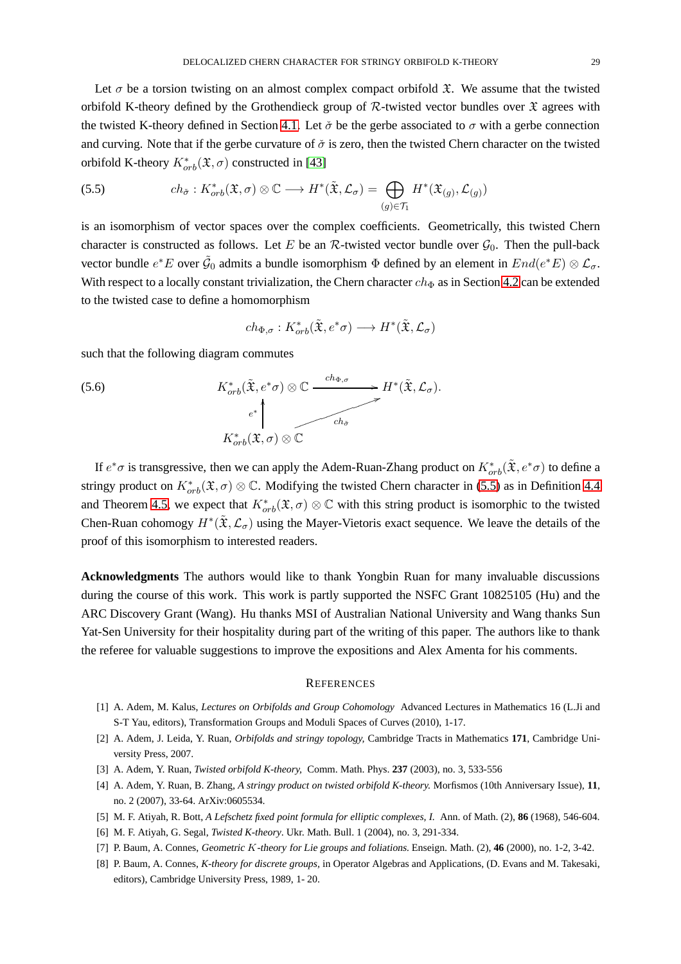Let  $\sigma$  be a torsion twisting on an almost complex compact orbifold  $\mathfrak{X}$ . We assume that the twisted orbifold K-theory defined by the Grothendieck group of  $\mathcal{R}$ -twisted vector bundles over  $\mathfrak X$  agrees with the twisted K-theory defined in Section [4.1.](#page-17-0) Let  $\check{\sigma}$  be the gerbe associated to  $\sigma$  with a gerbe connection and curving. Note that if the gerbe curvature of  $\check{\sigma}$  is zero, then the twisted Chern character on the twisted orbifold K-theory  $K^*_{orb}(\mathfrak{X}, \sigma)$  constructed in [\[43\]](#page-30-3)

<span id="page-28-6"></span>(5.5) 
$$
ch_{\tilde{\sigma}}: K^*_{orb}(\mathfrak{X}, \sigma) \otimes \mathbb{C} \longrightarrow H^*(\tilde{\mathfrak{X}}, \mathcal{L}_{\sigma}) = \bigoplus_{(g) \in \mathcal{T}_1} H^*(\mathfrak{X}_{(g)}, \mathcal{L}_{(g)})
$$

is an isomorphism of vector spaces over the complex coefficients. Geometrically, this twisted Chern character is constructed as follows. Let E be an R-twisted vector bundle over  $\mathcal{G}_0$ . Then the pull-back vector bundle  $e^*E$  over  $\tilde{G}_0$  admits a bundle isomorphism  $\Phi$  defined by an element in  $End(e^*E) \otimes \mathcal{L}_\sigma$ . With respect to a locally constant trivialization, the Chern character  $ch_{\Phi}$  as in Section [4.2](#page-19-5) can be extended to the twisted case to define a homomorphism

$$
ch_{\Phi,\sigma}: K^*_{orb}(\tilde{\mathfrak{X}},e^*\sigma) \longrightarrow H^*(\tilde{\mathfrak{X}},\mathcal{L}_\sigma)
$$

such that the following diagram commutes

(5.6) 
$$
K_{orb}^{*}(\tilde{\mathfrak{X}}, e^{*}\sigma) \otimes \mathbb{C} \xrightarrow{ch_{\Phi,\sigma}} H^{*}(\tilde{\mathfrak{X}}, \mathcal{L}_{\sigma}).
$$

$$
K_{orb}^{*}(\tilde{\mathfrak{X}}, \sigma) \otimes \mathbb{C}
$$

If  $e^*\sigma$  is transgressive, then we can apply the Adem-Ruan-Zhang product on  $K^*_{orb}(\tilde{x}, e^*\sigma)$  to define a stringy product on  $K^*_{orb}(\mathfrak{X}, \sigma) \otimes \mathbb{C}$ . Modifying the twisted Chern character in [\(5.5\)](#page-28-6) as in Definition [4.4](#page-21-3) and Theorem [4.5,](#page-21-2) we expect that  $K^*_{orb}(\mathfrak{X}, \sigma) \otimes \mathbb{C}$  with this string product is isomorphic to the twisted Chen-Ruan cohomogy  $H^*(\tilde{\mathfrak{X}},\mathcal{L}_{\sigma})$  using the Mayer-Vietoris exact sequence. We leave the details of the proof of this isomorphism to interested readers.

**Acknowledgments** The authors would like to thank Yongbin Ruan for many invaluable discussions during the course of this work. This work is partly supported the NSFC Grant 10825105 (Hu) and the ARC Discovery Grant (Wang). Hu thanks MSI of Australian National University and Wang thanks Sun Yat-Sen University for their hospitality during part of the writing of this paper. The authors like to thank the referee for valuable suggestions to improve the expositions and Alex Amenta for his comments.

### **REFERENCES**

- <span id="page-28-2"></span>[1] A. Adem, M. Kalus, *Lectures on Orbifolds and Group Cohomology* Advanced Lectures in Mathematics 16 (L.Ji and S-T Yau, editors), Transformation Groups and Moduli Spaces of Curves (2010), 1-17.
- <span id="page-28-4"></span>[2] A. Adem, J. Leida, Y. Ruan, *Orbifolds and stringy topology,* Cambridge Tracts in Mathematics **171**, Cambridge University Press, 2007.
- <span id="page-28-0"></span>[3] A. Adem, Y. Ruan, *Twisted orbifold K-theory,* Comm. Math. Phys. **237** (2003), no. 3, 533-556
- <span id="page-28-3"></span>[4] A. Adem, Y. Ruan, B. Zhang, *A stringy product on twisted orbifold K-theory.* Morfismos (10th Anniversary Issue), **11**, no. 2 (2007), 33-64. ArXiv:0605534.
- <span id="page-28-5"></span>[5] M. F. Atiyah, R. Bott, *A Lefschetz fixed point formula for elliptic complexes, I.* Ann. of Math. (2), **86** (1968), 546-604.
- [6] M. F. Atiyah, G. Segal, *Twisted K-theory*. Ukr. Math. Bull. 1 (2004), no. 3, 291-334.
- <span id="page-28-1"></span>[7] P. Baum, A. Connes, Geometric K-theory for Lie groups and foliations. Enseign. Math. (2), **46** (2000), no. 1-2, 3-42.
- [8] P. Baum, A. Connes, *K-theory for discrete groups,* in Operator Algebras and Applications, (D. Evans and M. Takesaki, editors), Cambridge University Press, 1989, 1- 20.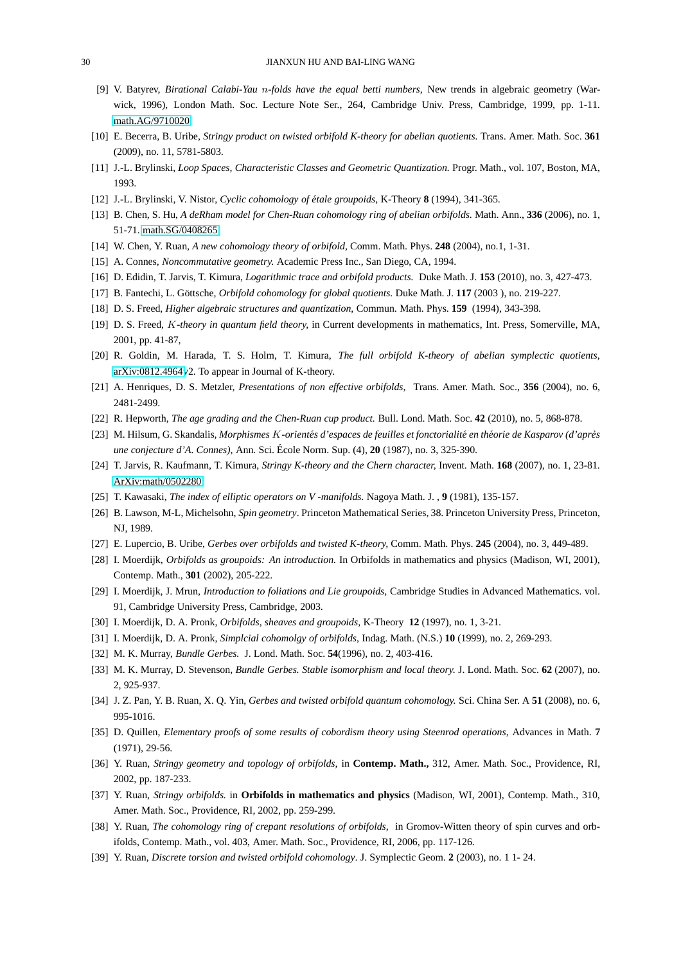- [9] V. Batyrev, *Birational Calabi-Yau* n*-folds have the equal betti numbers,* New trends in algebraic geometry (Warwick, 1996), London Math. Soc. Lecture Note Ser., 264, Cambridge Univ. Press, Cambridge, 1999, pp. 1-11. [math.AG/9710020.](http://arxiv.org/abs/math/9710020)
- <span id="page-29-2"></span>[10] E. Becerra, B. Uribe, *Stringy product on twisted orbifold K-theory for abelian quotients.* Trans. Amer. Math. Soc. **361** (2009), no. 11, 5781-5803.
- <span id="page-29-4"></span>[11] J.-L. Brylinski, *Loop Spaces, Characteristic Classes and Geometric Quantization.* Progr. Math., vol. 107, Boston, MA, 1993.
- <span id="page-29-5"></span>[12] J.-L. Brylinski, V. Nistor, *Cyclic cohomology of étale groupoids*, K-Theory **8** (1994), 341-365.
- <span id="page-29-0"></span>[13] B. Chen, S. Hu, *A deRham model for Chen-Ruan cohomology ring of abelian orbifolds.* Math. Ann., **336** (2006), no. 1, 51-71. [math.SG/0408265.](http://arxiv.org/abs/math/0408265)
- <span id="page-29-11"></span>[14] W. Chen, Y. Ruan, *A new cohomology theory of orbifold,* Comm. Math. Phys. **248** (2004), no.1, 1-31.
- [15] A. Connes, *Noncommutative geometry.* Academic Press Inc., San Diego, CA, 1994.
- [16] D. Edidin, T. Jarvis, T. Kimura, *Logarithmic trace and orbifold products.* Duke Math. J. **153** (2010), no. 3, 427-473.
- <span id="page-29-14"></span>[17] B. Fantechi, L. Göttsche, *Orbifold cohomology for global quotients*. Duke Math. J. 117 (2003), no. 219-227.
- <span id="page-29-15"></span>[18] D. S. Freed, *Higher algebraic structures and quantization*, Commun. Math. Phys. **159** (1994), 343-398.
- <span id="page-29-3"></span>[19] D. S. Freed, K*-theory in quantum field theory,* in Current developments in mathematics, Int. Press, Somerville, MA, 2001, pp. 41-87,
- [20] R. Goldin, M. Harada, T. S. Holm, T. Kimura, *The full orbifold K-theory of abelian symplectic quotients,* [arXiv:0812.4964v](http://arxiv.org/abs/0812.4964)2. To appear in Journal of K-theory.
- <span id="page-29-12"></span>[21] A. Henriques, D. S. Metzler, *Presentations of non effective orbifolds,* Trans. Amer. Math. Soc., **356** (2004), no. 6, 2481-2499.
- [22] R. Hepworth, *The age grading and the Chen-Ruan cup product.* Bull. Lond. Math. Soc. **42** (2010), no. 5, 868-878.
- <span id="page-29-1"></span>[23] M. Hilsum, G. Skandalis, *Morphismes K-orientés d'espaces de feuilles et fonctorialité en théorie de Kasparov (d'après une conjecture d'A. Connes)*, Ann. Sci. École Norm. Sup. (4), **20** (1987), no. 3, 325-390.
- <span id="page-29-6"></span>[24] T. Jarvis, R. Kaufmann, T. Kimura, *Stringy K-theory and the Chern character,* Invent. Math. **168** (2007), no. 1, 23-81. [ArXiv:math/0502280.](http://arxiv.org/abs/math/0502280)
- <span id="page-29-13"></span>[25] T. Kawasaki, *The index of elliptic operators on V -manifolds.* Nagoya Math. J. , **9** (1981), 135-157.
- <span id="page-29-10"></span>[26] B. Lawson, M-L, Michelsohn, *Spin geometry*. Princeton Mathematical Series, 38. Princeton University Press, Princeton, NJ, 1989.
- <span id="page-29-7"></span>[27] E. Lupercio, B. Uribe, *Gerbes over orbifolds and twisted K-theory,* Comm. Math. Phys. **245** (2004), no. 3, 449-489.
- [28] I. Moerdijk, *Orbifolds as groupoids: An introduction.* In Orbifolds in mathematics and physics (Madison, WI, 2001), Contemp. Math., **301** (2002), 205-222.
- <span id="page-29-8"></span>[29] I. Moerdijk, J. Mrun, *Introduction to foliations and Lie groupoids,* Cambridge Studies in Advanced Mathematics. vol. 91, Cambridge University Press, Cambridge, 2003.
- <span id="page-29-9"></span>[30] I. Moerdijk, D. A. Pronk, *Orbifolds, sheaves and groupoids,* K-Theory **12** (1997), no. 1, 3-21.
- [31] I. Moerdijk, D. A. Pronk, *Simplcial cohomolgy of orbifolds*, Indag. Math. (N.S.) **10** (1999), no. 2, 269-293.
- [32] M. K. Murray, *Bundle Gerbes.* J. Lond. Math. Soc. **54**(1996), no. 2, 403-416.
- <span id="page-29-16"></span>[33] M. K. Murray, D. Stevenson, *Bundle Gerbes. Stable isomorphism and local theory.* J. Lond. Math. Soc. **62** (2007), no. 2, 925-937.
- [34] J. Z. Pan, Y. B. Ruan, X. Q. Yin, *Gerbes and twisted orbifold quantum cohomology.* Sci. China Ser. A **51** (2008), no. 6, 995-1016.
- [35] D. Quillen, *Elementary proofs of some results of cobordism theory using Steenrod operations*, Advances in Math. **7** (1971), 29-56.
- [36] Y. Ruan, *Stringy geometry and topology of orbifolds,* in **Contemp. Math.,** 312, Amer. Math. Soc., Providence, RI, 2002, pp. 187-233.
- [37] Y. Ruan, *Stringy orbifolds.* in **Orbifolds in mathematics and physics** (Madison, WI, 2001), Contemp. Math., 310, Amer. Math. Soc., Providence, RI, 2002, pp. 259-299.
- <span id="page-29-17"></span>[38] Y. Ruan, *The cohomology ring of crepant resolutions of orbifolds,* in Gromov-Witten theory of spin curves and orbifolds, Contemp. Math., vol. 403, Amer. Math. Soc., Providence, RI, 2006, pp. 117-126.
- [39] Y. Ruan, *Discrete torsion and twisted orbifold cohomology*. J. Symplectic Geom. **2** (2003), no. 1 1- 24.